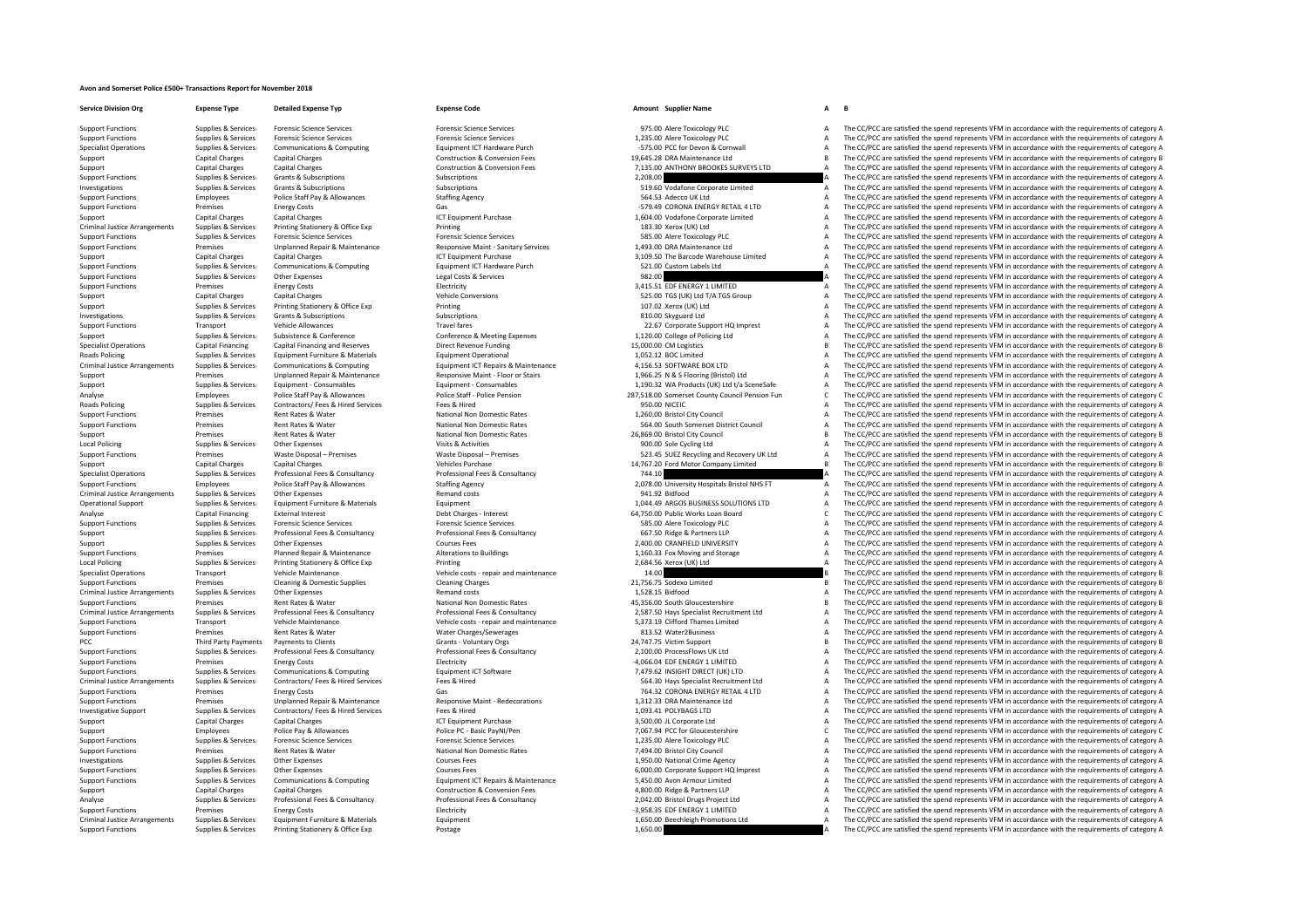## **Avon and Somerset Police £500+ Transactions Report for November 2018**

**Service Division Org Expense Type Detailed Expense Typ Expense Code Amount Supplier Name A B** Criminal Justice**Roads Policing** Criminal JusticeRoads Policing Local Policing Criminal Justice**Local Policing** Criminal JusticeCriminal Justice**PCC** Third Party Payments Criminal JusticeCriminal Justice

Support Functions Supplies & Services Printing Stationery & Office Exp Postage 1,650.00 A The CC/PCC are satisfied the spend represents VFM in accordance with the requirements of category A

Support Functions Supplies & Services Forensic Science Services Forensic Science Services Forensic Science Services Forensic Science Services and the Support Punctions and the CC/PCC are satisfied the spend represents VFM

Support Functions Supplies & Services Forensic Science Services Forensic Science Services Forensic Science Services Forensic Science Services and the category and the companism of the CC/PCC are satisfied the spend represe Supplies & Services Communications & Computing Construction & Communications Equipment ICT Hardware Purch Communications of the CONSCOTE CONSCOTED A The CC/PCC are satisfied the spend represents VFM in accordance with the Support Capital Charges Capital Charges Capital Charges Capital Charges Construction & Conversion Fees 19,645.28 DRA Maintenance Ltd B The CC/PCC are satisfied the spend represents VFM in accordance with the requirements o Support Capital Charges Capital Charges Capital Charges Construction & Conversion Fees 7,135.00 ANTHONY BROOKES SURVEYS LTD A The CC/PCC are satisfied the spend represents VFM in accordance with the requirements of categor Supplies & Services Grants & Subscriptions Subscriptions Subscriptions Subscriptions Subscriptions Subscriptions Subscriptions Subscriptions Subscriptions Subscriptions Subscriptions Subscriptions Subscriptions Subscriptio Investigations Supplies & Services Grants & Subscriptions Subscriptions Subscriptions Subscriptions Subscriptions Subscriptions Subscriptions Subscriptions Subscriptions Subscriptions Subscriptions Subscriptions Staffing A Support Functions Employees Police Staff Pay & Allowances Staffing Agency Staffing Agency Staffing Agency 564.53 Adecco UK Ltd A The CC/PCC are satisfied the spend represents VFM in accordance with the requirements of cate Functions Premises Energy Costs Cases Cases Cases Cases Cases Cases Cases Cases Control of the COLORAL A LTD A The CC/PCC are satisfied the spend represents VFM in accordance with the requirements of category A Support Capital Charges Capital Charges Capital Charges Capital Charges ICT Equipment Purchase 1,604.00 Vodafone Corporate Limited A The CC/PCC are satisfied the spend represents VFM in accordance with the requirements of Printing Stationery & Office Exp Printing Printing Printing Supplies Concerns and the COMMAN CONSTRATION CONSTRATION CONSTRATION CONSTRATION OF THE CORPORT OF THE CORPORT OF CONSTRATION OF THE CORPORT OF CATEGORY A The COP Support Functions Supplies & Services Forensic Science Services Forensic Science Services Forensic Science Services Forensic Science Services Forensic Science Services SS5.00 Alere Toxicology PLC A The CC/PCC are satisfied The  $CCPC$  are satisfied the spend represents VEM in accordance with the requirements of category  $\Delta$ Support Capital Charges Capital Charges Capital Charges ICT Equipment Purchase San and the Capital Charges ICT Equipment Purchase 3,109.50 The Barcode Warehouse Limited A The CC/PCC are satisfied the spend represents VFM i Support Functions Support Functions Support Functions Support Team and the CC/PC are satisfied the spend represents VFM in accordance with the requirements of category A The CC/PC are satisfied the spend represents VFM in Support Functions Supplies & Services Other Expenses Legal Costs Category A Legal Costs & Services Legal Costs & Services Premises Costs Category A The CC/PCC are satisfied the spend represents VFM in accordance with the r Electricity Electricity Electricity Support Terms and Support Tumism and the COPCC are satisfied the spend represents VFM in accordance with the requirements of category A Capital Charges Capital Charges Capital Charges Ca Support Capital Charges Capital Charges Capital Charges Vehicle Conversions Vehicle Conversions Support Section of the CONVERTIGATION CONVERTIGATION CONVERTIGATION CONVERTIGATION CONVERTIGATION CONVERTIGATION CONVERTIGATIO Support Support Support Support Support Support Support Support Support Support Support Support Contract A The CC/PCC are satisfied the spend represents VFM in accordance with the requirements of category A The CC/PCC are Investigations Supplies & Subscriptions Subscriptions Subscriptions Subscriptions Subscriptions Subscriptions Subscriptions Subscriptions Subscriptions Subscriptions Subscriptions Subscriptions Subscriptions Subscriptions Travel fares Travel fares Travel fares 22.67 Corporate Support HQ Imprest A The CC/PCC are satisfied the spend represents VFM in accordance with the requirements of category A Supplies & Services Subsistence & Conference Conference & Meeting Expenses 1,120.00 College of Policing Ltd A The CC/PCC are satisfied the spend represents VFM in accordance with the requirements of category A Specialist Operations Capital Financing Capital Financing and Reserves Direct Revenue Funding 15,000.00 CM Logistics B The CC/PCC are satisfied the spend represents VFM in accordance with the requirements of category B Supplies & Services Equipment Furniture & Materials Equipment Operational 1,052.12 BOC Limited A The CC/PCC are satisfied the spend represents VFM in accordance with the requirements of category A Arrangements Supplies & Services Communications & Computing Equipment ICT Repairs & Maintenance Equipment ICT Repairs & Maintenance 4,156.53 SOFTWARE BOX LTD A The CC/PCC are satisfied the spend represents VFM in accordanc Support Premises Unplanned Repair & Maintenance Responsive Maint - Floor or Stairs 1,966.25 N & S Flooring (Bristol) Ltd A The CC/PCC are satisfied the spend represents VFM in accordance with the requirements of category A Support Supplies & Services Equipment – Consumables Equipment – Consumables Equipment – Consumables Equipment Consumables and the state A The CC/PCC are satisfied the spend represents VFM in accordance with the requirement example and the control of the staff and the staff and the staff and the staff and the staff and the state of the state of the control of the control of the control of the control of the control of the control of the contr Policing Supplies & Services Contractors/ Fees & Hired Services Fees & Hired 950.00 NICEIC A The CC/PCC are satisfied the spend represents VFM in accordance with the requirements of category A Support Functions Premises Rent Rates & Water National Non Domestic Rates 1,260.00 Bristol City Council A The CC/PCC are satisfied the spend represents VFM in accordance with the requirements of category A Support Functions Premises Rent Rates & Water National Non Domestic Rates Sea.00 South Somerset District Council A The CC/PCC are satisfied the spend represents VFM in accordance with the requirements of category B<br>Support Support Premises Rent Rates & Water Mational Non Domestic Rates 26,869.00 Bristol City Council 2012 The CC/PCC are satisfied the spend represents VFM in accordance with the requirements of category B<br>2008 Local Policing Ma Policing Supplies & Services Other Expenses Visits & Activities 900.00 Sole Cycling Ltd A The CC/PCC are satisfied the spend represents VFM in accordance with the requirements of category A Support Functions Premises Waste Disposal – Premises Waste Disposal – Premises Waste Disposal – Premises Waste Disposal – Premises Waste Disposal – Premises Waste Disposal – Premises Waste Disposal – Premises Waste Disposa Support Capital Charges Capital Charges Vehicles Purchase Vehicles Purchase 14,767.20 Ford Motor Company Limited B The CC/PCC are satisfied the spend represents VFM in accordance with the requirements of category B Specialist Operations Supplies & Services Professional Fees & Consultancy Professional Fees & Consultancy Professional Fees & Consultancy 744.10 A The CC/PCC are satisfied the spend represents VFM in accordance with the re Employees Police Staff Pay & Allowances Staffing Agency Staffing Agency 2,078.00 University Hospitals Bristol NHS FT A The CC/PCC are satisfied the spend represents VFM in accordance with the requirements of category A Arrives Supplies & Services Other Expenses Control of the Supplies Arrangements of Category A The CC/PCC are satisfied the spend represents VFM in accordance with the requirements of category A The CC/PCC are satisfied the Operational Support Support Support Equipment Furniture & Materials Equipment 1,044.49 ARGOS BUSINESS SOLUTIONS LTD A The CC/PCC are satisfied the spend represents VFM in accordance with the requirements of category A Analyse Capital Financing External Interest Debt Charges - Interest Debt Charges - Interest 64,750.00 Public Works Loan Board C The CC/PCC are satisfied the spend represents VFM in accordance with the requirements of categ Support Functions Supplies & Services Forensic Science Services Forensic Science Services Forensic Science Services Science Services Support Functions and the CC/PCC are satisfied the spend represents VFM in accordance wit Support Support Support Professional Fees & Consultancy Professional Fees & Consultancy Professional Fees & Consultancy A The CC/PCC are satisfied the spend represents VFM in accordance with the requirements of category A Support Supplies & Services Other Expenses 2,400,000 CRANFIELD UNIVERSITY A The CC/PCC are satisfied the spend represents VFM in accordance with the requirements of category A Support Functions Premises Planned Repair & Maintenance Alterations to Buildings and the main of the Support Functions and Storage A Decay and Storage A The CC/PCC are satisfied the spend represents VFM in accordance with Local Policing Supplies & Supplies & Services Printing Stationery & Office Exp Printing Printing Printing Printing Printing Printing Printing and the spend of the CC/PC are satisfied the spend represents VFM in accordance Specialist Operations Transport Vehicle Maintenance Vehicle costs - repair and maintenance 14.00 B The CC/PCC are satisfied the spend represents VFM in accordance with the requirements of category B<br>Support Functions Premi Experiences Cleaning & Domestic Supplies Cleaning Charges Cleaning Charges 21,756.75 Sodexo Limited and The CC/PCC are satisfied the spend represents VFM in accordance with the requirements of category B Support and the sp A The CC/PCC are satisfied the spend represents VFM in accordance with the requirements of category A The CC/PCC are satisfied the spend represents VFM in accordance with the requirements of category A Support Functions Premises Premises Rent Rates & Water National Non Domestic Rates National Non Domestic Rates 45,356.00 South Gloucestershire B The CC/PCC are satisfied the spend represents VFM in accordance with the requ 2,587.50 Hays Specialist Recruitment Ltd **A** The CC/PCC are satisfied the spend represents VFM in accordance with the requirements of category A<br>5,373.19 Clifford Thames Limited **A** The CC/PCC are satisfied the spend repre Support Functions Transport Vehicle Maintenance Vehicle costs – repair and maintenance Vehicle costs – repair and maintenance S.373.19 Clifford Thames Limited A The CC/PCC are satisfied the spend represents VFM in accordan Support Functions A The CC/PCC are satisfied the spend represents VFM in accordance with the requirements of category A<br>The CC/PCC are satisfied the spend represents VFM in accordance with the requirements of category A Th Payments to Clients Crants - Voluntary Orgs 24,247.75 Victim Support B The CC/PCC are satisfied the spend represents VFM in accordance with the requirements of category B Support Functions Cupplies & Sanicas Drefassional Face & Consultancy Drefassional Face & Consultancy Drefassional Face & Consultancy 2 100.00 Drecos Cupper Cup The CC/DCC are asticfied the spend represents VEM in accordanc Support Functions Premises Energy Costs Energy Costs Electricity Electricity Electricity Electricity Electricity Electricity and the Support ENERGY 1 LIMITED A The CC/PCC are satisfied the spend represents VFM in accordanc Support Functions Support Functions Communications Computing Equipment ICT Software 7,479.62 INSIGHT DIRECT (UK) LTD A The CC/PCC are satisfied the spend represents VFM in accordance with the requirements of category A Con Arrangements Supplies & Services Contractors/ Fees & Hired Services Fees & Hired Services Fees & Hired Service<br>The Services Supplies Supplies Supplies Supplies Supplies Supplies The CONSTANT A Supplies A The CC/PCC are sat Support Functions Premises Energy Costs Gas Gas Gas 764.32 CORONA ENERGY RETAIL 4 LTD A The CC/PCC are satisfied the spend represents VFM in accordance with the requirements of category A Support Functions Premises Unplanned Repair & Maintenance Antenance Responsive Maint - Redecorations 1,312.33 DRA Maintenance Ltd A The CC/PCC are satisfied the spend represents VFM in accordance with the requirements of c Investigative Support Supplies & Services Contractors/ Fees & Hired Services Fees & Hired Hired Tess & Hired 1,093.41 POLYBAGS LTD A The CC/PCC are satisfied the spend represents VFM in accordance with the requirements of Support Capital Charges Capital Charges Capital Charges Support Capital Charges ICT Equipment Purchase 3,500.00 JL Corporate Ltd A The CC/PCC are satisfied the spend represents VFM in accordance with the requirements of ca Support Employees Police Pay & Allowances Police PC – Basic PayNI/Pen 7,067.94 PCC for Gloucestershire C The CC/PCC are satisfied the spend represents VFM in accordance with the requirements of category C Support Functions Supplies & Services Forensic Science Services Forensic Science Services Forensic Science Services Forensic Science Services Forensic Science Services Forensic Science Services Forensic Science Services Fo Support Functions Premises Rent Rates & Water Mational Non Domestic Rates Rent Rates 7,494.00 Bristol City Council A The CC/PCC are satisfied the spend represents VFM in accordance with the requirements of category A Insti Investigations Supplies & Services Other Expenses Courses Fees Courses Fees 1,950.00 National Crime Agency A The CC/PCC are satisfied the spend represents VFM in accordance with the requirements of category A Support Functions Supplies & Services Other Expenses Courses Fees Courses Fees 6,000.00 Corporate Support HQ Imprest A The CC/PCC are satisfied the spend represents VFM in accordance with the requirements of category A Sup of the contract of the contract of the contract of the contract of the contract of the contract of the contract of the contract of the contract of the contract of the contract of the contract of the contract of the contrac Support Capital Charges Capital Charges Capital Charges Construction & Conversion Fees 4,800.00 Ridge & Partners LLP A The CC/PCC are satisfied the spend represents VFM in accordance with the requirements of category A Analyse Supplies & Services Professional Fees & Consultancy Professional Fees & Consultancy Professional Fees & Consultancy Project Ltd 2,042.00 Bristol Drugs Project Ltd A The CC/PCC are satisfied the spend represents VFM Support Functions Premises Energy Costs Energy Costs Energy Costs Electricity Electricity Electricity Electricity Electricity and the spannic of category A The CC/PCC are satisfied the spend represents VFM in accordance wi Arrangement Furniture of Category A. Services Equipment Furniture & Materials Equipment 1,650.00 Beechleigh Promotions Ltd A The CC/PCC are satisfied the spend represents VFM in accordance with the requirements of category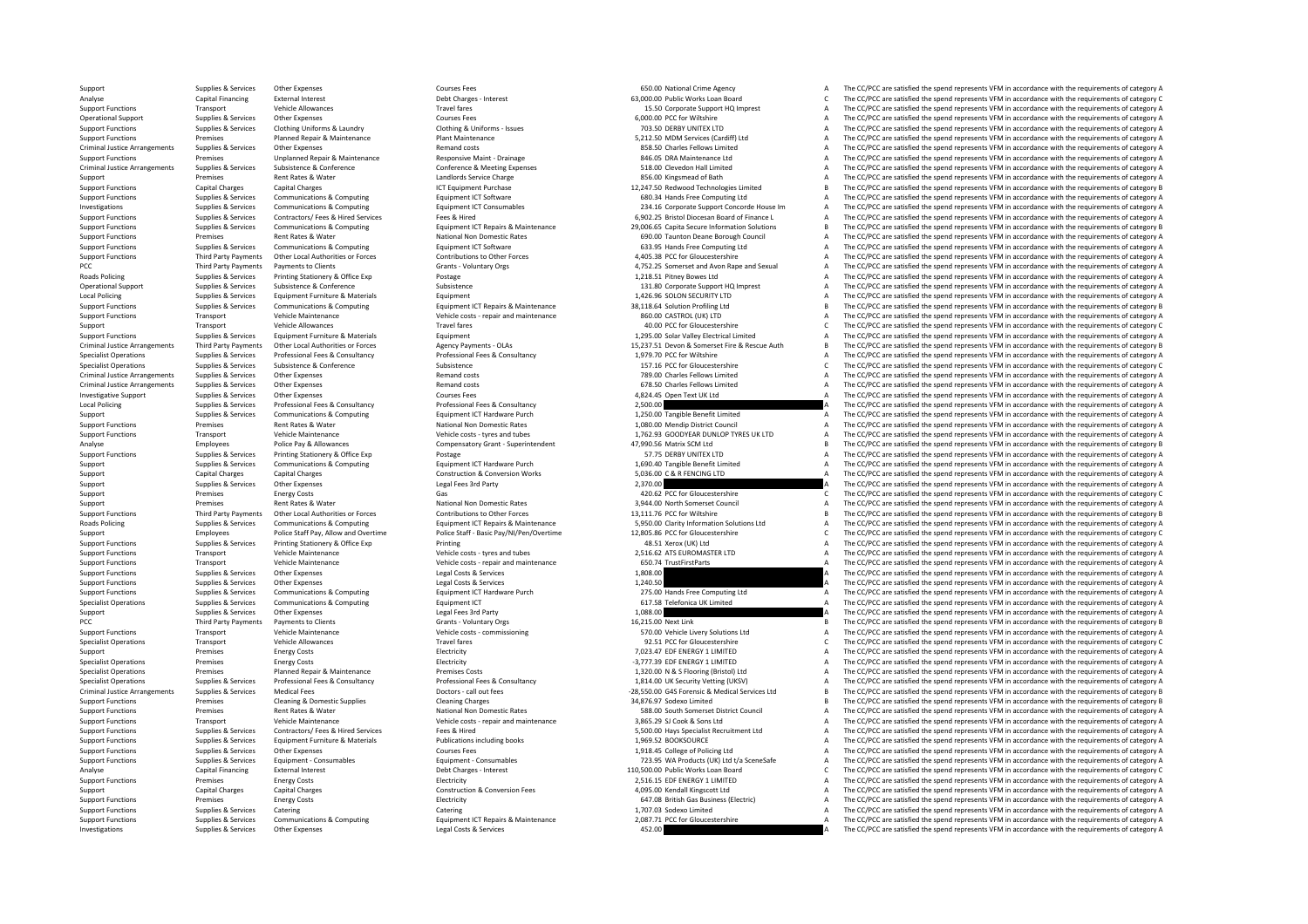Criminal JusticeCriminal JusticePCC Third**Roads Policing Local Policing** Criminal JusticeCriminal JusticeCriminal Justice**Local Policing Roads Policing** PCC Third Party Payments Criminal Justice

Support Supplies & Services Other Expenses Courses Fees Courses Fees Courses Fees 650.00 National Crime Agency A The CC/PCC are satisfied the spend represents VFM in accordance with the requirements of category A

Analyse Capital Financing External Interest Debt Charges – Interest Debt Charges – Interest External Interest Debt Charges – Interest 63,000.00 Public Works Loan Board C The CC/PCC are satisfied the spend represents VFM in Support Functions Transport Vehicle Allowances Travel fares Transport A The CC/PC are satisfied the spend represents VFM in accordance with the requirements of category A The CC/PC are satisfied the spend represents VFM in Operational Support Supplies & Services Other Expenses Courses Fees Courses Fees Courses Fees 6,000.00 PCC for Wiltshire A The CC/PCC are satisfied the spend represents VFM in accordance with the requirements of category A Support Functions Supplies & Services Clothing Uniforms & Laundry Clothing & Uniforms - Issues Clothing & Uniforms - Issues 703.50 DERBY UNITEX LTD 703.50 DERBY UNITEX LTD A The CC/PCC are satisfied the spend represents VF Support Functions Premises Planned Repair & Maintenance Plant Maintenance Plant Maintenance Plant Maintenance Plant Maintenance S.212.50 MDM Services (Cardiff) Ltd A The CC/PCC are satisfied the spend represents VFM in acc Arrangements Supplies & Services Other Expenses Charles Remand costs and the Content of Content Content of Content Content A CONSTRAT CONSTRAT (2007) A Services Other Expenses Research Other Preminents of category A The CC Support Functions Premises Unplanned Repair & Maintenance Responsive Maint - Drainage 846.05 DRA Maintenance Ltd A The CC/PCC are satisfied the spend represents VFM in accordance with the requirements of category A Arrangements Subsistence & Conference Conference & Meeting Expenses Subsistence & Conference & Meeting Expenses 518.00 Clevedon Hall Limited A The CC/PCC are satisfied the spend represents VFM in accordance with the requir Support Premises Rent Rates & Water Mater Landlords Service Charge 2012 and a SS6.00 Kingsmead of Bath A The CC/PCC are satisfied the spend represents VFM in accordance with the requirements of category A Support Functions The CC/PCC are satisfied the spend represents VFM in accordance with the requirements of category B Support Functions Supplies & Services Communications & Computing Equipment ICT Software Equipment ICT Software 680.34 Hands Free Computing Ltd A The CC/PCC are satisfied the spend represents VFM in accordance with the requ The CC/PCC are satisfied the spend represents VFM in accordance with the requirements of category A Suppliers and the contractors of the services of the services of the services of the contractors of the contractors of the contractors of the contractors of the contractors of the contractors of the contractors of the cont The CC/PCC are satisfied the spend represents VEM in accordance with the requirements of category B Support Functions Premises Rent Rates & Water National Non Domestic Rates 690.00 Taunton Deane Borough Council A The CC/PCC are satisfied the spend represents VFM in accordance with the requirements of category A Support F The  $C$ C/PCC are satisfied the spend represents VEM in accordance with the requirements of category  $\Delta$ Exampled the control of the control of the control of the control of the control of the control of the control of the control of the control of the control of the control of the control of the control of the control of the Party Payments Payments to Clients Grants Clients Grants Voluntary Orgs and A the 2,752.25 Somerset and Avon Rape and Sexual A The CC/PCC are satisfied the spend represents VFM in accordance with the requirements of catego Policing Supplies & Services Printing Stationery & Office Exp Postage Printing Stationery A Postage Postage Postage 1,218.51 Pitney Bowes Ltd A The CC/PCC are satisfied the spend represents VFM in accordance with the requi Operational Subsistence Subsistence Subsistence Conference Subsistence and Conference Subsistence Subsistence A The CC/PCC are satisfied the spend represents VFM in accordance with the requirements of category A Equipment Policing Supplies & Services Equipment Furniture & Materials Equipment Equipment Equipment Equipment Equipment Equipment Computer and the spend of the spend of the CC/PCC are satisfied the spend represents VFM in accordanc Supplies & Services Communications & Computing Communications Computing Equipment ICT Repairs & Maintenance 38,118.64 Solution Profiling Ltd B The CC/PCC are satisfied the spend represents VFM in accordance with the requir Support Functions Transport Vehicle Maintenance Vehicle costs - repair and maintenance 860.00 CASTROL (UK) LTD A The CC/PCC are satisfied the spend represents VFM in accordance with the requirements of category A Support Transport Vehicle Allowances Travel fares Travel fares Travel fares and the spend operations and the CC/PCC are satisfied the spend represents VFM in accordance with the requirements of category C Support Functions Supplies & Services Equipment Furniture & Materials Equipment Equipment 1,295.00 Solar Valley Electrical Limited A The CC/PCC are satisfied the spend represents VFM in accordance with the requirements of category A Third Party Payments Other Local Authorities or Forces Magency Payments - OLAs 15,237.51 Devon & Somerset Fire & Rescue Auth B The CC/PCC are satisfied the spend represents VFM in accordance with the requirements of catego Supplies & Services Professional Fees & Consultancy Professional Fees & Consultancy Professional Fees & Consultancy Professional Fees & Consultancy 1.979.70 PCC for Willtshire Services A The CC/PCC are satisfied the spend Specialist Operations Supplies & Services Subsistence Subsistence Subsistence Subsistence Subsistence Subsistence Subsistence Subsistence Subsistence Subsistence Subsistence Subsistence Subsistence Subsistence Subsistence Supplies & Services Other Expenses 2011 Charles Remand costs Remand costs Remand costs Remand costs and the Services and The CC/PCC are satisfied the spend represents VFM in accordance with the requirements of category A Arrangements Supplies & Services Other Expenses Remand costs 678.50 Charles Fellows Limited A The CC/PCC are satisfied the spend represents VFM in accordance with the requirements of category A Investigative Support Supplies & Services Other Expenses A Courses Fees Courses Fees 4,824.45 Open Text UK Ltd A The CC/PCC are satisfied the spend represents VFM in accordance with the requirements of category A Policing Supplies & Services Professional Fees & Consultancy Professional Fees & Consultancy Professional Fees & Consultancy 2,500.00 2,500.00 A The CC/PCC are satisfied the spend represents VFM in accordance with the requ Supplies & Services Communications & Computing Equipment ICT Hardware Purch 1,250.00 Tangible Benefit Limited A The CC/PCC are satisfied the spend represents VFM in accordance with the requirements of category A Support Functions Premises Rent Rates & Water Mational Non Domestic Rates 1,080.00 Mendip District Council A The CC/PCC are satisfied the spend represents VFM in accordance with the requirements of category A Support Funct Support Functions Transport Vehicle Maintenance Vehicle costs – tyres and tubes 1,762.93 GOODYEAR DUNLOP TYRES UK LTD A The CC/PCC are satisfied the spend represents VFM in accordance with the requirements of category A Co Analyse Employees Police Pay & Allowances Compensatory Grant - Superintendent 47,990.56 Matrix SCM Ltd B The CC/PCC are satisfied the spend represents VFM in accordance with the requirements of category B Support Functions Supplies & Services Printing Stationery & Office Exp Postage Protage Postage States Postage 1691 Postage 57.75 DERBY UNITEX LTD STATISTIC ARE CONTENTION A The CC/PCC are satisfied the spend represents VFM Support Supplies & Services Communications & Computing Equipment ICT Hardware Purch 1,690.40 Tangible Benefit Limited A The CC/PCC are satisfied the spend represents VFM in accordance with the requirements of category A Su Support Capital Charges Capital Charges Construction & Construction & Conversion Works 5,036.00 C & R FENCING LTD A The CC/PCC are satisfied the spend represents VFM in accordance with the requirements of category A Supplies & Services Other Expenses Legal Fees 3rd Party 2,370.00 2,370.00 A The CC/PCC are satisfied the spend represents VFM in accordance with the requirements of category A Support Contract Contract Contract Gas and Contract Contract Contract Contract Contract Contract Contract Contract Contract Contract Contract Contract Contract Contract Contract Contract Contract Contract Contract Contract Support Premises Rent Rates & Water Mational Non Domestic Rates 3,944.00 North Somerset Council A The CC/PCC are satisfied the spend represents VFM in accordance with the requirements of category A Support Functions Third Party Payments Other Local Authorities or Forces Contributions to Other Forces Contributions to Other Forces and the man and the man and the man and the COPCC are satisfied the spend represents VFM Supplies & Services Communications & Computing Communications Computing Equipment ICT Repairs & Maintenance S.950.00 Clarity Information Solutions Ltd A The CC/PCC are satisfied the spend represents VFM in accordance with Control of the C/PCC are satisfied the spend represents VFM in accordance with the requirements of category C والتعاون والمستعمل المستعمل المستعمل المستعمل المستعمل المستعمل المستعمل المستعمل المستعمل المستعمل المستعمل الم Support Functions Supplies & Services Printing Stationery & Office Exp Printing Printing Printing 48.51 Xerox (UK) Ltd A The CC/PCC are satisfied the spend represents VFM in accordance with the requirements of category A Support Functions Transport Vehicle Maintenance Vehicle Costs – tyres and tubes 2,516.62 ATS EUROMASTER LTD A The CC/PCC are satisfied the spend represents VFM in accordance with the requirements of category A Support Func Support Functions Transport Vehicle Maintenance Vehicle costs – repair and maintenance and maintenance and the SUPPOS TrustFirstParts A The CC/PCC are satisfied the spend represents VFM in accordance with the requirements Supplies & Services Other Expenses Support Functions Support Functions Legal Costs & Services Legal Costs & Services 1,808.00 A The CC/PCC are satisfied the spend represents VFM in accordance with the requirements of categ Support Functions Supplies & Services Other Expenses Legal Costs Computing Legal Costs & Services Legal Costs & Services Legal Costs & Services Legal Costs & Services Legal Costs & Services Legal Costs & Services Legal Cos Supplies & Services Communications & Computing Equipment ICT Hardware Purch 275.00 Hands Free Computing Ltd A The CC/PCC are satisfied the spend represents VFM in accordance with the requirements of category A Specialist Operations Supplies & Services Communications & Computing Equipment ICT Equipment ICT 617.58 Telefonica UK Limited A The CC/PCC are satisfied the spend represents VFM in accordance with the requirements of categ Support Support Support Other Expenses Legal Fees 3rd Party 1,088.00 1,088.00 A The CC/PCC are satisfied the spend represents VFM in accordance with the requirements of category A Third Party Payments Payments to Clients Grants Vibrants - Voluntary Orgs Grants Voluntary Orgs 16,215.00 Next Link B The CC/PCC are satisfied the spend represents VFM in accordance with the requirements of category B Vehi Support Functions Transport Vehicle Maintenance Vehicle costs – commissioning 570.00 Vehicle Livery Solutions Ltd A The CC/PCC are satisfied the spend represents VFM in accordance with the requirements of category A Specialist Operations Transport Vehicle Allowances Travel fares Transport Vehicle Allowances Travel fares Transport C The CC/PC are satisfied the spend represents VFM in accordance with the requirements of category C The C Support Premises Energy Costs Energy Costs Electricity Function and the COST of the COPCC are satisfied the spend represents VFM in accordance with the requirements of category A The COPCC are satisfied the spend represent Specialist Operations Premises Energy Costs Energy Costs Electricity Electricity Electricity Electricity Electricity energy and the material of the Specialist Operations and represents VFM in accordance with the requiremen The CC/PCC are satisfied the spend represents VFM in accordance with the requirements of category A Supplies & Services And Professional Fees & Consultancy Professional Fees & Consultancy Professional Fees & Consultancy Professional Fees & Consultancy Professional Fees & Consultancy Professional Fees & Consultancy Profes Arrangements of category Bertons - call out fees -28,550.00 G4S Forensic & Medical Services Ltd B The CC/PCC are satisfied the spend represents VFM in accordance with the requirements of category B Support Functions Premises Cleaning & Domestic Supplies Cleaning Charges Cleaning Charges Cleaning Charges Cleaning Charges Support Bunch and the CC/PC are satisfied the spend represents VFM in accordance with the requirem Support Functions Premises Rent Rates & Water National Non Domestic Rates National Non Domestic Rates Same District Council Support Functions A The CC/PCC are satisfied the spend represents VFM in accordance with the requi Support Functions Vehicle Costs - repair and maintenance and and the and the Support of the Support Vehicle Costs - repair and maintenance and maintenance and the Support of the Support of the Support of the Support A The Supplies & Services Contractors/ Fees Mired Services Pees & Hired Pees & Hired Pees & Hired Pees & Hired Pees & Hired Pees & Hired Pees & Hired Pees & Hired Pees & Hired Pees & Hired Pees & Hired Pees & Hired Pees & Hired Support Functions Supplies & Services Equipment Furniture & Materials Publications including books 1,969.52 BOOKSOURCE A The CC/PCC are satisfied the spend represents VFM in accordance with the requirements of category A Support Functions Supplies & Services Other Expenses Courses Fees Courses Fees 1,918.45 College of Policing Ltd A The CC/PCC are satisfied the spend represents VFM in accordance with the requirements of category A Supplies & Services Equipment - Consumables Equipment - Consumables Equipment - Consumables Equipment - Consumables Capital and the COS of the COS of the COS of the COS of the COS of the COS of the COS of the COS of the CO Analyse Capital Financing External Interest Debt Charges – Interest Debt Charges – Interest 110,500.00 Public Works Loan Board C The CC/PCC are satisfied the spend represents VFM in accordance with the requirements of cate Support Functions Premises Energy Costs Flectricity **Electricity 2,516.15** EDE ENERGY 1 LIMITED A The CC/PCC are satisfied the spend represents VFM in accordance with the requirements of category A Support Capital Charges Capital Charges Capital Charges Construction & Conversion Fees 4,095.00 Kendall Kingscott Ltd A The CC/PCC are satisfied the spend represents VFM in accordance with the requirements of category A Su Support Functions Premises Energy Costs Energy Costs Electricity Electricity Electricity Electricity Electricity and the spend and the CC/PCC are satisfied the spend represents VFM in accordance with the requirements of ca Support Functions Supplies & Services Catering Catering Catering Catering Catering Catering Catering Catering Catering Catering Catering Catering A The CC/PCC are satisfied the spend represents VFM in accordance with the r Supplies & Services Communications & Computing Equipment ICT Repairs & Maintenance 2087.71 PCC for Gloucestershire A The CC/PCC are satisfied the spend represents VFM in accordance with the requirements of category A Investigations Supplies & Services Other Expenses A Legal Costs & Services 452.00 A The CC/PCC are satisfied the spend represents VFM in accordance with the requirements of category A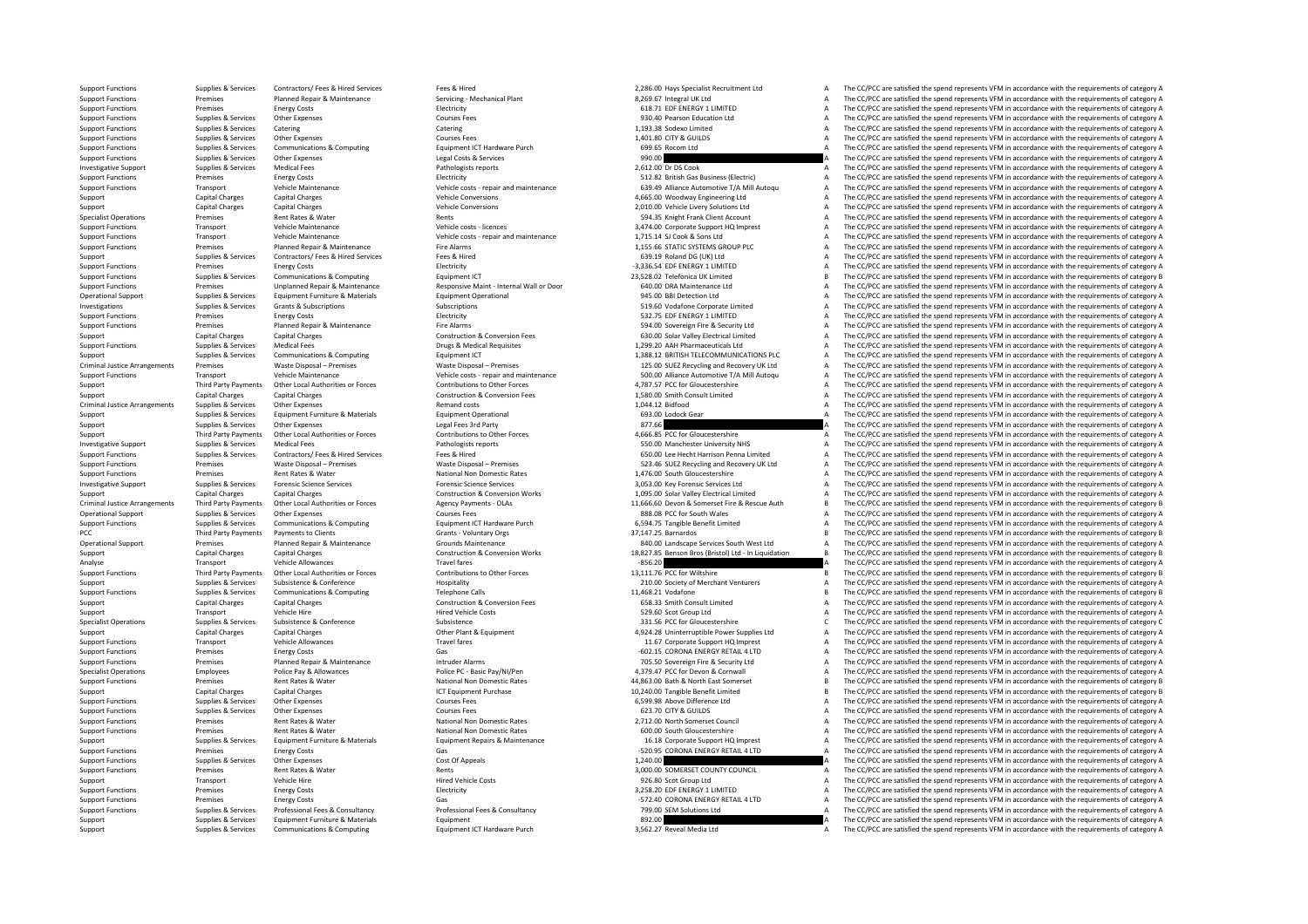Criminal JusticeCriminal JusticeCriminal JusticePCC Third Party Payments

Supplies & Services Contractors/ Fees & Hired Services Fees & Hired Fees & Hired Fees & Hired Fees & Hired Fees & Hired Fees & Hired Fees & Hired Fees & Hired Fees & Hired Fees & Hired Fees & Hired Fees & Hired Fees & Hire Support Functions Premises Planned Repair & Maintenance Servicing - Mechanical Plant Servicing - Mechanical Plant 8,269.67 Integral UK Ltd A The CC/PCC are satisfied the spend represents VFM in accordance with the requirem Support Functions Premises Energy Costs Electricity Functions Electricity 618.71 EDE ENERGY 1 LIMITED A The CC/PCC are satisfied the spend represents VFM in accordance with the requirements of category A Support Functions Supplies & Services Other Expenses Courses Fees Courses Fees Support Function Ltd A The CC/PCC are satisfied the spend represents VFM in accordance with the requirements of category A Support Functions Su Support Functions Supplies & Services Catering Catering Catering Catering Catering Catering Catering Catering Catering Catering Catering Catering Catering Catering Catering Catering Catering Catering Catering Catering Cate Support Functions Supplies & Services Other Expenses Courses Fees Courses Fees Courses Fees 1,401.80 CITY & GUILDS A The CC/PCC are satisfied the spend represents VFM in accordance with the requirements of category A Suppo Support Functions Supplies & Services Communications & Computing Equipment ICT Hardware Purch 699.65 Rocom Ltd A The CC/PCC are satisfied the spend represents VFM in accordance with the requirements of category A Support Functions Supplies & Services Other Expenses Legal Costs & Services Legal Costs & Services Legal Costs & Services Pathologists reports and the CC/PCC are satisfied the spend represents VFM in accordance with the re Investigative Support Supplies & Services Medical Fees Pathologists Pathologists reports Pathologists reports 2,612.00 Dr DS Cook A The CC/PCC are satisfied the spend represents VFM in accordance with the requirements of c Support Functions Premises Energy Costs Energy Costs Electricity Electricity Electricity 512.82 British Gas Business (Electricity A The CC/PCC are satisfied the spend represents VFM in accordance with the requirements of c Transport Vehicle Maintenance Maintenance Vehicle costs - repair and maintenance 639.49 Alliance Automotive T/A Mill Autoqu A The CC/PCC are satisfied the spend represents VFM in accordance with the requirements of categor Support Capital Charges Capital Charges Capital Charges Vehicle Conversions Vehicle Conversions 4,665.00 Woodway Engineering Ltd A The CC/PCC are satisfied the spend represents VFM in accordance with the requirements of ca Support Capital Charges Capital Charges Vehicle Conversions Vehicle Conversions 2,010.00 Vehicle Livery Solutions Ltd A The CC/PCC are satisfied the spend represents VFM in accordance with the requirements of category A Specialist Operations Premises Rent Rates & Water Rents 594.35 Knight Frank Client Account A The CC/PCC are satisfied the spend represents VFM in accordance with the requirements of category A The CC/PCC are satisfied the spend represents VEM in accordance with the requirements of category  $\Delta$ Support Functions Transport Vehicle Maintenance Vehicle costs - repair and maintenance Vehicle costs - repair and maintenance 1,715.14 SJ Cook & Sons Ltd A The CC/PCC are satisfied the spend represents VFM in accordance wi Premises Planned Repair & Maintenance Fire Alarms Functions Premises Premises and The CC/PC are satisfied the spend represents VFM in accordance with the requirements of category A Supplies Agentics Contractors/ Fees & Hired Supplies Contractors/ Fees & Hired Services Fees & Hired Services Fees & Hired Services Fees & Hired Services Fees & Hired Services Fees & Hired Services Fees and The CC/PCC are Support Functions Premises Energy Costs Energy Costs Energy Costs Electricity Electricity Electricity Electricity Electricity and the Support Functions A The CC/PCC are satisfied the spend represents VFM in accordance with Support Functions Supplies & Services Communications & Computing Equipment ICT Equipment ICT 23,528.02 Telefonica UK Limited B The CC/PCC are satisfied the spend represents VFM in accordance with the requirements of catego Unplanned Repair & Maintenance Mesponsive Maint-Internal Wall or Door 640.00 DRA Maintenance Ltd and The CC/PCC are satisfied the spend represents VFM in accordance with the requirements of category A<br>
Furiment Furniture & Operational Support Supplies & Services Equipment Furniture & Materials Equipment Operational Equipment Operational 945.00 BBI Detection Ltd A The CC/PCC are satisfied the spend represents VFM in accordance with the requir Investigations Supplies & Services Grants & Subscriptions Subscriptions Subscriptions Subscriptions Subscriptions Subscriptions Subscriptions Subscriptions Subscriptions Subscriptions Subscriptions Subscriptions Subscripti Support Functions Premises Energy Costs Energy Costs Electricity Electricity Electricity Electricity S32.75 EDF ENERGY 1 LIMITED A The CC/PCC are satisfied the spend represents VFM in accordance with the requirements of ca Support Functions Premises Planned Repair & Maintenance Fire Alarms 594.00 Sovereign Fire & Security Ltd A The CC/PCC are satisfied the spend represents VFM in accordance with the requirements of category A Support Capital Charges Capital Charges Capital Charges Construction & Conversion Fees 630.00 Solar Valley Electrical Limited A The CC/PCC are satisfied the spend represents VFM in accordance with the requirements of categ Support Functions Supplies & Services Medical Fees Drugs & Medical Fees Drugs & Medical Requisites Drugs & Medical Requirement CT. A The CC/PCC are satisfied the spend represents VFM in accordance with the requirements of Support Support Support Communications & Computing Equipment ICT Equipment ICT 1,388.12 BRITISH TELECOMMUNICATIONS PLC A The CC/PCC are satisfied the spend represents VFM in accordance with the requirements of category A Arranges Waste Disposal – Premises Waste Disposal – Premises Waste Disposal – Premises 125.00 SUEZ Recycling and Recovery UK Ltd A The CC/PCC are satisfied the spend represents VFM in accordance with the requirements of ca Transport Vehicle Maintenance Vehicle costs - repair and maintenance SOO.00 Alliance Automotive T/A Mill Autoqu A The CC/PCC are satisfied the spend represents VFM in accordance with the requirements of category A Third Party Payments Other Local Authorities or Forces Contributions to Other Forces And a Contributions to Other Forces 4,787.57 PCC for Gloucestershire A The CC/PCC are satisfied the spend represents VFM in accordance wi Support Capital Charges Capital Charges Capital Charges Construction & Conversion Fees 1,580.00 Smith Consult Limited A The CC/PCC are satisfied the spend represents VFM in accordance with the requirements of category A Arrangements Supplies Arrangements Other Expenses Remand costs and the Remand costs and the Supplies A The CC/PCC are satisfied the spend represents VFM in accordance with the requirements of category A Supplies A Supplies Supplies & Services Equipment Furniture & Materials Equipment Operational Equipment Operational Equipment Operational 693.00 Lodock Gear A The CC/PCC are satisfied the spend represents VFM in accordance with the requiremen Supplies & Services Other Expenses Legal Fees 3rd Party Party Party and A The CC/PCC are satisfied the spend represents VFM in accordance with the requirements of category A Support Support Third Party Party 97.66 A The CC Third Party Payments Other Local Authorities or Forces Contributions to Other Forces Contributions to Other Forces 4,666.85 PCC for Gloucestershire A The CC/PCC are satisfied the spend represents VFM in accordance with the Investigative Support Support Support Support Support Medical Fees Medical Fees Pathologists reports Pathologists reports and the spend of the CC/PCC are satisfied the spend represents VFM in accordance with the requiremen Supplies & Services Contractors/Fees & Hired Services Fees & Hired Fees & Hired Fees & Hired Fees & Hired Services Fees & Hired Services Fees & Hired Services Fees & Hired Services Fees & Hired Services Fees & Hired Servic Support Functions Premises Waste Disposal – Premises Waste Disposal – Premises Same in the Support Functions of the Support Functions of the Support of the Support of the Support of the Support of the Support of the Suppor Support Functions Premises Rent Rates & Water National Non Domestic Rates National Non Domestic Rates 1,476.00 South Gloucestershire A The CC/PCC are satisfied the spend represents VFM in accordance with the requirements o Supplies & Services Forensic Science Services Celence Services Celence Services Celence Services Celence Services Celence Services and Supplies (Supplies Celence Celence of The CC/PCC are satisfied the spend represents VFM Support Capital Charges Capital Charges Construction & Conversion Works 1,095.00 Solar Valley Electrical Limited A The CC/PCC are satisfied the spend represents VFM in accordance with the requirements of category A The CC/ Third Party Payments Other Local Authorities or Forces and Apency Payments - OI As and the space of the COME of the COPCC are satisfied the spend represents VFM in accordance with the requirements of category B Operational Support Supplies & Services Other Expenses Courses Fees Courses Fees 888.08 PCC for South Wales A The CC/PCC are satisfied the spend represents VFM in accordance with the requirements of category A For the control of the C/PCC are attisted the spend represents VFM in accordance with the requirements of category A<br>Proport Functions Supplies & Services Communications & Computing Schaff Equipment ICT Hardware Purch and Payments to Clients Crains Crains - Voluntary Orgs and the Sammandos B The CC/PCC are satisfied the spend represents VFM in accordance with the requirements of category B and the spend represents VFM in accordance with the Operational Support Premises Planned Repair & Maintenance Grounds Maintenance Grounds Maintenance and a services South West Ltd A The CC/PCC are satisfied the spend represents VFM in accordance with the requirements of cat Capital Charges Capital Charges Capital Charges Construction & Construction & Conversion Works 18,827.85 Benson Bros (Bristol) Ltd - In Liquidation B The CC/PCC are satisfied the spend represents VFM in accordance with the Analyse Transport Vehicle Allowances Travel fares Travel fares Travel fares and the CONTENT CONTENT ACCONTENT CONTENT A The CC/PCC are satisfied the spend represents VFM in accordance with the requirements of category B<br>A Third Party Payments Other Local Authorities or Forces Forces Contributions to Other Forces 21,111.76 PCC for Wiltshire Buby and the CC/PCC are satisfied the spend represents VFM in accordance with the requirements of cate Supplies & Supplies & Subsistence & Conference and Hospitality Hospitality and the Conference Hospitality and the Support Conference and the CO/PCC are satisfied the spend represents VFM in accordance with the requirements Supplies & Services Communications & Computing Telephone Calls The Computing Telephone Calls 11,468.21 Vodafone B The CC/PCC are satisfied the spend represents VFM in accordance with the requirements of category B Support Capital Charges Capital Charges Capital Charges Construction & Conversion Fees 658.33 Smith Consult Limited A The CC/PCC are satisfied the spend represents VFM in accordance with the requirements of category A Supp Support Transport Vehicle Hire Vehicle Costs Fired Vehicle Costs 529.60 Scot Group Ltd A The CC/PCC are satisfied the spend represents VFM in accordance with the requirements of category A Specialist Operations Supplies & Services Subsistence Subsistence Subsistence Subsistence Subsistence Subsistence Subsistence Subsistence Subsistence Subsistence and the Subsistence of Conference Subsistence and the CONFER The CC/PCC are satisfied the spend represents VFM in accordance with the requirements of category A Support Functions Transport Transport Vehicle Allowances Travel fares Travel fares Travel fares 11.67 Corporate Support HQ Imprest A The CC/PCC are satisfied the spend represents VFM in accordance with the requirements of Support Functions Premises Finergy Costs Gas Gas Gas Contacts Concerned Contacts Concerned Contacts Concerned A The CC/PCC are satisfied the spend represents VFM in accordance with the requirements of category A Support Functions Premises Planned Repair & Maintenance Intruder Alarms and Alarms 705.50 Sovereign Fire & Security Ltd A The CC/PCC are satisfied the spend represents VFM in accordance with the requirements of category A Species Police PC · Basic Pay/NI/Pen **And the Specialist Operations Police Pay A** The CC/PCC are satisfied the spend represents VFM in accordance with the requirements of category A 44.863.00 Bath & North East Somerset A S Support Functions Premises Rent Rates Rent Rates Rent Rates National Non Domestic Rates 44,863.00 Bath & North East Somerset B The CC/PCC are satisfied the spend represents VFM in accordance with the requirements of catego Support Capital Charges Capital Charges Capital Charges ICT Equipment Purchase 10,240.00 Tangible Benefit Limited B The CC/PCC are satisfied the spend represents VFM in accordance with the requirements of category B Support Functions Supplies & Services Other Expenses Courses Fees Courses Fees Courses Fees 6,599.98 Above Difference Ltd A The CC/PCC are satisfied the spend represents VFM in accordance with the requirements of category Support Functions Supplies & Services Other Expenses Courses Fees Courses Fees Courses Fees 623.70 CITY & GUILDS A The CC/PCC are satisfied the spend represents VFM in accordance with the requirements of category A Support Support Functions Premises Rent Rates Rent Rates Rent Rates Rent Rates Are National Non Domestic Rates 2,712.00 North Somerset Council A The CC/PCC are satisfied the spend represents VFM in accordance with the requirements Support Functions Premises Rent Rates & Water National Non Domestic Rates 600.00 South Gloucestershire A The CC/PCC are satisfied the spend represents VFM in accordance with the requirements of category A Supplies & Services Equipment Furniture & Materials Equipment Regairs & Maintenance 16.18 Corporate Support HO Imprest A The CC/PCC are satisfied the spend represents VFM in accordance with the requirements of category A Support Functions Premises Functions Functions Functions Functions Functions Functions Functions Premises Functions Functions Functions Functions Premises Functions Functions Functions Functions Premises Functions Funct Support Functions Supplies & Services Other Expenses Cost Of Appeals Cost Of Appeals Cost Of Appeals Cost Of Appeals 1,240.00 A The CC/PCC are satisfied the spend represents VFM in accordance with the requirements of categ Support Functions Premises Rent Rates & Water Rents Rents Rents Rents Rents Rents A The CC/PCC are satisfied the spend represents VFM in accordance with the requirements of category A Support Transport Vehicle Hire Website Hired Vehicle Costs Hired Vehicle Costs 926.80 Scot Group Ltd A The CC/PCC are satisfied the spend represents VFM in accordance with the requirements of category A Support Functions Premises Energy Costs Electricity Electricity and Electricity 3,258.20 EDE ENERGY 1 LIMITED A The CC/PCC are satisfied the spend represents VFM in accordance with the requirements of category A Support Functions Premises Energy Costs Energy Costs Consultancy Cas Gas Consultancy Costs Gas –572.40 CORONA ENERGY RETAIL 4 LTD A The CC/PCC are satisfied the spend represents VFM in accordance with the requirements of c Supplies & Services Professional Fees & Consultancy Professional Fees & Consultancy Professional Fees & Consultancy<br>
Support Support and the consultance of category A cause of category A cause of category A causa and the C Support Supplies & Services Equipment Furniture & Materials Equipment Equipment A Equipment Company and the Services and the CC/PCC are satisfied the spend represents VFM in accordance with the requirements of category A S Support Support Support Support Communications & Computing Equipment ICT Hardware Purch 3,562.27 Reveal Media Ltd A The CC/PCC are satisfied the spend represents VFM in accordance with the requirements of category A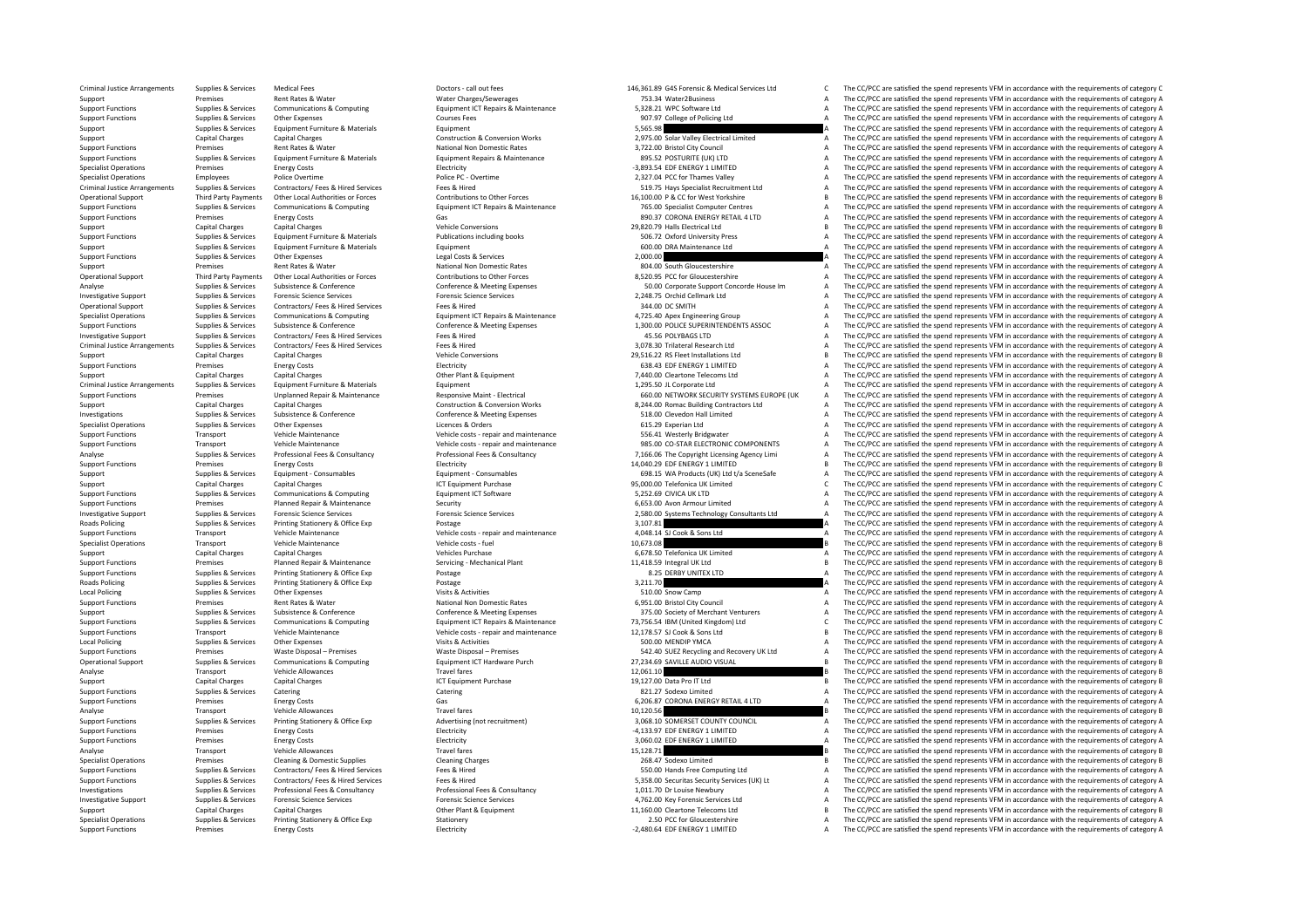Criminal JusticeCriminal JusticeCriminal JusticeCriminal Justice**Roads Policing** Roads Policing Local Policing **Local Policing** 

Support Functions Premises Energy Costs Electricity Electricity **Electricity Electricity Premises** Electricity **A Support Function A The CC/PCC** are satisfied the spend represents VFM in accordance with the requirement

Arrangements of category Call out fees Doctors - call out fees 146,361.89 G4S Forensic & Medical Services Ltd C The CC/PCC are satisfied the spend represents VFM in accordance with the requirements of category C Support Premises Rent Rates & Water Water Water Water Renairs A Mater2Business A The CC/PCC are satisfied the spend represents VFM in accordance with the requirements of category A The Crime of category A The Crime of cate of the Club of the Club of the Club of the Club of the Club of the Club of the Club of the Club of the Club of the Club of the Club of the Club of the Club of the Club of the Club of the Club of the Club of the Club of the Support Functions Supplies & Services Other Expenses Courses Fees Courses Fees Support Courses Courses Courses Fees Support Courses Fees Support Development of Category A The CC/PCC are satisfied the spend represents VFM i Support Supplies & Services Equipment Furniture & Materials Equipment Equipment Support Support Support Support A The CC/PCC are satisfied the spend represents VFM in accordance with the requirements of category A Support Capital Charges Capital Charges Capital Charges Construction & Conversion Works 2,975.00 Solar Valley Electrical Limited A The CC/PCC are satisfied the spend represents VFM in accordance with the requirements of ca Support Functions Premises Rent Rates & Water National Non Domestic Rates National Non Domestic Rates and the Satisfied City Council A The CC/PCC are satisfied the spend represents VFM in accordance with the requirements o Suppliers & Services Suppliers Faulthouse Equipment Renais Relations and CONSULTER ASS ANTENDANT CONSULTER AND SUPPLIER CONSULTER A Service CONSULTER AND A SUPPLIER CONSULTER A The CONSULTER AND A The CONSULTER AND A The C Specialist Operations Premises Energy Costs Energy Costs Electricity Electricity Electricity Electricity Electricity and the Spend I LIMITED A The CC/PCC are satisfied the spend represents VFM in accordance with the requir Specialist Operations Employees Police Overtime Police PC - Overtime Police PC - Overtime Police PC - Overtime<br>
Police Police Protections Police PC - Overtime Police PC - Overtime 2,327.04 PCC for Thames Valley A The CC/PC The CC/PCC are satisfied the spend represents VFM in accordance with the requirements of category A Operational Support Third Party Payments Other Local Authorities or Forces Contributions to Other Forces Contributions to Cher Forces and the managery and the COPCC are stisted the spend represents VFM in accordance with t The CC/PCC are satisfied the spend represents VFM in accordance with the requirements of category A Support Functions Premises Energy Costs Gas 890.37 Costs Gas 890.37 Costs Gas 890.37 Costs AREN'll AITD A The CC/PCC are satisfied the spend represents VFM in accordance with the requirements of category A<br>Costs Costs Cost Support Capital Charges Capital Charges Capital Charges Vehicle Conversions Vehicle Conversions 29,820.79 Halls Electrical Ltd B The CC/PCC are satisfied the spend represents VFM in accordance with the requirements of cate of the contract of the contract of the contract of the contract of the contract of the contract of the contract of the contract of the contract of the contract of the contract of the contract of the contract of the contrac Support Support Support Support Support Support Support Support Support Support Support Contract A The CC/PCC are satisfied the spend represents VFM in accordance with the requirements of category A The CC/PCC are satisfie Supplies Agentics Other Expenses Costs and the support of the services Costs and Costs and Costs and Costs and Costs and Costs and Costs and The CC/PCC are satisfied the spend represents VFM in accordance with the requirem Support Premises Rent Rates & Water National Non Domestic Rates Rent Rates and the CON Domestic Rates and the CONTENT CONTENT A The CC/PCC are satisfied the spend represents VFM in accordance with the requirements of categ Operational Support Third Party Payments Other Local Authorities or Forces Contributions to Other Forces Substeme Contributions to Cher Forces and a substance of category A The CC/PCC are satisfied the spend represents VFM Supplies & Services Subsistence & Conference Conference Conference & Meeting Expenses Conference & Meeting Expenses<br>
Supplies & Services Forensic Science Services Forensic Science Services Forensic Science Services Forensi Investigative Support Support Support Supplies & Services Forensic Science Services Forensic Science Services Forensic Science Services Forensic Science Services Science Services 2,248.75 Orchid Cellmark Ltd A The CC/PCC a Operational Support Supplies & Services Contractors/ Fees & Hired Services Fees & Hired Services Fees & Hired Services Fees & Hired Services Fees & Hired Services Fees & Hired Services Fees & Hired Services Fees & Hired Se Supplies & Services Communications & Computing Equipment ICT Repairs & Maintenance and A,725.40 Apex Engineering Group A,725.40 Apex Engineering Group A The CC/PCC are satisfied the spend represents VFM in accordance with Sunnort Functions Sunniles & Services Subsistence & Conference Conference Conference Supervine Fxpenses 1.300.00 POLICE SUPERINTENDENTS ASSOC. A The CC/PCC are satisfied the spend represents VEM in accordance with the requ Investigative Support Supplies & Services Contractors/ Fees & Hired Services Fees & Hired Services Fees & Hired 45.56 POLYBAGS LTD A The CC/PCC are satisfied the spend represents VFM in accordance with the requirements of Arrangements Supplies & Services Contractors/ Fees & Hired Services Fees & Hired 3,078.30 Trilateral Research Ltd A The CC/PCC are satisfied the spend represents VFM in accordance with the requirements of category A Support Capital Charges Capital Charges 2011 and Capital Charges Vehicle Conversions 29,516.22 RS Fleet Installations Ltd B The CC/PCC are satisfied the spend represents VFM in accordance with the requirements of category Support Functions Premises Energy Costs Energy Costs Electricity Electricity Electricity Electricity Electricity 638.43 EDF ENERGY 1 LIMITED A The CC/PCC are satisfied the spend represents VFM in accordance with the requir Support Capital Charges Capital Charges Capital Charges Other Plant & Equipment Plant & Equipment 7,440.00 Cleartone Telecoms Ltd A The CC/PCC are satisfied the spend represents VFM in accordance with the requirements of c Arrangement Equipment Equipment Equipment Equipment Equipment and Equipment and the COLEC are satisfied the spend represents VFM in accordance with the requirements of category A The CC/PCC are satisfied the spend represen of the controller of the C/PCC are attached the controller of the C/PCC are attacted the spend represents VFM in accordance with the requirements of category A and the material of the Summer of Category A and the controlle Support Capital Charges Capital Charges Capital Charges Construction & Conversion Works 8,244.00 Romac Building Contractors Ltd A The CC/PCC are satisfied the spend represents VFM in accordance with the requirements of cat Investigations Supplies & Supplies & Services Subsistence & Conference Conference & Meeting Expenses 518.00 Clevedon Hall Limited A The CC/PCC are satisfied the spend represents VFM in accordance with the requirements of c Specialist Operations Supplies & Corvices Other Expenses Corders Licences & Orders Licences & Orders Corders Corders 615.29 Experian Ltd A The CC/PCC are satisfied the spend represents VFM in accordance with the requiremen Support Functions Transport Vehicle Maintenance Vehicle costs - repair and maintenance S56.41 Westerly Bridgwater A The CC/PCC are satisfied the spend represents VFM in accordance with the requirements of category A The Cr Support Functions Transport Vehicle Maintenance Vehicle costs - repair and maintenance 985.00 CO-STAR ELECTRONIC COMPONENTS A The CC/PCC are satisfied the spend represents VFM in accordance with the requirements of categor Supplies & Services Professional Fees & Consultancy Professional Fees & Consultancy Professional Fees & Consultancy Professional Fees & Consultancy 7.166.06 The Convertent Licensing Agency Limi A The CC/PCC are satisfied t Support Functions Premises Energy Costs Energy Costs Electricity Electricity Electricity and the spend represents VFM in accordance with the requirements of category B Electricity Electricity and the spend represents VFM i Supplies & Services Equipment - Consumables Equipment • Consumables Equipment • Consumables Equipment • Consumables Equipment • Consumables and the spend represents VFM in accordance with the requirements of category A Sup Support Capital Charges Capital Charges Capital Charges Support Purchase 1CT Equipment Purchase 95,000.00 Telefonica UK Limited C The CC/PCC are satisfied the spend represents VFM in accordance with the requirements of cat Support Functions Support Communications & Communications & Computing Equipment ICT Software 5,252.69 CIVICA UK LTD A The CC/PCC are satisfied the spend represents VFM in accordance with the requirements of category A Support Functions and consider the premises Premises Planned Repair Repair of the Security 6,653.00 Avon Armour Limited A The CC/PCC are satisfied the spend represents VFM in accordance with the requirements of category A Investigative Support Support Support Support Support Support Forensic Science Services Forensic Science Services Forensic Science Services Forensic Science Services and The CC/PCC are satisfied the spend represents VFM in Policing Supplies & Services Printing Stationery & Office Exp Postage Printing Stationery & Office Exp Postage 3,107.81 A The CC/PCC are satisfied the spend represents VFM in accordance with the requirements of category A Support Functions Transport Vehicle Maintenance Vehicle costs - repair and maintenance 4,048.14 SJ Cook & Sons Ltd A The CC/PCC are satisfied the spend represents VFM in accordance with the requirements of category A Specialist Operations Transport Vehicle Maintenance Vehicle costs - fuel Vehicle costs - fuel 10,673.08 B The CC/PCC are satisfied the spend represents VFM in accordance with the requirements of category B Support Capital Charges Capital Charges Vehicles Purchase Vehicles Purchase Vehicles Purchase 6,678.50 Telefonica UK Limited A The CC/PCC are satisfied the spend represents VFM in accordance with the requirements of catego Support Functions Premises Planned Repair & Maintenance Servicing - Mechanical Plant 11,418.59 Integral UK Ltd Support Functions B The CC/PCC are satisfied the spend represents VFM in accordance with the requirements of ca Supplies & Services Printing Stationery & Office Exp Postage Printing Postage Printing States Printing Stationery & Office Exp Postage 8.25 DERBY UNITEX LTD A The CC/PCC are satisfied the spend represents VFM in accordance Policing Supplies & Services Printing Stationery & Office Exp Postage 3,211.70 A The CC/PCC are satisfied the spend represents VFM in accordance with the requirements of category A Supplies & Services Other Expendies Categ The CC/PCC are satisfied the spend represents VFM in accordance with the requirements of category A Support Functions Premises Rent Rates & Water Mater National Non Domestic Rates 6,951.00 Bristol City Council Council A The CC/PCC are satisfied the spend represents VFM in accordance with the requirements of category A Co Support Support Supporters Subsistence & Conference Conference Conference & Meeting Expenses 375.00 Society of Merchant Venturers A The CC/PCC are satisfied the spend represents VFM in accordance with the requirements of c Support Functions Supplies & Services Communications & Computing Equipment ICT Repairs & Maintenance 73,756.54 IBM (United Kingdom) Ltd C/PCC are satisfied the spend represents VFM in accordance with the requirements of ca Vehicle costs - repair and maintenance 12,178.57 SJ Cook & Sons Ltd 500 COOK B The CC/PCC are satisfied the spend represents VFM in accordance with the requirements of category B Spence 12,178.57 SJ Cook & Sons Ltd 500 COO Supplies Supplies Contract CENT A The CC/PC are satisfied the spend represents VFM in accordance with the requirements of category A The CC/PCC are satisfied the spend represents VFM in accordance with the requirements of Support Functions Premises Waste Disposal – Premises Waste Disposal – Premises Waste Disposal – Premises Waste Disposal – Premises 542.40 SUEZ Recycling and Recovery UK Ltd A The CC/PCC are satisfied the spend represents V Operational Support Supplies & Services Communications & Computing Equipment ICT Hardware Purch 27,234.69 SAVILLE AUDIO VISUAL BILE AUDIO VISUAL BILE AUDIO VISUAL BILE AND THE COPING THE COPING THE OPERATOR SATISfied the s 12,061.10 **The CC/PCC are satisfied the spend represents VFM** in accordance with the requirements of category B<br>19.127.00 Data Pro IT Ltd **B** The CC/PCC are satisfied the spend represents VFM in accordance with the require Support Capital Charges Capital Charges Capital Charges ICT Equipment Purchase 19,127.00 Data Pro IT Ltd B The CC/PCC are satisfied the spend represents VFM in accordance with the requirements of category B Support Categor Supplies Services Catering Catering Catering Catering Catering Support of CC/PCC are satisfied the spend represents VFM in accordance with the requirements of category A Support Functions Premises Energy Costs Gas Gas Gas Gas CORONA ENERGY RETAIL 4 LTD A The CC/PCC are satisfied the spend represents VFM in accordance with the requirements of category A Category A Category A Category A Cate Analyse Transport Vehicle Allowances Travel fares Travel fares Travel fares 10,120.56 B The CC/PCC are satisfied the spend represents VFM in accordance with the requirements of category B<br>Support Functions Supplies & Servi Supplies a comparison of the services of the property of the comparison of the comparison of the comparison of the comparison of the comparison of the comparison of the comparison of the comparison of the comparison of the Support Functions Premises Energy Costs Energy Costs Electricity Electricity Electricity Electricity Electricity energy and the spend represents VFM in accordance with the requirements of category A Support Functions Premises Energy Costs Electricity Electricity and the Support of the CC/PCC are satisfied the spend represents VFM in accordance with the requirements of category A Analyse Transport Vehicle Allowances Travel fares Travel fares Travel fares 15,128.71 B The CC/PCC are satisfied the spend represents VFM in accordance with the requirements of category B<br>1999 Specialist Operations Premise Premises Cleaning & Domestic Supplies Cleaning Charges Cleaning Charges Cleaning Charges 268.47 Sodexo Limited B The CC/PCC are satisfied the spend represents VFM in accordance with the requirements of category B Support Functions Supplies & Services Contractors/ Fees & Hired Services Fees & Hired Fees & Hired Fees & Hired Fees & Hired Services Fees & Hired Services Fees & Hired Services Fees & Hired Services Fees & Hired Services of the contractors of the contractors of the contractors of the contractors of the contractors of the contractors of the contractors of the contractors of the contractors of the contractors of the contractors of the contra 1.011.70 Dr Examples are the C/PCC are attisted the spend represents VFM in accordance with the requirements of category A Supplies & Services Professional Fees & Consultancy Professional Fees & Consultancy Professional Fe Investigative Support Support Support Support Support Support Forensic Science Services Forensic Science Services Forensic Science Services Forensic Science Services and A,762.00 Key Forensic Services Ltd A,762.00 Key Fore Support Capital Charges Capital Charges Capital Charges Capital Charges Other Plant & Equipment Charges Other Plant & Equipment 11,160.00 Cleartone Telecoms Ltd B The CC/PCC are satisfied the spend represents VFM in accord Supplies & Services Printing Stationery Stationery Stationery Stationery 2.50 PCC for Gloucestershire 2.480.64 DF ENERGY 1 LIMITED A The CC/PCC are satisfied the spend represents VFM in accordance with the requirements of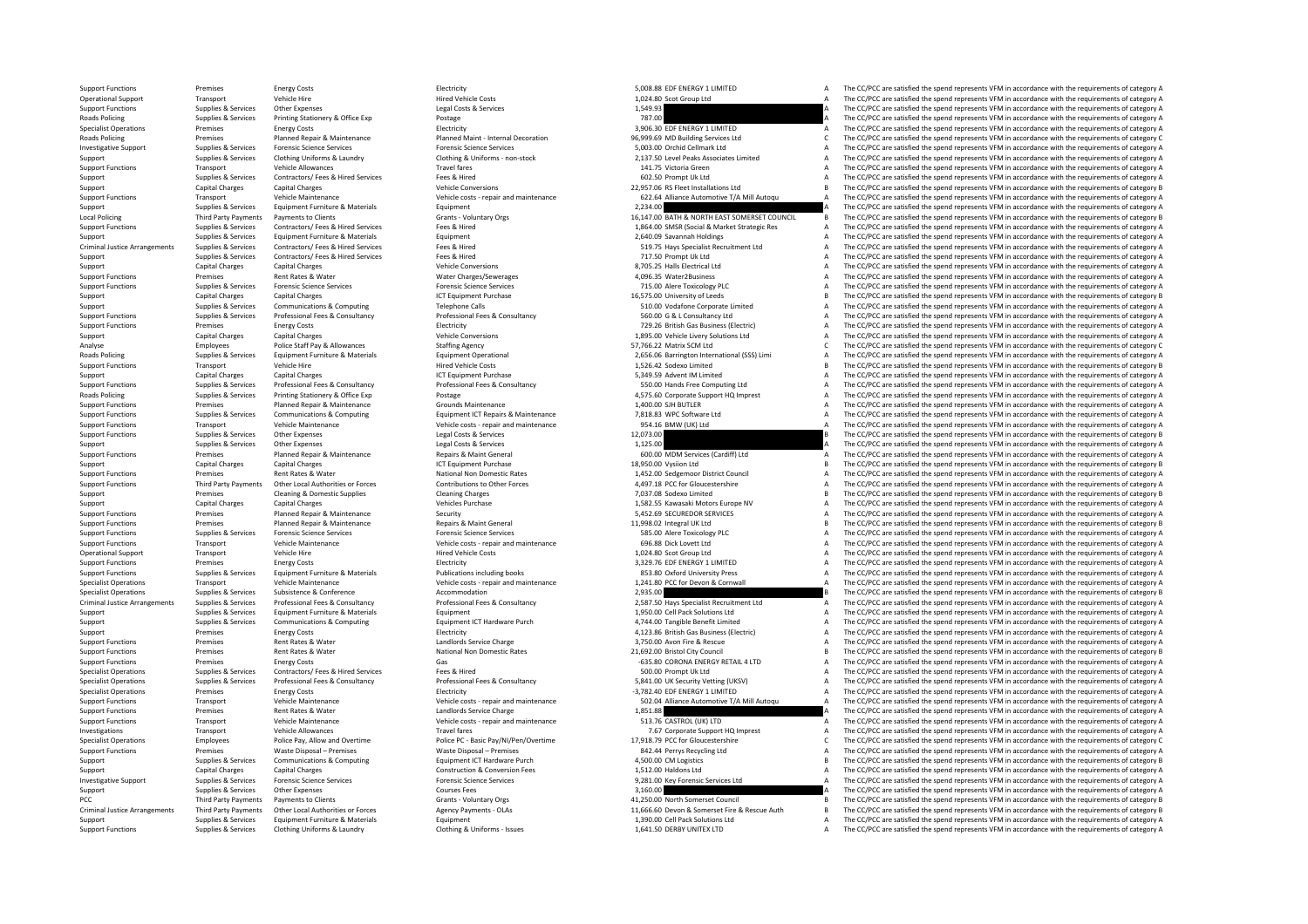**Roads Policing** Roads Policing Local Policing Criminal Justice**Roads Policing Roads Policing** Criminal JusticePCC Third Party Payments Criminal Justice

Support Functions Transport Vehicle Maintenance Vehicle costs - repair and maintenance 954.16 BMW (UK) Ltd (Vehicle costs - repair and maintenance 954.16 BMW (UK) Ltd (Vehicle costs - repair and maintenance 954.16 BMW (UK)

Support Functions Premises Energy Costs Energy Costs Electricity Electricity Electricity Electricity Electricity S,008.88 EDF ENERGY 1 LIMITED A The CC/PCC are satisfied the spend represents VFM in accordance with the requ Operational Support Transport Vehicle Hire Website Life Vehicle Costs Hired Vehicle Costs 1,024.80 Scot Group Ltd A The CC/PCC are satisfied the spend represents VFM in accordance with the requirements of category A Suppor Support Functions Supplies & Services Other Expenses Legal Costs & Services Legal Costs & Services Legal Costs & Services 1,549.93 A The CC/PCC are satisfied the spend represents VFM in accordance with the requirements of Policing Supplies Printing Stationery & Office Exp Portage Principles Principles and Decision of Category A The CC/PCC are satisfied the spend represents VEM in accordance with the requirements of category A The CC/PCC are Specialist Operations Premises Energy Costs Energy Costs and Electricity Electricity Electricity and Electricity and the manufacture and the spend of the Spend represents VFM in accordance with the requirements of category Premises Planned Repair & Maintenance Planned Maint - Internal Decoration 96,999.69 MD Building Services Ltd C The CC/PCC are satisfied the spend represents VFM in accordance with the requirements of category C Supplies & Investigative Support Supplies & Services Forensic Science Services Forensic Science Services Forensic Science Services Forensic Science Services Support Support Support Support Support Support Support Support Clemark Ltd Sunning Reprices Services Clothing Uniforms & Laundry Clothing Clothing Clothing Sunniforms Clothing Buniforms Clothing & Uniforms non-stock 2.137.50 Level Peaks Associates Limited A The CC/PCC are satisfied the spend repr Support Functions Transport Vehicle Allowances Travel fares Travel fares Travel fares Travel fares Travel fares 141.75 Victoria Green A The CC/PCC are satisfied the spend represents VFM in accordance with the requirements Support Supplies & Services Contractors/ Fees & Hired Services Fees & Hired Fees & Hired Fees & Hired Fees & Hired Fees & Hired Fees & Hired Fees & Hired Fees & Hired Pees & Hired Fees & Hired Services Fees & Hired Metale Support Capital Charges Capital Charges Capital Charges Vehicle Conversions Vehicle Conversions 22,957.06 RS Fleet Installations Ltd B The CC/PCC are satisfied the spend represents VFM in accordance with the requirements o Transport Vehicle Maintenance Vehicle Costs - repair and maintenance 622.64 Alliance Automotive T/A Mill Autoqu<br>Supplies & Services Equipment Furniture & Materials Equipment Equipment Equipment Cover and the content of cat Supplies & Supplies & Support Equipment Furniture & Materials Equipment Equipment Equipment 2,234.00 A The CC/PCC are satisfied the spend represents VFM in accordance with the requirements of category A The CC/PCC are sati Local Policing Third Party Payments Payments to Clients Grants Counters Grants Voluntary Orgs 16,147.00 BATH & NORTH EAST SOMERSET COUNCIL B The CC/PCC are satisfied the spend represents VFM in accordance with the require Contractors/ Fees & Hired Services Fees & Hired Fees & Hired Test & Hired Test & Market Strate and Holdings and Holdings (Contractors Care and The CC/PCC are satisfied the spend represents VFM in accordance with the requir Support Supplies & Services Equipment Furniture & Materials Equipment Equipment 2,640.09 Savannah Holdings A The CC/PCC are satisfied the spend represents VFM in accordance with the requirements of category A Contractor of The  $C$ C/PCC are satisfied the spend represents VFM in accordance with the requirements of category  $\Delta$ Support Supplies & Services Contractors/ Fees & Hired Services Fees & Hired Services Fees & Hired Services Fees & Hired Services Fees A The CC/PCC are satisfied the spend represents VFM in accordance with the requirements Support Capital Charges Capital Charges Capital Charges Capital Charges Vehicle Conversions 8, 705.25 Halls Electrical Ltd A The CC/PCC are satisfied the spend represents VFM in accordance with the requirements of category Support Functions Premises Premises Rent Rates & Water Mater Charges/Sewerages Premises A A Support Premises A The CC/PCC are satisfied the spend represents VFM in accordance with the requirements of category A Support Fun Supplies & Services Forensic Science Services Forensic Science Services Forensic Science Services Forensic Science Services 715.00 Alere Toxicology PLC A The CC/PCC are satisfied the spend represents VFM in accordance with Support Capital Charges Capital Charges ICT Equipment Purchase 16,575.00 University of Leeds and The CC/PCC are satisfied the spend represents VFM in accordance with the requirements of category B<br>Support Support Support o Support Support Support Communications & Communications Computing Telephone Calls 510.00 Vodafone Corporate Limited A The CC/PCC are satisfied the spend represents VFM in accordance with the requirements of category A Supplies & Services Professional Fees & Consultancy Professional Fees & Consultancy Professional Fees & Consultancy<br>
Professional Fees Professional Fees Accountance Professional Fees & Consultancy Professional Fees & Consu Support Functions Premises Energy Costs Energy Costs Electricity Electricity Electricity Electricity and The CC/PCC are satisfied the spend represents VFM in accordance with the requirements of category A Support Gas Busin Support Capital Charges Capital Charges Vehicle Conversions Vehicle Conversions 1,895.00 Vehicle Livery Solutions Ltd A The CC/PCC are satisfied the spend represents VFM in accordance with the requirements of category A Analyse Employees Police Staff Pay & Allowances Staffing Agency Staffing Agency Staffing Agency Staffing Agency C The CC/PCC are satisfied the spend represents VFM in accordance with the requirements of category C Staff Pa Supplies & Services Equipment Furniture & Materials Equipment Operational Supplies and the content of category A 2,656.06 Barrington International (SSS) Limi A The CC/PCC are satisfied the spend represents VFM in accordanc Support Functions Transport Vehicle Hire Metale Price Vehicle Costs Hired Vehicle Costs 1,526.42 Sodexo Limited a The CC/PCC are satisfied the spend represents VFM in accordance with the requirements of category B Support Support Capital Charges Capital Charges Capital Charges Capital Charges ICT Equipment Purchase ICT Equipment Purchase 1000 and Support Capital Charges A Support Charges A The CC/PCC are satisfied the spend represents VFM i Export Functions Supplies & Services Professional Fees & Consultancy Professional Fees & Consultancy Professional Fees & Consultancy Professional Fees & Consultancy Support Functions Associate the Support Functions of The Supplies A Services Printing Stationery & Office Exp Postage 4,575.60 Corporate Support HQ Imprest A The CC/PCC are satisfied the spend represents VFM in accordance with the requirements of category A Support Functions Premises Planned Repair & Maintenance Grounds Maintenance 1,400.00 SJH BUTLER A The CC/PCC are satisfied the spend represents VFM in accordance with the requirements of category A Supplies & Services Communications & Computing Equipment ICT Repairs & Maintenance 7,818.83 WPC Software Ltd a The CC/PCC are satisfied the spend represents VFM in accordance with the requirements of category A The CC/PCC are satisfied the spend represents VFM in accordance with the requirements of category A Supplies & Services Other Expenses Legal Costs & Services And Support Tunck of Costs and Costs and The COPCC are satisfied the spend represents VFM in accordance with the requirements of category B and the costs & Services Supplies & Services Other Expenses Legal Costs & Services Legal Costs & Services 1,125.00 A The CC/PCC are satisfied the spend represents VFM in accordance with the requirements of category A Support Functions Premises Planned Repair & Maintenance Repairs & Maint General Repairs & Maint General and Support Functions and the CC/PCC are satisfied the spend represents VFM in accordance with the requirements of cat Support Capital Charges Capital Charges ICT Equipment Purchase 18,950.00 Vysiion Ltd B The CC/PCC are satisfied the spend represents VFM in accordance with the requirements of category B Support Functions Premises Rent Rates & Water National Non Domestic Rates National Non Domestic Rates 1,452.00 Sedgemoor District Council A The CC/PCC are satisfied the spend represents VFM in accordance with the requireme Third Party Payments Other Local Authorities or Forces Contributions to Other Forces and the CAPILE of the CAPILE CAPILE ALLY CONNOCEDITE ARE COPIC are satisfied the spend represents VFM in accordance with the requirements Support Cleaning & Domestic Supplies Cleaning Cleaning Cleaning Charges Cleaning Charges 7,037.08 Sodexo Limited B The CC/PCC are satisfied the spend represents VFM in accordance with the requirements of category B Sodexo Support Capital Charges Capital Charges Capital Charges Vehicles Purchase 1,582.55 Kawasaki Motors Europe NV A The CC/PCC are satisfied the spend represents VFM in accordance with the requirements of category A Support Functions Premises Planned Repair & Maintenance Security Security Security SAS2.69 SECUREDOR SERVICES A The CC/PCC are satisfied the spend represents VFM in accordance with the requirements of category A Support Functions Premises Planned Repair & Maintenance Repairs Repairs Repairs Repairs Repairs Repairs Premises Planned Repairs Amaintenance Repairs Repairs Repairs Repairs Repairs Repairs Repairs Repairs Repairs Repairs Support Functions Supplies & Services Forensic Science Services Forensic Science Services Forensic Science Services Science Services Support Torensic Science Services SSS.00 Alere Toxicology PLC A The CC/PCC are satisfied Support Functions Transport Vehicle Maintenance Vehicle costs - repair and maintenance 696.88 Dick Lovett Ltd A The CC/PCC are satisfied the spend represents VFM in accordance with the requirements of category A Operational Support Transport Vehicle Hire Vehicle Hired Vehicle Costs Hired Vehicle Costs 1,024.80 Scot Group Ltd A The CC/PCC are satisfied the spend represents VFM in accordance with the requirements of category A Suppo Support Functions Premises Energy Costs Energy Costs and Electricity Electricity Electricity S,329.76 EDF ENERGY 1 LIMITED A The CC/PCC are satisfied the spend represents VFM in accordance with the requirements of category Supplies & Services Equipment Furniture & Materials Materials Publications including books and a state of the CC/PCC are satisfied the spend represents VFM in accordance with the requirements of category A and the CC/PCC a Specialist Operations Transport Transport Centre of Centre of Centre of Centre Vehicle Centre of Vehicle Centre Vehicle Centre of Vehicle Centre of Persons and Maintenance and the Centre of The CC/PCC are satisfied the spe The CC/PCC are satisfied the spend represents VFM in accordance with the requirements of category B Supplies & Services Professional Fees & Consultancy Professional Fees & Consultancy Professional Fees & Consultancy<br>
2.587.50 Hays Specialist Recultment Ltd The CC/PCC are satisfied the spend represents VFM in accordance w Support Supplies & Services Equipment Furniture & Materials Equipment Equipment Equipment Purch and the second of the Solutions Ltd A The CC/PCC are satisfied the spend represents VFM in accordance with the requirements of Support Support Support Support Communications & Computing Equipment ICT Hardware Purch and the support and the COMPUT A The CC/PCC are satisfied the spend represents VFM in accordance with the requirements of category A S Electricity Electricity and the support and the support of the Support A The CC/PCC are satisfied the spend represents VFM in accordance with the requirements of category A<br>a The CC/PCC are satisfied the spend represents V Support Functions a premises Rent Rates & Water Landlords Service Charge 3,750.00 Avon Fire & Rescue A The CC/PC are satisfied the spend represents VFM in accordance with the requirements of category A The CC/PC are satisf Support Functions and premises Rent Rates Rent Rates National Non Domestic Rates 21,602.00 Bristol City Council B The CC/PCC are satisfied the spend represents VFM in accordance with the requirements of category B Support Functions Premises Energy Costs Energy Costs Costs Gas Costs Gas Concerned Costs Gas Concerned Costs Concerned Costs Concerned Costs Concerned Costs Concerned Costs Gas Free Schiffed Concerned Costs Concerned Costs The CC/PCC are satisfied the spend represents VFM in accordance with the requirements of category A Superintery of the Specialist Operations Supplies & Sonstance Supplies & Sonstance Professional Fees & Consultancy Professional Fees & Consultancy Professional Fees & Consultancy Professional Fees & Consultance Professiona Premises Energy Costs Costs Electricity **Electricity Electricity Costs Electricity 1,782.40** EDF ENERGY 1 LIMITED A The CC/PCC are satisfied the spend represents VFM in accordance with the requirements of category A Transport Vehicle Maintenance Vehicle Costs - repair and maintenance SO2.04 Alliance Automotive T/A Mill Autoqu A The CC/PCC are satisfied the spend represents VFM in accordance with the requirements of category A Support Support Functions Premises Rent Rates & Water Mater Landlords Service Charge 1,851.88 A The CC/PCC are satisfied the spend represents VFM in accordance with the requirements of category A Support Functions Transport Vehicl Support Functions Vehicle Costs – repair and maintenance Vehicle Costs – repair and maintenance Support HOL INCO ASTROL (UK) LTD A The CC/PCC are satisfied the spend represents VFM in accordance with the requirements of ca Investigations Travel fares Travel fares Travel fares Travel fares Travel fares Travel fares 7.67 Corporate Support HQ Imprest A The CC/PCC are satisfied the spend represents VFM in accordance with the requirements of cate Specialist Operations The CC/PCC are satisfied the spend represents VFM in accordance with the requirements of category C Police PC - Basic Pay/NI/Pen/Overtime 17.918.79 PCC for Gloucestershire The CC/PCC are satisfied the Support Functions Premises Waste Disposal – Premises Waste Disposal – Premises Waste Disposal – Premises and Matery Recycling Ltd A The CC/PCC are satisfied the spend represents VFM in accordance with the requirements of c Supplies & Services Communications & Computing Equipment ICT Hardware Purch 4,500.00 CM Logistics B The CC/PCC are satisfied the spend represents VFM in accordance with the requirements of category B Support Capital Charges Capital Charges Capital Charges Construction & Conversion Fees 1,512.00 Haldons Ltd A The CC/PCC are satisfied the spend represents VFM in accordance with the requirements of category A Decleved and investigative Sunning Reserves Sunning Services Forencic Central Control Central Central Central Central Central Central Central Central Central Central Central Central Central Central Central Central Central Central Centr Supplies & Services Other Expenses Courses Fees Courses Fees Support Support Support Support Support Support Support Support Support Support Support Support Support Support Support Support Support Support Support Support S Payments to Clients Crants - Voluntary Orgs 6- 11,250.00 North Somerset Council B The CC/PCC are satisfied the spend represents VFM in accordance with the requirements of category B Third Party Payments Other Local Authorities or Forces Magency Payments - OLAs and the spanner of category B. The CC/PCC are satisfied the spend represents VFM in accordance with the requirements of category B. A supplies Support Supplies & Services Equipment Furniture & Materials Equipment Equipment Equipment and the Support and the Solutions Ltd A The CC/PCC are satisfied the spend represents VFM in accordance with the requirements of cat Support Functions Supplies & Services Clothing Uniforms & Laundry Clothing & Uniforms - Issues 1,641.50 DERBY UNITEX LTD A The CC/PCC are satisfied the spend represents VFM in accordance with the requirements of category A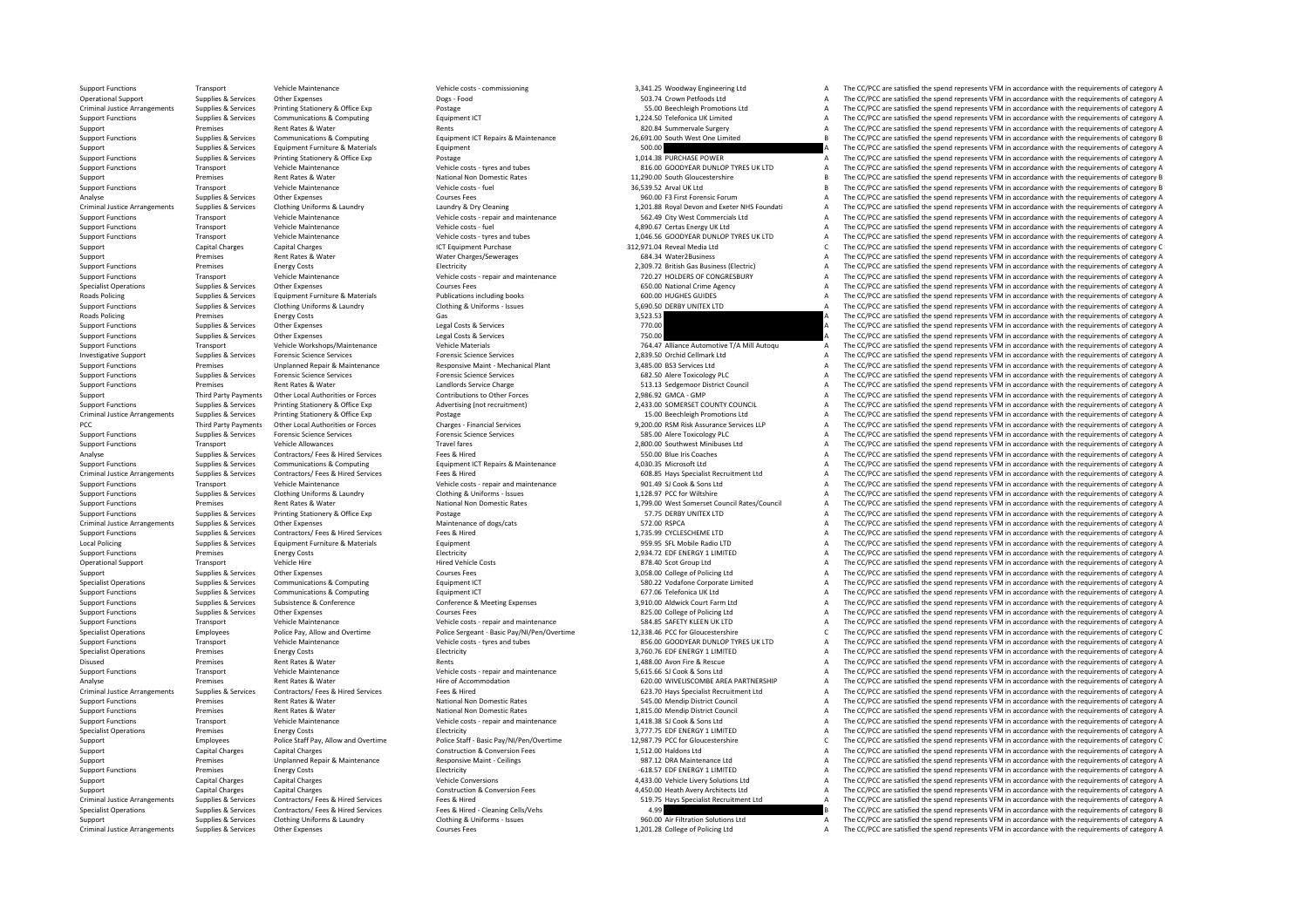Criminal JusticeCriminal Justice**Roads Policing** Roads Policing Criminal JusticePCC Third Party Payments Criminal JusticeCriminal Justice**Local Policing** Disused **Premises** Criminal JusticeCriminal JusticeCriminal Justice

Support Functions Transport Vehicle Maintenance Vehicle costs - commissioning 3,341.25 Woodway Engineering Ltd A The CC/PCC are satisfied the spend represents VFM in accordance with the requirements of category A Rates &

Operational Support Supplies & Services Other Expenses Dogs - Food Dogs - Food Support Dogs - Food 503.74 Crown Petfoods Ltd A The CC/PCC are satisfied the spend represents VFM in accordance with the requirements of catego Arrangements Supplies & Services Printing Stationery & Office Exp Postage 55.00 Beechleigh Promotions Ltd A The CC/PCC are satisfied the spend represents VFM in accordance with the requirements of category A Support Functions Supplies & Services Communications & Computing Equipment ICT Equipment ICT 1,224.50 Telefonica UK Limited A The CC/PCC are satisfied the spend represents VFM in accordance with the requirements of categor Support Premises Rent Rates & Water Rents Rents Rents Rents Rents Rents Rents Rents Rents Rents Rents 820.84 Summervale Surgery A The CC/PCC are satisfied the spend represents VFM in accordance with the requirements of cat Supplies & Services Communications & Computing Computing Equipment ICT Repairs & Maintenance 26,691.00 South West One Limited Burged The CC/PCC are satisfied the spend represents VFM in accordance with the requirements of Support Support Support Support Equipment Furniture & Materials Equipment Equipment Support Support Support Support Support Support Support Support Support Support Support Support Support Support Support Support Support Su Support Functions Support Printing Services Printing Stationery & Office Exp Postage Printing Stationery & Office Exp Postage Printing Stationery A The CC/PCC are satisfied the spend represents VFM in accordance with the r Support Functions Transport Vehicle Maintenance Vehicle costs - tyres and tubes 816.00 GOODYEAR DUNLOP TYRES UK LTD A The CC/PCC are satisfied the spend represents VFM in accordance with the requirements of category A Support Premises Rent Rates & Water National Non Domestic Rates 11,290.00 South Gloucestershire B The CC/PCC are satisfied the spend represents VFM in accordance with the requirements of category B Share and the requiremen Transport Vehicle Maintenance Maintenance Vehicle Costs – fuel Support Vehicle Costs Fuel 36,539.52 Arval UK Ltd B The CC/PCC are satisfied the spend represents VFM in accordance with the requirements of category B Courses Analyse Supplies & Services Other Expenses Courses Fees Courses Fees Courses Fees 960.00 F3 First Forensic Forum A The CC/PCC are satisfied the spend represents VFM in accordance with the requirements of category A Crimina The CC/PCC are satisfied the spend represents VFM in accordance with the requirements of category A Support Functions Transport Vehicle Maintenance Vehicle costs - repair and maintenance Sections are and the CC/PCC are satisfied the spend represents VFM in accordance with the requirements of category A Numer In the spend Support Functions Transport Functions Transport A Transport Constant Maintenance Vehicle A The CC/PCC are satisfied the spend represents VFM in accordance with the requirements of category A The CC/PCC are satisfied the sp Support Functions Transport Vehicle Maintenance Vehicle costs - tyres and tubes 1,046.56 GOODYEAR DUNLOP TYRES UK LTD A The CC/PCC are satisfied the spend represents VFM in accordance with the requirements of category A Th The CC/PCC are satisfied the spend represents VFM in accordance with the requirements of category C Support Premises Rent Rates & Water Water Charges/Sewerages 684.34 Water Water Charges/Sewerages 684.34 Water 2Business A The CC/PCC are satisfied the spend represents VFM in accordance with the requirements of category A Support Functions Premises Energy Costs Energy Costs Electricity Electricity Electricity Electricity Electricity Electricity and maintenance 2,309.72 British Gas Business (Electricity A The CC/PCC are satisfied the spend r Support Functions Transport Vehicle Maintenance Vehicle Costs - repair and maintenance 720.27 HOLDERS OF CONGRESBURY A The CC/PCC are satisfied the spend represents VFM in accordance with the requirements of category A Spe Courses Fees Courses Fees Courses Fees Courses Fees Courses Expenses A SUPPLE Agency Courses Courses Courses Courses Courses Courses Courses and Supplies and the spend represents VFM in accordance with the requirements of Policing Publications including books and the Supplies COLO HUGHES CUIDES A The CC/PCC are satisfied the spend represents VFM in accordance with the requirements of category A Supplies & Services Clothing Runiforms in Clot Support Functions Supplies & Services Clothing Uniforms & Laundry Clothing & Uniforms • Issues 5,690.50 DERBY UNITEX LTD A The CC/PCC are satisfied the spend represents VFM in accordance with the requirements of category A Premises Energy Costs Cas Sass Gas Category A Case Control Case Control and the CONSTANT CONTROLLET CONTROLLET<br>Sunnlies & Services Chan in accordance with the requirements of category A The CONSTANT CONTROLLET A The CONTRO Support Functions Supplies & Services Other Expenses Legal Costs & Services 270.00 270.00 A The CC/PCC are satisfied the spend represents VFM in accordance with the requirements of category A Support Functions Supplies & Services Other Expenses Legal Costs & Services Legal Costs & Services Pued Costs & Services 750.00 A The CC/PCC are satisfied the spend represents VFM in accordance with the requirements of cat Support Functions Transport Vehicle Workshops/Maintenance Vehicle Materials 764.47 Alliance Automotive T/A Mill Autoqu A The CC/PCC are satisfied the spend represents VFM in accordance with the requirements of category A Investigative Support Supplies & Services Forensic Science Services Forensic Science Services Procensic Science Services Forensic Science Services Forensic Science Services Forensic Science Services Procensic Science Servi Support Functions Premises Unplanned Repair & Maintenance Responsive Maint – Mechanical Plant 2,485.00 BS3 Services Ltd A The CC/PCC are satisfied the spend represents VFM in accordance with the requirements of category A Support Functions Supplies & Services Forensic Science Services Forensic Science Services Forensic Science Services 682.50 Alere Toxicology PLC A The CC/PCC are satisfied the spend represents VFM in accordance with the req Support Functions Premises Rent Rates & Water Landlords Service Charge Enterope Service Charge 513.13 Sedgemoor District Council A The CC/PCC are satisfied the spend represents VFM in accordance with the requirements of ca Support Third Party Payments Other Local Authorities or Forces Contributions to Other Forces 2,986.92 GMCA ‐ GMP A The CC/PCC are satisfied the spend represents VFM in accordance with the requirements of category A Supplies & Services Anting Stationery & Office Exp Movertising (not recruitment) 2,433.00 SOMERSET COUNTY COUNCIL A The CC/PCC are satisfied the spend represents VFM in accordance with the requirements of category A develo Printing Stationery & Office Exp Postage Printing Printing Stationery Arrangements Supplies Printing Stationery A The CC/PCC are satisfied the spend represents VFM in accordance with the requirements of category A Charges Party Payments Other Local Authorities or Forces Charges - Financial Services Charges Charges Financial Services Charges Services 9,200.00 RSM Risk Assurance Services LLP A The CC/PCC are satisfied the spend represents VFM Support Functions Supplies & Services Forensic Science Services Forensic Science Services Forensic Science Services Forensic Science Services Services Services Services Services Services Services Services Services Services Support Functions Travel fares Travel fares Travel fares 2,800.00 Southwest Minibuses Ltd A The CC/PCC are satisfied the spend represents VFM in accordance with the requirements of category A Analyse Supplies & Services Contractors/ Fees A Hired Services Fees & Hired Fees & Hired Fees & Hired Services Fees & Hired Fees & Hired Fees & Hired Fees & Hired Fees & Hired Services Fees & Hired Services Fees & Hired Th Supplies & Services Communications & Computing Equipment ICT Repairs & Maintenance A030.35 Microsoft Ltd A030.35 Microsoft Ltd AD30.35 Microsoft Ltd A The CC/PCC are satisfied the spend represents VFM in accordance with th Arrangements Supplies & Services Contractors/ Fees & Hired Services Fees & Hired Fees & Hired Fees & Hired Fees & Hired Fees & Hired Fees & Hired Fees & Hired Fees & Hired 608.85 Hays Specialist Recruitment Ltd A The CC/PC Support Transport Vehicle Maintenance Vehicle Costs - repair and maintenance 901.49 SJ Cook & Sons Ltd A The CC/PCC are satisfied the spend represents VFM in accordance with the requirements of category A Clothing & Linifo Support Functions Support Clothing Uniforms & Laundry Clothing & Liniforms - Issues 1,128.97 PCC for Wiltshire A The CC/PCC are satisfied the spend represents VFM in accordance with the requirements of category A The CC/PC Support Functions Premises Rent Rates & Water National Non Domestic Rates 1,799.00 West Somerset Council Rates/Council A The CC/PCC are satisfied the spend represents VFM in accordance with the requirements of category A Support Functions Supplies & Services Printing Stationery & Office Exp Postage Protage Postage 57.75 DERBY UNITEX LTD STATEX LTD A The CC/PCC are satisfied the spend represents VFM in accordance with the requirements of ca Arrangements of the CO/PCC are satisfied the spend represents VFM in accordance with the requirements of category A<br>
Maintenance of dogs/cats a meeting of the spend represents VFM in accordance with the requirements of cat Support Functions Supporters Supporters Contractors/ Fees A Hired Services Fees & Hired The Services Fees & Hired 1,735.99 CYCLESCHEME LTD A The CC/PCC are satisfied the spend represents VFM in accordance with the requirem Policing Supplies & Services Equipment Furniture & Materials Equipment 959.95 SFL Mobile Radio LTD A The CC/PCC are satisfied the spend represents VFM in accordance with the requirements of category A Support Functions Premises Energy Costs Energy Costs Electricity Electricity Electricity Electricity Electricity 2,934.72 EDF ENERGY 1 LIMITED A The CC/PCC are satisfied the spend represents VFM in accordance with the requ Operational Support Transport Vehicle Hire Mericle Hired Vehicle Costs Hired Vehicle Costs Bired Vehicle Costs 878.40 Scot Group Ltd A The CC/PCC are satisfied the spend represents VFM in accordance with the requirements o Support Supplies & Services Other Expenses Courses Courses Fees Courses Courses Courses Courses Courses Courses Courses Courses Courses Courses Courses Courses Courses Courses Courses Courses Courses Courses Equipment ICT Specialist Operations Supplies & Services Communications & Computing Equipment ICT Equipment ICT Services Computing Equipment ICT Services Computing Equipment ICT Services Supplies A The CC/PCC are satisfied the spend repr The CC/PCC are satisfied the spend represents VFM in accordance with the requirements of category A Supplies & Services Subsistence & Conference Conference Meeting Expenses and a service and a subsistence of Conference & Meeting Expenses and a service of the CC/PCC are satisfied the spend represents VFM in accordance wit Support Functions Support Functions Support Functions Supplies A The CC/PCC are satisfied the spend represents VFM in accordance with the requirements of category A Services Courses Fees 825.00 College of Policing Ltd A Th Support Functions Transport Vehicle Maintenance Vehicle costs - repair and maintenance Vehicle costs - repair and maintenance Spending and the SAFETY KLEEN UK LTD A The CC/PCC are satisfied the spend represents VFM in acco Subsection (aloud the CC/PCC are satisfied the spend represents VFM in accordance with the requirements of category C,<br>SSG 00 GOODVEAR DUNIOP TYRES UK UTD A The CC/PCC are satisfied the spend represents VFM in accordance w Support Functions Transport Vehicle Maintenance Vehicle costs and tubes and tubes and tubes and tubes and tubes and tubes and convening the costs and convening accordance with the requirements of category A The CC/PCC are Specialist Operations Premises Energy Costs Energy Costs Electricity Electricity and the Spend The COPCC are satisfied the spend represents VFM in accordance with the requirements of category A Rents 1,488.00 Avon Fire & Rescue A The CC/PCC are satisfied the spend represents VFM in accordance with the requirements of category A The CC/PCC are satisfied the spend represents VFM in accordance with the requirements Support Functions Transport Vehicle Maintenance Vehicle costs - repair and maintenance Vehicle costs - repair and maintenance 5,615.66 SJ Cook & Sons Ltd A The CC/PCC are satisfied the spend represents VFM in accordance wi Analyse Premises Rent Rates & Water Hire of Accommodation Hire of Accommodation (620.00 WIVELISCOMBE AREA PARTNERSHIP A The CC/PCC are satisfied the spend represents VFM in accordance with the requirements of category A Co Arrangements Supplies & Services Contractors/ Fees & Hired Services Fees & Hired 623.70 Hays Specialist Recruitment Ltd A The CC/PCC are satisfied the spend represents VFM in accordance with the requirements of category A Support Functions Premises Rent Rates & Water Mational Non Domestic Rates SAS.00 Mendip District Council Council A The CC/PCC are satisfied the spend represents VFM in accordance with the requirements of category A Support Support Functions Premises Premises Rent Rates & Water National Non Domestic Rates National Non Domestic Rates<br>
Support Functions Transport Vehicle Maintenance Wehicle costs - repair and maintenance 1,418.38 SLOOk & Sons L Support Functions Transport Vehicle Maintenance Vehicle Costs - repair and maintenance 1,418.38 SJ Cook & Sons Ltd A The CC/PCC are satisfied the spend represents VFM in accordance with the requirements of category A Speci Specialist Operations Premises Energy Costs Electricity Electricity Electricity and the content of category A The CC/PCC are satisfied the spend represents VFM in accordance with the requirements of category A Employees Police Staff Pay, Allow and Overtime Police Staff - Basic Pay NI/Pen/Overtime Police Staff - Basic Pay NI/Pen/Overtime 12.987.79 PCC for Gloucestershire CL/PCC are satisfied the spend represents VFM in accordance Support Capital Charges Capital Charges Capital Charges Construction & Conversion Fees 1,512.00 Haldons Ltd A The CC/PCC are satisfied the spend represents VFM in accordance with the requirements of category A Support Supp Support Premises Unplanned Repair & Maintenance Responsive Maint - Ceilings 987.12 DRA Maintenance Ltd A The CC/PCC are satisfied the spend represents VFM in accordance with the requirements of category A Support Functions Premises Energy Costs Energy Costs Electricity Electricity Electricity Electricity energy and the spend in the CC/PCC are satisfied the spend represents VFM in accordance with the requirements of category Support Capital Charges Capital Charges Vehicle Conversions Vehicle Conversions 4,433.00 Vehicle Livery Solutions Ltd A The CC/PCC are satisfied the spend represents VFM in accordance with the requirements of category A Support Capital Charges Capital Charges Capital Charges Construction & Conversion Fees 4,450.00 Heath Avery Architects Ltd A The CC/PCC are satisfied the spend represents VFM in accordance with the requirements of category Arrangements Supplies & Services Contractors/ Fees & Hired Services Fees & Hired 519.75 Hays Specialist Recruitment Ltd A The CC/PCC are satisfied the spend represents VFM in accordance with the requirements of category A Specialist Operations Supplies & Services Contractors/ Fees A Hired Services Fees & Hired Services Fees & Hired Services Fees & Hired Services Fees & Hired Services Fees & Hired Services Fees & Hired Services Fees & Hired Supplies & Services Clothing Uniforms & Laundry Clothing & Uniforms - Issues 960.00 Air Filtration Solutions Ltd A The CC/PCC are satisfied the spend represents VFM in accordance with the requirements of category A Arrangements Supplies & Services Other Expenses Courses Fees 1,201.28 College of Policing Ltd A The CC/PCC are satisfied the spend represents VFM in accordance with the requirements of category A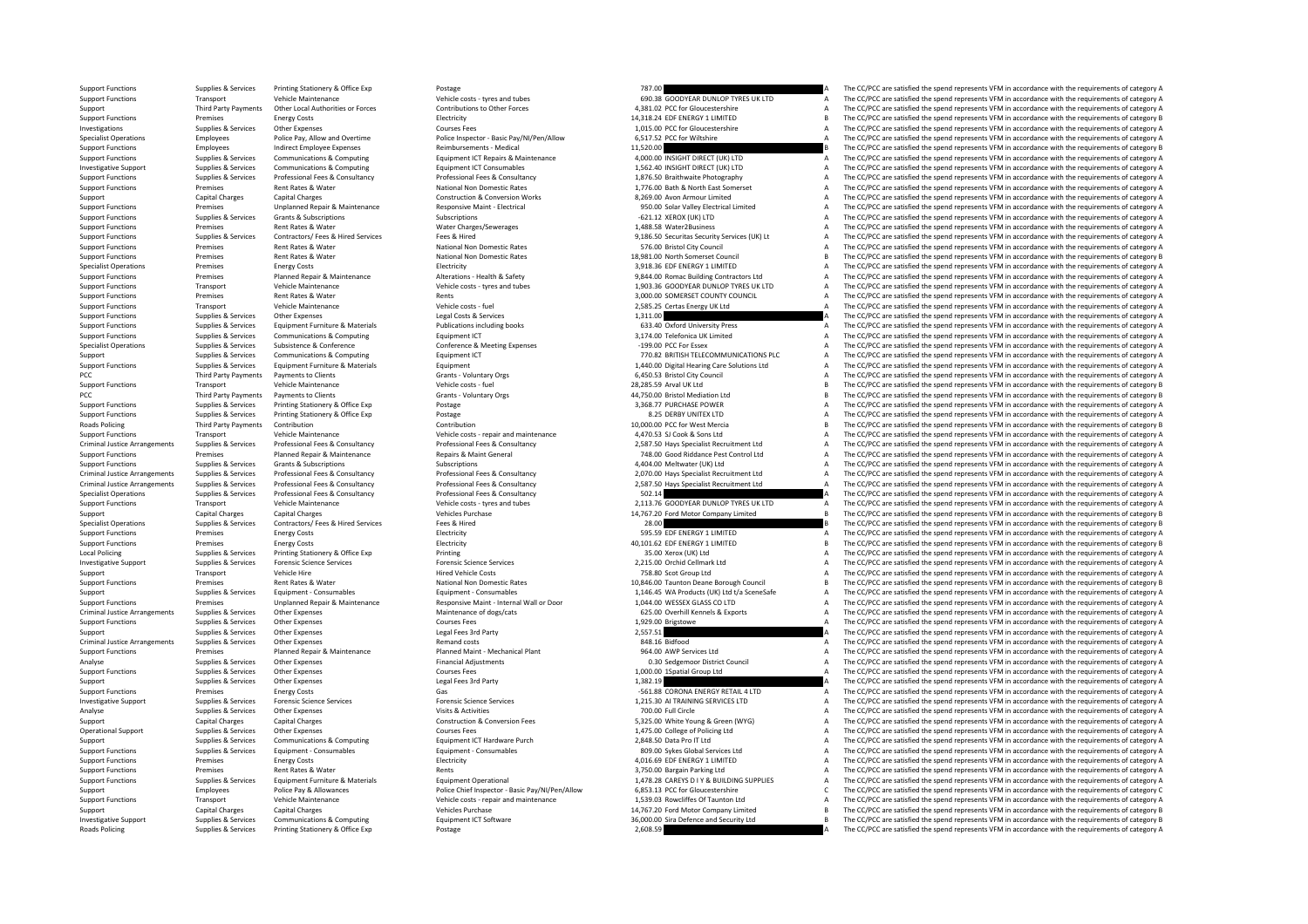PCC Third Party Payments PCC Third Party Payments Roads Policing Criminal JusticeCriminal JusticeCriminal Justice**Local Policing** Criminal JusticeCriminal Justice**Roads Policing** 

Support Functions Supplies & Services Printing Stationery & Office Exp Postage Protage Printing Stationery & Office Exp Postage 787.00 787.00 A The CC/PCC are satisfied the spend represents VFM in accordance with the requi Support Functions Transport Vehicle Maintenance Vehicle costs - tyres and tubes 690.38 GOODYEAR DUNLOP TYRES UK LTD A The CC/PCC are satisfied the spend represents VFM in accordance with the requirements of category A Supp Third Party Payments Other Incident Phintips or Forces Contributions to Other Forces 4381.02 PCC for Glourestershire a The CC/PC are satisfied the spend represents VFM in accordance with the requirements of category A Support Functions Premises Energy Costs Energy Costs Electricity Functions Premises Energy Costs EDF ENERGY 1 218.24 EDF ENERGY 1 LIMITED B The CC/DCC are satisfied the spend represents VFM in accordance with the requireme Investigations Supplies & Services Other Expenses Courses Fees Courses Fees 1,015.00 PCC for Gloucestershire A The CC/PCC are satisfied the spend represents VFM in accordance with the requirements of category A Specialist Operations Employees Police Pay, Allow and Overtime Police Inspector - Basic Pay/NI/Pen/Allow 6,517.52 PCC for Wiltshire and the CC/PCC are satisfied the spend represents VFM in accordance with the requirements Support Functions Employees Indirect Employee Expenses Reimbursements - Medical 11,520.00 B The CC/PCC are satisfied the spend represents VFM in accordance with the requirements of category B Support Functions Communicatio of the control of the Services of Communications & Computing a Equipment ICT Repairs & Maintenance and A COO INSIGHT DIRECT (UK) LTD A The CC/PCC are satisfied the spend represents VFM in accordance with the requirements o Investigative Support Support Support Support Support Support Communications & Computing Equipment ICT Consumables and the Support of the CONSULT DIRECT (UK) LTD A The CC/PCC are satisfied the spend represents VFM in accor Supplies & Supplies & Services Professional Fees & Consultancy Professional Fees & Consultancy Professional Fees & Consultancy Professional Fees & Consultancy Professional Fees & Consultancy Professional Fees & Consultancy Premises Rent Rates & Water National Non Domestic Rates 1,776.00 Bath & North East Somerset A The CC/PCC are satisfied the spend represents VFM in accordance with the requirements of category A Support Capital Charges Capital Charges Capital Charges Construction & Conversion Works Conversion Works and the Support Capital Charges A The CC/PCC are satisfied the spend represents VFM in accordance with the requiremen Fremises Contract Present School of The CONSTRATE CONSTRATED ACCORDING THE CONSTRATED ACCORDING THE CONSTRATED ACCORDING THE CONSTRATED AND THE CONSTRATED TRISTED AND THE CONSTRATED ACCORDING THE CONSTRATED ACCORDING THE C Support Functions Supplies & Services Grants & Subscriptions Subscriptions Subscriptions Subscriptions Subscriptions Subscriptions Subscriptions Subscriptions Subscriptions Subscriptions Subscriptions Subscriptions Mater C Premises Rent Rates & Water Water Charges Agency as a mater Charges A The CC/PC are satisfied the spend represents VFM in accordance with the requirements of category A The CC/PC are satisfied the spend represents VFM in a output in the C/PCC are attended to provided the spant of contact of the control of the control of the C/PCC are statistical the spend represents VFM in accordance with the requirements of category A and the C/PCC are stat .<br>Support Functions Rent Rates & Water National National Non Domestic Rates **National A The CC/PC are satisfied the spend represents VFM in accordance with the requirements of category A** Support Functions Premises Rent Rates & Water National Non Domestic Rates National Non Domestic Rates 18,981.00 North Sometherset Council B The CC/PCC are satisfied the spend represents VFM in accordance with the requireme Specialist Operations Premises Energy Costs Energy Costs Electricity and Superinten and COSTS ENERGY 1 LIMITED A The CC/PCC are satisfied the spend represents VFM in accordance with the requirements of category A The CC/PC Premises Premises Planned Repair & Maintenance Alterations - Health & Safety and Basing Contractors Ltd and Depair and the CC/PCC are satisfied the spend represents VFM in accordance with the requirements of category A<br>Tra Vehicle Maintenance Vehicle costs - tyres and tubes 1,903.36 GOODYEAR DUNLOP TYRES UK LTD A The CC/PCC are satisfied the spend represents VFM in accordance with the requirements of category A<br>Rent Rate in Rent Rate in Rent Support Functions Premises Rent Rates & Water Rents Rents Rents Rents Rents Rents Rents and Support Functions and the CC/PCC are satisfied the spend represents VFM in accordance with the requirements of category A Support Support Functions Transport Vehicle Maintenance Vehicle costs – fuel 2,585.25 Certas Energy UK Ltd A The CC/PCC are satisfied the spend represents VFM in accordance with the requirements of category A Support Functions Supplies & Services Other Expenses Legal Costs & Services Legal Costs & Services 1,311.00 A The CC/PCC are satisfied the spend represents VFM in accordance with the requirements of category A Supplies & Services Equipment Furniture & Materials Publications including books 633.40 Oxford University Press The CC/PCC are satisfied the spend represents VFM in accordance with the requirements of category A and the CC Support Functions Supplies & Services Communications & Computing Equipment ICT Equipment ICT Equipment ICT S1,174.00 Telefonica UK Limited A The CC/PCC are satisfied the spend represents VFM in accordance with the requirem Specialist Operations Supplies & Services Subsistence & Conference Conference & Meeting Expenses –199.00 PCC For Essex A The CC/PCC are satisfied the spend represents VFM in accordance with the requirements of category A Support Support Support Communications & Computing Equipment ICT Equipment ICT 770.82 BRITISH TELECOMMUNICATIONS PLC A The CC/PCC are satisfied the spend represents VFM in accordance with the requirements of category A Supplies & Services Equipment Furniture & Materials Materials Equipment Equipment Equipment Equipment Equipment Equipment Equipment Capacity Council and the Supplies of the CC/PCC are satisfied the spend represents VFM in Payments to Clients Crants Polyntary Orgs 6,450.53 Bristol City Council A The CC/PCC are satisfied the spend represents VFM in accordance with the requirements of category A Support Functions Transport Vehicle Maintenance Vehicle costs - fuel Vehicle costs - fuel 28,285.59 Arval UK Ltd B The CC/PCC are satisfied the spend represents VFM in accordance with the requirements of category B Payments to Clients Clients Crants - Voluntary Orgs 60 and the Spend of the CC/PCC are satisfied the spend represents VFM in accordance with the requirements of category B and the requirements of category B and the require Support Functions Supplies & Services Printing Stationery & Office Exp Postage Printing Stationery & Office Exp Postage 3,368.77 PURCHASE POWER A The CC/PCC are satisfied the spend represents VFM in accordance with the req Supplies & Services Printing Stationery & Office Exp Postage Principles and Postage 8.25 DERBY UNITEX LTD A The CC/PCC are satisfied the spend represents VFM in accordance with the requirements of category A Third Party Payments Contribution Contribution Contribution Contribution Contribution Contribution Contribution Contribution 10,000.00 PCC for West Mercia B The CC/PCC are satisfied the spend represents VFM in accordance w Support Functions Transport Vehicle Maintenance Vehicle costs – repair and maintenance Vehicle costs – repair and maintenance 4,470.53 SJ Cook & Sons Ltd A The CC/PCC are satisfied the spend represents VFM in accordance wi Supplies & Services Professional Free & Consultancy Professional Free & Consultancy 2,587.50 Hays Specialist Recruitment Ltd A The CC/PCC are satisfied the spend represents VFM in accordance with the requirements of catego Support Functions Premises Planned Repair & Maintenance Repairs & Maint General Repairs & Maint General Repairs & Maint General 748.00 Good Riddance Pest Control Ltd A The CC/PCC are satisfied the spend represents VFM in a Support Functions Support Grants & Subscriptions Subscriptions Subscriptions Subscriptions Support A The CC/PCC are satisfied the spend represents VFM in accordance with the requirements of category A Supplies & Services Professional Fees & Consultancy Professional Fees & Consultancy Consultancy Consultancy 2,070.00 Hays Specialist Recruitment Ltd A The CC/PCC are satisfied the spend represents VFM in accordance with th Professional Fees & Consultancy Professional Fees & Consultancy Consultancy 2,587.50 Hays Specialist Recruitment Ltd A The CC/PCC are satisfied the spend represents VFM in accordance with the requirements of category A Specialist Operations Supplies & Services Professional Fees & Consultancy Professional Fees & Consultancy Professional Fees & Consultancy 502.14 A The CC/PCC are satisfied the spend represents VFM in accordance with the re Support Functions Transport Vehicle Maintenance Vehicle costs tyres and tubes 2,113.76 GOODYEAR DUNLOP TYRES UK The The CC/PCC are satisfied the spend represents VFM in accordance with the requirements of category A Support Capital Charges Capital Charges Capital Charges Vehicles Purchase Vehicles Purchase 14,767.20 Ford Motor Company Limited B The CC/PCC are satisfied the spend represents VFM in accordance with the requirements of ca Species Services Contractors/ Fees & Hired Services Fees & Hired Services Fees & Hired Services Fees & Hired Services Fees & Hired 28.00 B The CC/PCC are satisfied the spend represents VFM in accordance with the requiremen Support Functions Premises Energy Costs Energy Costs Electricity Electricity S95.59 EDF ENERGY 1 LIMITED A The CC/PCC are satisfied the spend represents VFM in accordance with the requirements of category A Support Functions Premises Energy Costs Energy Costs Betricity Electricity Electricity Electricity and the energy and the spend represents VFM in accordance with the requirements of category B and the spend represents VFM Policing Supplies & Services Printing Supplies Alteriary A The CC/PCC are satisfied the spend represents VFM in accordance with the requirements of category A The Supplies & Services Forensic Science Services Forensic Scie Investigative Support Supplies & Services Forensic Science Services Forensic Science Services Forensic Science Services Forensic Science Services and a mecanical a mecanical a The CC/PCC are satisfied the spend represents Support Transport Vehicle Hire Vehicle Hire Hired Vehicle Costs Premises Hired Vehicle Costs Premises Premises Rent Rates Antional Non Domestic Rates 758.80 Scot Group Ltd A The CC/PCC are satisfied the spend represents VF Support Functions Premises Rent Rates Anatomal National Non Domestic Rates 10,846.00 Taunton Deane Borough Council B The CC/PCC are satisfied the spend represents VFM in accordance with the requirements of category B<br>Suppl Supplies & Services Equipment - Consumables Equipment - Consumables Equipment - Consumables 1,146.45 WA Products (UK) Ltd t/a SceneSafe A The CC/PCC are satisfied the spend represents VFM in accordance with the requirement Support Functions Premises Premises Unplanned Repair & Maintenance Mesponsive Maint - Internal Wall or Door 1,044.00 WESSEX GLASS COLITD A The CC/PCC are satisfied the spend represents VFM in accordance with the requiremen Arrange Category Anrangements Supports Annual Computer of doctrinance of dogs. A The CC/PCC are satisfied the spend represents VFM in accordance with the requirements of category A The CC/PCC are satisfied the spend repres Support Functions Supplies & Services Other Expenses Courses Fees Courses Fees Courses Fees 1,929.00 Brigstowe<br>Support Functions are an experiments of category A Degal Fees 3rd Party 2,557.51 2,557.51 A The CC/PCC are sati The CC/PCC are satisfied the spend represents VFM in accordance with the requirements of category A Arrives Other Expenses Control and Costs Remand costs and Costs and Costs and Costs and Costs and Costs 848.16 Bidfood A The CC/PCC are satisfied the spend represents VFM in accordance with the requirements of category A T Support Functions Premises Planned Repair & Maintenance Planned Maint • Mechanical Plant Planned Maint • Mechanical Plant 964.00 AWP Services Ltd A The CC/PCC are satisfied the spend represents VFM in accordance with the r Analyse Supplies & Supplies & Services Other Expenses Supplies Financial Adjustments Financial Adjustments 1.000.00 Sedgemoor District Council A The CC/PCC are satisfied the spend represents VFM in accordance with the requ The CC/PCC are satisfied the spend represents VFM in accordance with the requirements of category A Support Support Support Support Support Support Support Support Support Support Support Support Support Support<br>The Company of the Support Support Support Support Support Support Support Support Party of the Company of the Ргетние в Епетру Costs Совета Савета Савета Савета Савета Савета Савета Савета Савета Савета Савета Савета Савета Савета Савета Савета Савета Савета Савета Савета Савета Савета Савета Савета Савета Савета Савета Савета Investigative Support Support Supplies & Services Forensic Science Services Forensic Science Services Forensic Science Services Forensic Science Services of The CONNICISTID Support of the COPCC are satisfied the spend repr Analyse Supplies & Services Other Expenses Visits Activities Visits Activities 700.00 Full Circle A The CC/PCC are satisfied the spend represents VFM in accordance with the requirements of category A Support Capital Charges Capital Charges Capital Charges Conversion Fees Conversion Fees 5,325.00 White Young & Green (WYG) A The CC/PCC are satisfied the spend represents VFM in accordance with the requirements of category Operational Support Supplies & Services Other Expenses Courses Fees 1,475.00 College of Policing Ltd A The CC/PCC are satisfied the spend represents VFM in accordance with the requirements of category A Support Support Support Services Communications & Computing Equipment ICT Hardware Purch 2,848.50 Data Pro IT Ltd A The CC/PCC are satisfied the spend represents VFM in accordance with the requirements of category A Support Functions Supplies & Services Equipment - Consumables Equipment - Consumables Equipment - Consumables Equipment - Consumables and a Support Experiment Consumables and the CC/PCC are satisfied the spend represents V Support Functions Premises Energy Costs Energy Costs Electricity Electricity Electricity Electricity and the content of category A The CC/PCC are satisfied the spend represents VFM in accordance with the requirements of ca Support Functions Premises Rent Rates & Water Rents Rents Rents Rents Rents Rents Rents Rents Rent Rates and Rent Rates Rent Rates Rent Rates Rent Rates Rent Rates Rent Rates Rents Rent Rates Rents Rent Rents Faulthment Op Sunnet Burger Sunning Service Culture Contribution of the Materials Culture of Contribution of the CONSTANT CONTECT CONTECT A The COPC are satisfied the spend represents VEM in accordance with the requirements of category Support Employees Police Pay & Allowances Police Chief Inspector · Basic Pay/NI/Pen/Allow 6,853.13 PCC for Gloucestershire C The CC/PCC are satisfied the spend represents VFM in accordance with the requirements of category Support Functions Transport Vehicle Maintenance Vehicle costs - repair and maintenance 1,539.03 Rowcliffes Of Taunton Ltd A The CC/PCC are satisfied the spend represents VFM in accordance with the requirements of category Support Capital Charges Capital Charges Capital Charges Vehicles Purchase Vehicles Purchase 14,767.20 Ford Motor Company Limited B The CC/PCC are satisfied the spend represents VFM in accordance with the requirements of ca Investigative Support Support Support Support Support Support Communications & Computing Equipment ICT Software Equipment ICT Software 36,000.00 Sira Defence and Security Ltd B The CC/PCC are satisfied the spend represents Supplies & Services Printing Stationery & Office Exp Postage Printing Postage 2,608.59 2,608.59 A The CC/PCC are satisfied the spend represents VFM in accordance with the requirements of category A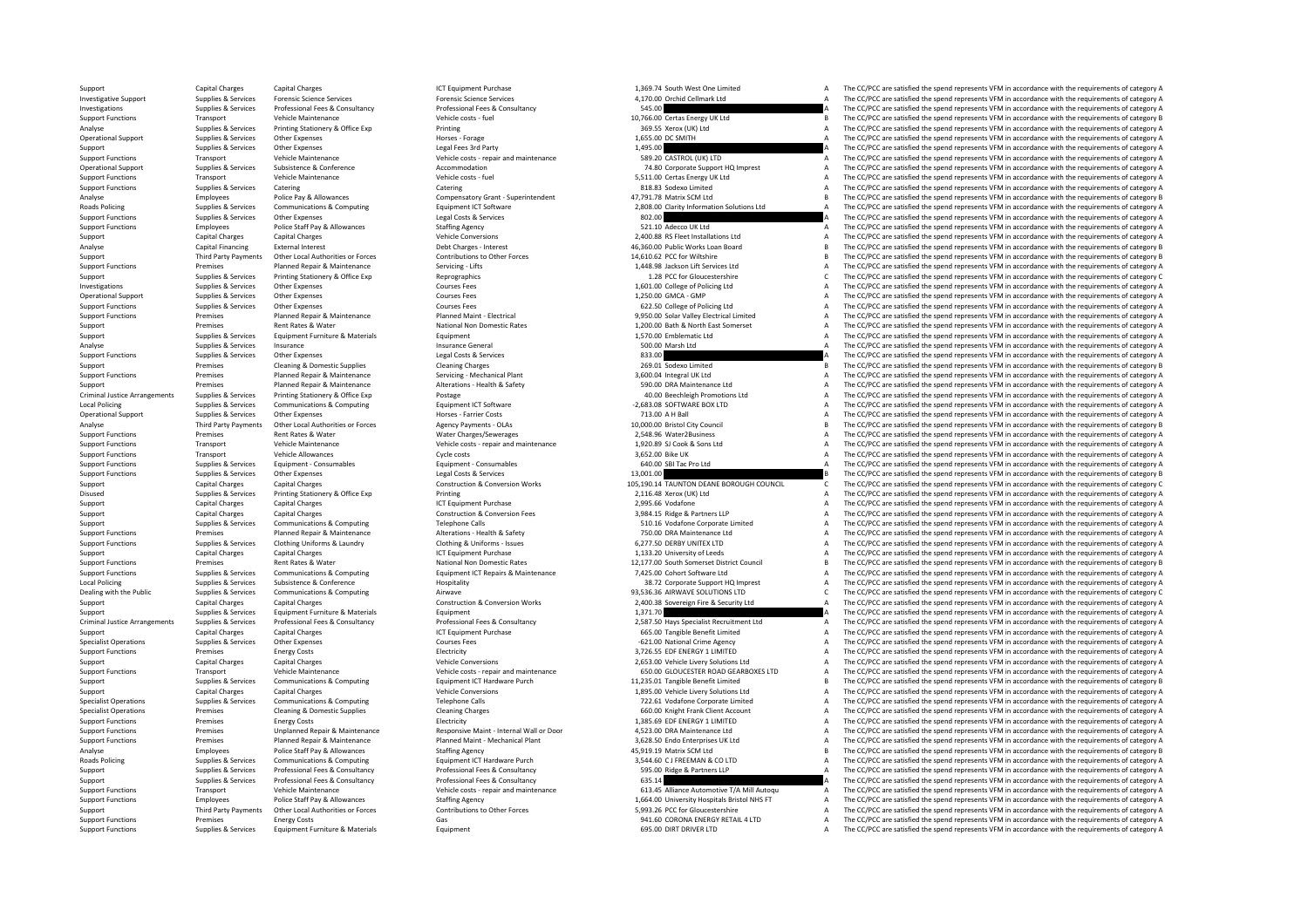.<br>Roads Rolicina Criminal Justice**Local Policing** Local Policing Criminal Justice**Roads Policing** 

Support Capital Charges Capital Charges Capital Charges ICT Equipment Purchase 1,369.74 South West One Limited A The CC/PCC are satisfied the spend represents VFM in accordance with the requirements of category A Investigative Support Support Support Support Support Support Support Support Support Support Support Support Support Support Support Support Support Support Support Support Support Support Support Support Support Support Investigations Supplies & Supplies & Services Professional Fees & Consultancy Professional Fees & Consultancy Professional Fees & Consultancy 545.00 A The CC/PCC are satisfied the spend represents VFM in accordance with th Support Functions Transport Vehicle Maintenance Vehicle costs - fuel Vehicle costs - fuel 10,766.00 Certas Energy UK Ltd B The CC/PCC are satisfied the spend represents VFM in accordance with the requirements of category B Analyse Supplies & Services Printing Stationery & Office Exp Printing Printing Printing Printing 369.55 Xerox (UK) Ltd A The CC/PCC are satisfied the spend represents VFM in accordance with the requirements of category A Operational Support Supplies & Services Other Expenses Manuscus Morses Forage Horses Forage Horses Forage 1,655.00 DC SMITH A The CC/PCC are satisfied the spend represents VFM in accordance with the requirements of categor Support Support Support Support Support Support Support Support Support Support Support Current Support Current Current Current of Category A Support Current Support Support Current of Current of category A Support Functio Transport Vehicle Maintenance Vehicle costs - repair and maintenance 589.20 CASTROL (UK) LTD A The CC/PCC are satisfied the spend represents VFM in accordance with the requirements of category A Operational Support Supplies & Services Subsistence Subsistence Accommodation Accommodation 74.80 Corporate Support HQ Imprest A The CC/PCC are satisfied the spend represents VFM in accordance with the requirements of cate Support Functions Transport Vehicle Maintenance Vehicle costs - fuel Vehicle costs - fuel 5,511.00 Certas Energy UK Ltd A The CC/PCC are satisfied the spend represents VFM in accordance with the requirements of category A Catering Catering Catering Catering Catering Catering Catering Catering Catering Catering Catering Catering Catering Catering Category A The CC/PCC are satisfied the spend represents VFM in accordance with the requirements Analyse Employees Police Pay & Allowances Compensatory Grant -Superintendent 47,791.78 Matrix SCM Ltd B The CC/PCC are satisfied the spend represents VFM in accordance with the requirements of category B Compensatory Grant The CC/PCC are satisfied the spend represents VFM in accordance with the requirements of category A Support Functions Supplies & Services Other Expenses Legal Costs & Services Legal Costs & Services Legal Costs & Services 802.00 A The CC/PCC are satisfied the spend represents VFM in accordance with the requirements of ca S21.10 Adecco UK Ltd State State State State State State State State State State State State State State State<br>2.400.88 RS Fleet Installations Ltd A The CC/PCC are satisfied the spend represents VFM in accordance with the Support Capital Charges Capital Charges Capital Charges Vehicle Conversions Vehicle Conversions 2,400.88 RS Fleet Installations Ltd A The CC/PCC are satisfied the spend represents VFM in accordance with the requirements of The  $C$ C/PCC are satisfied the spend represents VEM in accordance with the requirements of category B Support Third Party Payments Other Local Authorities or Forces Contributions to Other Forces 14,610.62 PCC for Wiltshire B The CC/PCC are satisfied the spend represents VFM in accordance with the requirements of category B Support Functions Premises Premises Planned Repair & Maintenance Servicing Lifts 1,448.98 Jackson Lift Services Ltd A The CC/PCC are satisfied the spend represents VFM in accordance with the requirements of category A The Support Supplies & Services Printing Stationery & Office Exp Reprographics Reprographics 1.28 PCC for Gloucestershire 1.28 PCC for Gloucestershire C The CC/PCC are satisfied the spend represents VFM in accordance with the Investigations Supplies & Supplies & Services Other Expenses Courses Fees Courses Fees Courses Fees 1,501.00 College of Policing Ltd A The CC/PCC are satisfied the spend represents VFM in accordance with the requirements o Operational Support Support Courses Courses Courses Courses Courses Courses Courses Courses Courses Courses Courses Courses Courses Courses Courses Courses Courses Courses Courses Courses Courses Courses Courses Courses Co Support Functions Supplies Services Other Expenses Courses Fees Courses Fees 622.50 College of Policing Ltd A The CC/PCC are satisfied the spend represents VFM in accordance with the requirements of category A Support Functions Premises Planned Repair & Maintenance Planned Maint + Electrical Planned Maint + Electrical Support Papar and the CO/PCC are satisfied the spend represents VFM in accordance with the requirements of categ Support Premises Rent Rates & Water National Non Domestic Rates 1,200.00 Bath & North East Somerset A The CC/PCC are satisfied the spend represents VFM in accordance with the requirements of category A Supplies & Services Equipment Furniture & Materials Equipment 1,570.00 Emblematic Ltd A The CC/PCC are satisfied the spend represents VFM in accordance with the requirements of category A Analyse Supplies & Services Insurance Supplies Insurance General Insurance General Supplies are and the CO/PCC are satisfied the spend represents VFM in accordance with the requirements of category A Support Functions Supplies & Services Other Expenses May begal Costs & Services and the spend requirements of category A The CC/PCC are satisfied the spend represents VFM in accordance with the requirements of category A Support Premises Cleaning & Domestic Supplies Cleaning Charges Cleaning Charges Cleaning Charges Cleaning Charges 269.01 Sodexo Limited B The CC/PCC are satisfied the spend represents VFM in accordance with the requirement Support Functions Premises Planned Repair & Maintenance Servicing - Mechanical Plant 3,600.04 Integral UK Ltd A The CC/PCC are satisfied the spend represents VFM in accordance with the requirements of category A Support Premises Planned Repair & Maintenance Alterations - Health & Safety 590.00 DRA Maintenance Ltd A The CC/PCC are satisfied the spend represents VFM in accordance with the requirements of category A Arrangements Supplies & Services Printing Stationery & Office Exp Postage 40.00 Beechleigh Promotions Ltd A The CC/PCC are satisfied the spend represents VFM in accordance with the requirements of category A Policing Supplies & Services Communications & Computing equipment ICT Software **Equipment ICT Software**  -2,683.08 SOFTWARE BOX LTD A The CC/PCC are satisfied the spend represents VFM in accordance with the requirements of Operational Support Supplies & Services Other Expenses horses Farrier Costs Horses Farrier Costs 713.00 A H Ball A The CC/PCC are satisfied the spend represents VFM in accordance with the requirements of category A Analyse Third Party Payments Other Local Authorities or Forces Agency Payments - OLAs 10,000.00 Bristol City Council B The CC/PCC are satisfied the spend represents VFM in accordance with the requirements of category B Sup Premises Rent Rates & Water Mater Water Water Mater Charges/Sewerages 2,548.96 Water2Business A The CC/PCC are satisfied the spend represents VFM in accordance with the requirements of category A The Criteria and the spend Support Functions Transport Vehicle Maintenance Vehicle costs - repair and maintenance 1,920.89 SJ Cook & Sons Ltd A The CC/PCC are satisfied the spend represents VFM in accordance with the requirements of category A Support Functions Transport Vehicle Allowances Medical Allowances Cycle costs 3,652.00 Bike UK A The CC/PCC are satisfied the spend represents VFM in accordance with the requirements of category A Support Functions and the Supplies Support Functions Support Functions Supplies Consumables and Consumables Consumables 640.00 SBI Tac Pro Ltd A The CC/PCC are satisfied the spend represents VFM in accordance with the requirements of category A Support Functions Supplies Support Other Expenses Legal Costs & Services Legal Costs & Services Legal Costs & Services 13,001.00 B The CC/PCC are satisfied the spend represents VFM in accordance with the requirements of ca Support Capital Charges Capital Charges Capital Charges Construction & Conversion Works 105,190.14 TAUNTON DEANE BOROUGH COUNCIL C The CC/PCC are satisfied the spend represents VFM in accordance with the requirements of ca Disused Supplies & Services Printing Stationery & Office Exp Printing 2,116.48 Xerox (UK) Ltd A The CC/PC are satisfied the spend represents VFM in accordance with the requirements of category A The CC/PC are satisfied the Support Capital Charges Capital Charges Capital Charges ICT Equipment Purchase 2,995.66 Vodafone 2,995.66 Vodafone A The CC/PCC are satisfied the spend represents VFM in accordance with the requirements of category A Support Capital Charges Capital Charges Construction & Construction & Construction & Construction & Construction & Construction A The CC/PCC are satisfied the spend represents VFM in accordance with the requirements of cat Support Support Support Support Support Support Communications & Computing Telephone Calls Telephone Calls 510.16 Vodafone Corporate Limited A The CC/PCC are satisfied the spend represents VFM in accordance with the requir Support Functions Premises Planned Repair & Maintenance Alterations - Health & Safety 750.00 DRA Maintenance Ltd A The CC/PCC are satisfied the spend represents VFM in accordance with the requirements of category A Support Support Functions Supplies & Services Clothing Uniforms & Laundry Clothing & Uniforms - Issues 6,277.50 DERBY UNITEX LTD A The CC/PCC are satisfied the spend represents VFM in accordance with the requirements of category A Support Capital Charges Capital Charges Capital Charges ICT Equipment Purchase ICT Equipment Purchase 1,133.20 University of Leeds A The CC/PCC are satisfied the spend represents VFM in accordance with the requirements of Support Functions Premises Rent Rates & Water National Non Domestic Rates 2000 and the material Council 21,177.00 South Somerset District Council B The CC/PCC are satisfied the spend represents VFM in accordance with the r Supplies & Services Communications & Computing Computing Equipment ICT Repairs & Maintenance 7,425.00 Cohort Software Ltd The CC/PCC are satisfied the spend represents VFM in accordance with the requirements of category A<br> Local Policing Supplies & Supplies & Services Subsistence Subsistence Mospitality and the protective of the Support HQ Imprest A The CC/PCC are satisfied the spend represents VFM in accordance with the requirements of cate Airwave and the Public Supplies of the Supplies of the COMMUNIC SOLUTIONS LTD COMPUTING AIRWAVE SOLUTIONS LTD COMPUTIONS LTD The CC/PCC are satisfied the spend represents VFM in accordance with the requirements of category Support Capital Charges Capital Charges Capital Charges Construction & Conversion Works 2,400.38 Sovereign Fire & Security Ltd A The CC/PCC are satisfied the spend represents VFM in accordance with the requirements of cate Support Supplies & Services Equipment Furniture & Materials Equipment Equipment Equipment Equipment Equipment Equipment and the Support and the Support of the Support A The CC/PCC are satisfied the spend represents VFM in Supplies & Services Professional Fees & Consultancy Professional Fees & Consultancy Professional Fees & Consultancy<br>CT Equipment Purchase Consultancy (CT Equipment Purchase 1990) and the CON Tangible Benefit Limited May Th Support Capital Charges Capital Charges Capital Charges ICT Equipment Purchase **665.00 Tangible Benefit Limited** A The CC/PCC are satisfied the spend represents VFM in accordance with the requirements of category A Specialist Operations Supplies & Services Other Expenses Courses Fees Courses Fees – 621.00 National Crime Agency A The CC/PCC are satisfied the spend represents VFM in accordance with the requirements of category A The Cr Support Functions Premises Energy Costs Energy Costs Electricity Electricity Electricity Electricity and the Support ENERGY 1 LIMITED A The CC/PCC are satisfied the spend represents VFM in accordance with the requirements Support Capital Charges Capital Charges Capital Charges Vehicle Conversions Vehicle Conversions Vehicle Conversions 2,653.00 Vehicle Livery Solutions Ltd A The CC/PCC are satisfied the spend represents VFM in accordance vi Vehicle costs - repair and maintenance and the send of category A structure of category A structure of category<br>The CC/PCC are satisfied the spend represents VFM in accordance with the requirements of category A structure Supplies & Supplies & Services Communications & Computing Equipment ICT Hardware Purch 11,235.01 Tangible Benefit Limited B The CC/PCC are satisfied the spend represents VFM in accordance with the requirements of category Support Capital Charges Capital Charges Capital Charges Vehicle Conversions Vehicle Conversions 1,895.00 Vehicle Livery Solutions Ltd A The CC/PCC are satisfied the spend represents VFM in accordance with the requirements Specialist Operations Supplies & Services Communications & Computing Telephone Calls 722.61 Vodafone Corporate Limited A The CC/PCC are satisfied the spend represents VFM in accordance with the requirements of category A Specialist Operations Premises Cleaning & Domestic Supplies Cleaning Charges Cleaning Charges 660.00 Knight Frank Client Account A The CC/PCC are satisfied the spend represents VFM in accordance with the requirements of ca Support Functions Premises Energy Costs Energy Costs and Electricity Electricity Electricity Electricity 1,385.69 EDF ENERGY 1 LIMITED A The CC/PCC are satisfied the spend represents VFM in accordance with the requirements Support Functions of the Premises and Department of the Manufacture of the Manufacture of the Manufacture of the CONSTRIKT CONSTRIKT AND THE CONSTRIKT AND THE CONSTRIKT ON THE CONSTRIKT OF THE CONSTRIKT ON THE CONSTRIKT OF Support Functions Premises Planned Repair & Maintenance Planned Maint - Mechanical Plant 3,628.50 Endo Enterprises UK Ltd A The CC/PCC are satisfied the spend represents VFM in accordance with the requirements of category Analyse Employees Police Staff Pay & Allowances Staffing Agency Staffing Agency and the Stategory B Analyse Computer and the CC/PCC are satisfied the spend represents VFM in accordance with the requirements of category B a Supplies & Services Communications & Computing Equipment ICT Hardware Purch 3,544.60 CJ FREEMAN & CO LTD A The CC/PCC are satisfied the spend represents VFM in accordance with the requirements of category A Support Supplies & Services Professional Fees & Consultancy Professional Fees & Consultancy Support Support Support A The CC/PCC are satisfied the spend represents VFM in accordance with the requirements of category A Support Support Support Support Support Support Support Support Support Support Support Support Support Support Support Support Support Support Support Support Support Support Support Support Support Support Support Suppor Support Francont States and the CONSTANT CONSTANT CONSTANT OF CONSTANT CONSTANT CONSTANT CONSTANT ON THE CONSTANT OF THE CONSTANT OF THE CONSTANT OF THE CONSTANT OF THE CONSTANT OF THE CONSTANT OF THE CONSTANT OF THE CONST Support Functions Employees Police Staff Pay & Allowances Staffing Agency Staffing Agency 1,664.00 University Hospitals Bristol NHS FT A The CC/PCC are satisfied the spend represents VFM in accordance with the requirements Third Party Payments Other Local Authorities or Forces Contributions to Other Forces Contributions to Cher Forces and the Support of the COPCC are satisfied the spend represents VFM in accordance with the requirements of c Energy Costs Costs Costs Costs Casts Gas Communications Casts Concerned Costs Gas 941.60 CORONA ENERGY RETAIL 4 LTD A The CC/PCC are satisfied the spend represents VFM in accordance with the requirements of category A Supp Support Functions Supplies & Services Equipment Furniture & Materials Equipment Equipment Equipment Equipment Equipment and the content of category A The CC/PCC are satisfied the spend represents VFM in accordance with the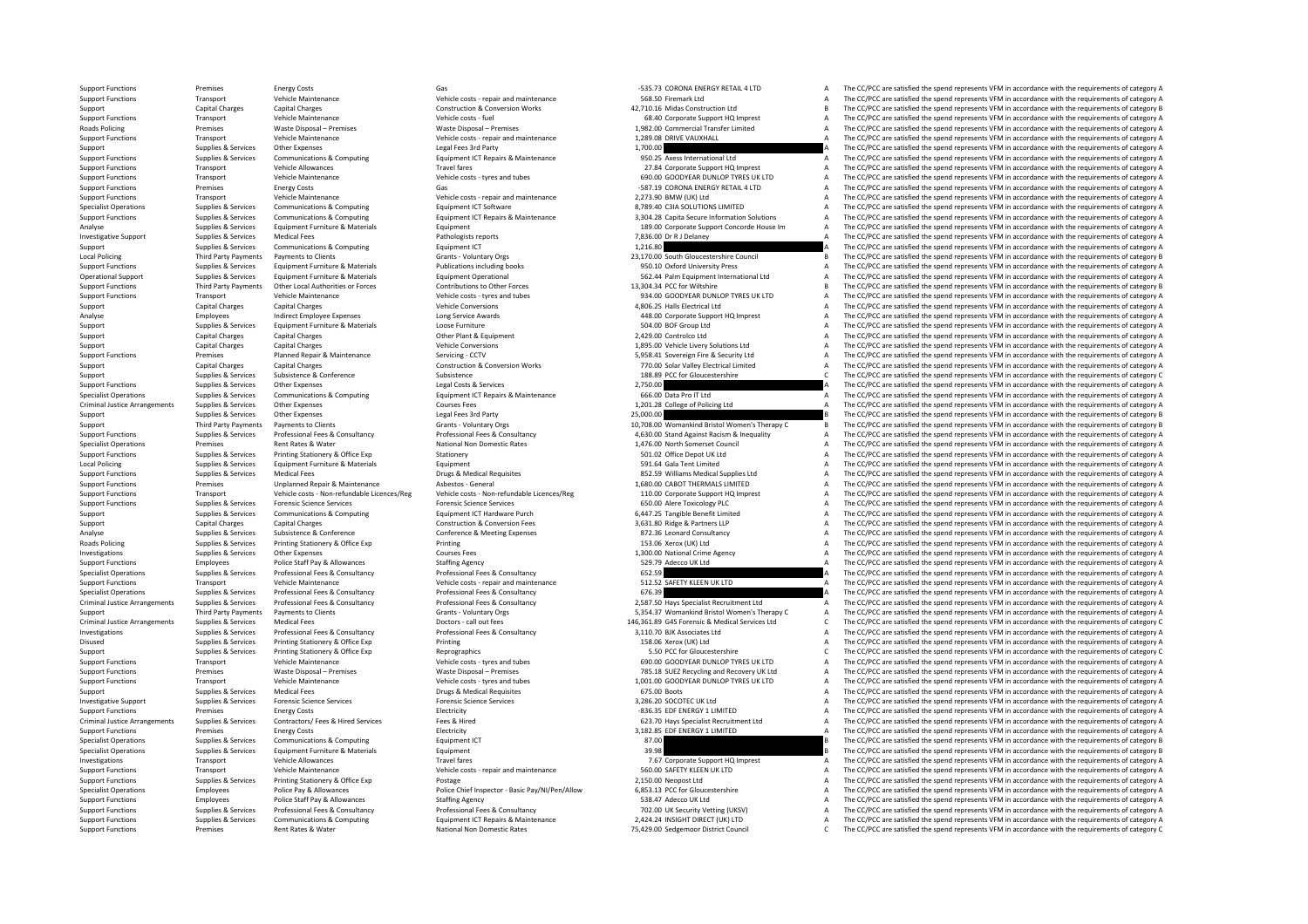**Roads Policing Local Policing** Criminal JusticeLocal Policing Roads Policing Criminal JusticeCriminal JusticeCriminal Justice

Support Functions Transport Vehicle Maintenance Vehicle costs - repair and maintenance 2,273.90 BMW (UK) Ltd<br>Specialist Operations Supplies & Services Communications & Computing Equipment ICT Software 1978 CHA SOLUTIONS LI

Support Functions Premises Energy Costs Gas ‐535.73 CORONA ENERGY RETAIL 4 LTD A The CC/PCC are satisfied the spend represents VFM in accordance with the requirements of category A Support Functions Transport Vehicle Maintenance Vehicle costs - repair and maintenance 568.50 Firemark Ltd A The CC/PCC are satisfied the spend represents VFM in accordance with the requirements of category A The Crime is Support Capital Charges Capital Charges Construction & Construction Morks 42,710.16 Midas Construction Ltd B The CC/PCC are satisfied the spend represents VFM in accordance with the requirements of category B Construction Support Functions Support Vehicle Maintenance Vehicle Costs (and Vehicle costs fuel 68.40 Corporate Support HQ Imprest A The CC/PCC are satisfied the spend represents VFM in accordance with the requirements of category A T Premises Waste Disposal – Premises Waste Disposal – Premises 1,982.00 Commercial Transfer Limited A The CC/PCC are satisfied the spend represents VFM in accordance with the requirements of category A Transfer Limited Vehic Support Functions Transport Vehicle Maintenance Vehicle costs - repair and maintenance Vehicle costs - repair and maintenance 1,289.08 DRIVE VAUXHALL A The CC/PCC are satisfied the spend represents VFM in accordance with t Supplies & Services Other Expenses Legal Fees 3rd Party 1,700.00 1,700.00 A The CC/PCC are satisfied the spend represents VFM in accordance with the requirements of category A Sunnort Functions Sunning Services Communications & Communications & Communications & Communications & Communications Fourisme Functionare Functional Inc. and The CC/PCC are satisfied the spend represents VFM in accordance Support Functions Transport Vehicle Allowances Travel fares Travel fares Travel fares and the spend requirements of category A The CC/PCC are satisfied the spend represents VFM in accordance with the requirements of catego Support Functions Transport Vehicle Maintenance Vehicle costs – tyres and tubes 690.00 GOODYEAR DUNLOP TYRES UK LTD A The CC/PCC are satisfied the spend represents VFM in accordance with the requirements of category A Supp ления в составитель в составитель в составитель в составитель в составитель в составитель в составитель в составитель в составитель в составитель в составитель в составитель в составитель в составитель в составитель в с The CC/PCC are satisfied the spend represents VFM in accordance with the requirements of category A The CC/PCC are satisfied the spend represents VFM in accordance with the requirements of category A Supplies & Services Communications & Computing Equipment ICT Repairs & Maintenance 3,304.28 Capita Secure Information Solutions A The CC/PCC are satisfied the spend represents VFM in accordance with the requirements of cat Analyse Supplies & Services Equipment Furniture & Materials Equipment Equipment 189.00 Corporate Support Concorde House Im A The CC/PCC are satisfied the spend represents VFM in accordance with the requirements of category Investigative Support Supplies & Services Medical Fees Pathologists reports Pathologists reports Pathologists reports 7,836.00 Dr R J Delaney A The CC/PCC are satisfied the spend represents VFM in accordance with the requi Support Support Communications & Computing Equipment ICT 1,216.80 A The CC/PCC are satisfied the spend represents VFM in accordance with the requirements of category A The CC/PCC are satisfied the spend represents VFM in a Policing Third Payments to Clients Crants Crants Crants Crants Crants Crants Council Dayments Crants Crants Crants Crants Crants Crants Crants Crants Crants Crants Crants Crants Crants Crants Crants Crants Crants Crants Cr Cunnot include the contract of capital contract contract contract contract contract contract contract contract contract contract contract contract contract contract contract contract contract contract contract contract con Operational Support Supplies & Services Equipment Furniture & Materials Equipment Operational Equipment of Category A Support the CO/PCC are satisfied the spend represents VFM in accordance with the requirements of categor Ontributions to Other Forces and the contributions to Other Forces and the sead of the SC/PCC are satisfied the spend represents VFM in accordance with the requirements of category B<br>Vehicle costs - tyres and tubes and the Support Functions Transport Vehicle Maintenance Vehicle costs – tyres and tubes 934.00 GOODYEAR DUNLOP TYRES UK LTD A The CC/PCC are satisfied the spend represents VFM in accordance with the requirements of category A Supp Support Capital Charges Capital Charges Vehicle Conversions and A Support Capital Ltd A The CC/PCC are satisfied the spend represents VFM in accordance with the requirements of category A Analyse Employees Indirect Employee Expenses Long Service Awards Long Service Awards Analyse ABLOO Corporate Support HQ Imprest A The CC/PCC are satisfied the spend represents VFM in accordance with the requirements of cat Support Supplies & Services Equipment Furniture & Materials Loose Furniture A Loose Furniture 304.00 BOF Group Ltd A The CC/PCC are satisfied the spend represents VFM in accordance with the requirements of category A Support Capital Charges Capital Charges Capital Charges Capital Charges Other Plant & Equipment Charges Capital Charges Other Plant & Equipment Charges Capital Charges Other Plant & Equipment Charges Capital Charges Vehicl Support Capital Charges Capital Charges Capital Charges Vehicle Conversions Vehicle Conversions 1,895.00 Vehicle Livery Solutions Ltd A The CC/PCC are satisfied the spend represents VFM in accordance with the requirements Support Functions Premises Planned Repair & Maintenance Servicing • CCTV 5,958.41 Sovereign Fire & Security Ltd A The CC/PCC are satisfied the spend represents VFM in accordance with the requirements of category A Support Capital Charges Capital Charges Capital Charges Construction & Conversion Works 770.00 Solar Valley Electrical Limited A The CC/PCC are satisfied the spend represents VFM in accordance with the requirements of cate Support Supplies & Services Subsistence Subsistence Subsistence Subsistence Subsistence Subsistence Subsistence Subsistence C The CC/PCC are satisfied the spend represents VFM in accordance with the requirements of categor Supplies & Services Other Expenses Legal Costs & Services 2,750.00 A The CC/PCC are satisfied the spend represents VFM in accordance with the requirements of category A Superior Superior Superior Communications & Communications & Communications & Communications & Communications & Communications & Communications & Communications & Communications & Communications & Communications & Communic Supplies arrangement of category Arrangements of category A The CC/PCC arrangements Courses Courses Fees 1,201.28 College of Policing Ltd A The CC/PCC are satisfied the spend represents VFM in accordance with the requireme Support Supplies & Services Other Expenses Legal Fees 3rd Party Legal Fees 3rd Party 25,000.00 25,000.00 B The CC/PCC are satisfied the spend represents VFM in accordance with the requirements of category B Support Third Party Payments Payments to Clients Crants Crants Voluntary Orgs 10,708.00 Womankind Bristol Women's Therapy C B The CC/PCC are satisfied the spend represents VFM in accordance with the requirements of categor Supplies & Services And Professional Fees & Consultancy Professional Fees & Consultancy Professional Fees & Consultancy Professional Fees & Consultancy 4,630.00 Stand Against Racism & Inequality A The CC/PCC are satisfied Specialist Operations Premises Rent Rates & Water National Non Domestic Rates National Non Domestic Rates 1,476.00 North Somerset Council A The CC/PCC are satisfied the spend represents VFM in accordance with the requireme Support Functions Supplies & Services Printing Stationery Soffice Exp Stationery Stationery Stationery Stationery Stationery States and Depot UK Ltd States A The CC/PCC are satisfied the spend represents VFM in accordance Policing Supplies Equipment Furniture & Materials Equipment Furniture Equipment Furniture and The CC/PCC are satisfied the spend represents VFM in accordance with the requirements of category A The CC/PCC are satisfied the Support Functions Supplies & Services Medical Fees Drugs & Medical Requisites Brugs & Medical Requisites Brugs & Medical Supplies Ltd A The CC/PCC are satisfied the spend represents VFM in accordance with the requirements Support Functions Premises Unplanned Repair & Maintenance Asbestos - General Asbestos - General 1,680.00 CABOT THERMALS LIMITED A The CC/PCC are satisfied the spend represents VFM in accordance with the requirements of cat of the contract the contract the contract the contract the contract the contract the contract the contract the contract the contract the contract of the contract of the contract of the contract of the contract of the contr Support Functions Supplies & Services Forensic Science Services Forensic Science Services Forensic Science Services Forensic Science Services Forensic Science Services Forensic Science Services 650.00 Alere Toxicology PLC Support Supplies & Services Communications & Computing Equipment ICT Hardware Purch 6,447.25 Tangible Benefit Limited A The CC/PCC are satisfied the spend represents VFM in accordance with the requirements of category A Support Capital Charges Capital Charges Capital Charges Construction & Conversion Fees 3,631.80 Ridge & Partners LLP A The CC/PCC are satisfied the spend represents VFM in accordance with the requirements of category A Ana Analyse Supplies Supplies Subsistence & Conference Conference & Meeting Expenses 872.36 Leonard Consultancy A The CC/PCC are satisfied the spend represents VFM in accordance with the requirements of category A Supplies & Services Printing Stationery & Office Exp Printing Printing Printing Printing 153.06 Xerox (UK) Ltd A The CC/PCC are satisfied the spend represents VFM in accordance with the requirements of category A Investigations Supplies & Supplies & Services Other Expenses Courses Fees Courses Fees 1,300.00 National Crime Agency A The CC/PCC are satisfied the spend represents VFM in accordance with the requirements of category A Su Support Functions Employees Police Staff Pay & Allowances Staffing Agency Staffing Agency Staffing Agency Staffing Agency Staffing Agency Staffing Agency Stategory A Secular Stategory A The CC/PCC are satisfied the spend r Professional Fees & Consultancy Professional Fees & Consultancy Consultancy 652.59 A The CC/PCC are satisfied the spend represents VFM in accordance with the requirements of category A Vehicle costs - repair and maintenanc Support Functions Transport Vehicle Maintenance Vehicle costs – repair and maintenance Support Functions Transport Transport Punctions Transport Vehicle costs and the costs expair and maintenance of the Support Category A The CC/PCC are satisfied the spend represents VFM in accordance with the requirements of category A Supplies & Services Professional Fees & Consultancy Professional Fees & Consultancy Professional Fees & Consultancy<br>
Third Party Payments Developments of Consultance Cranis - Voluntary Ores Samples and The COPCC are stiste Support Third Party Payments Payments of Clients Clients Grants Voluntary Orgs 5,354.37 Womankind Bristol Women's Therapy C A The CC/PCC are satisfied the spend represents VFM in accordance with the requirements of categor Arrangements of category Counters and the Supplies Medical Services Ltd Counters Consultance of Counters of Counters Doctors - call out fees Doctors - call out fees Doctors - call out fees 146,361.89 G4S Forensic & Medical Investigations Supplies & Services Professional Fees & Consultancy Professional Fees & Consultancy 3,110.70 BJK Associates Ltd A The CC/PCC are satisfied the spend represents VFM in accordance with the requirements of category A Disused Supplies & Services Printing Stationery & Office Exp Printing Printing Printing 158.06 Xerox (UK) Ltd A The CC/PC are satisfied the spend represents VFM in accordance with the requirements of category A The CC/PC a Support Supplies & Services Printing Stationery & Office Exp Reprographics Reprographics Reprographics Support Support Support Support C The CC/PCC are satisfied the spend represents VFM in accordance with the requirements Support Functions Transport Vehicle Maintenance Vehicle costs - tyres and tubes 690.00 GOODYEAR DUNLOP TYRES UK LTD A The CC/PCC are satisfied the spend represents VFM in accordance with the requirements of category A Supp Vaste Disposal – Premises Waste Disposal – Premises Waste Disposal – Premises 785.18 SUEZ Recycling and Recovery UK Ltd A The CC/PCC are satisfied the spend represents VFM in accordance with the requirements of category A Support Functions Transport Vehicle Maintenance Vehicle costs – tyres and tubes 1,001.00 GOODYEAR DUNLOP TYRES UK LTD A The CC/PCC are satisfied the spend represents VFM in accordance with the requirements of category A Su Support Support Support Services Medical Fees Drugs & Medical Requisites **A Drugs A Medical Requisites** 675.00 Boots A The CC/PCC are satisfied the spend represents VFM in accordance with the requirements of category A Investigative Support Support Support Support Support Support Support Services Forensic Science Services Forensic Science Services Forensic Science Services Forensic Science Services Forensic Science Services Services Serv Support Functions Premises Energy Costs Energy Costs Electricity Electricity Electricity energy A The CC/PCC are satisfied the spend represents VFM in accordance with the requirements of category A Arrangements Supplies & Services Contractors/ Fees & Hired Services Fees & Hired 623.70 Hays Specialist Recruitment Ltd A The CC/PCC are satisfied the spend represents VFM in accordance with the requirements of category A Support Functions Premises Energy Costs Energy Costs Electricity Electricity Electricity Electricity and the spend represents VFM in accordance with the requirements of category A Specialist Operations Supplies & Services Communications & Computing Equipment ICT examples and the spend represent and the CC/PCC are satisfied the spend represents VFM in accordance with the requirements of category B co Specialist Operations Supplies & Services Equipment Furniture & Materials Equipment Services Equipment 39.98 B The CC/PCC are satisfied the spend represents VFM in accordance with the requirements of category B Investigations Transport Vehicle Allowances Travel fares Travel fares Travel fares Travel fares 7.67 Corporate Support HQ Imprest A The CC/PCC are satisfied the spend represents VFM in accordance with the requirements of c Support Functions Transport Vehicle Maintenance Vehicle costs - repair and maintenance Support Functions and The CC/PCC are satisfied the spend represents VFM in accordance with the requirements of category A The CO/PC are Support Functions Support Functions Support Printing Stationery & Office Exp Postage 2,150.00 Neopost Ltd 2,150.00 Neopost Ltd A The CC/PCC are satisfied the spend represents VFM in accordance with the requirements of cate Specialist Operations Employees Police Pay & Allowances Police Chief Inspector - Basic Pay/NI/Pen/Allow 6,853.13 PCC for Gloucestershire A The CC/PCC are satisfied the spend represents VFM in accordance with the requiremen Employees Police Staff Pay & Allowances Staffing Agency Staffing Agency 538.47 Adecco UK Ltd A The CC/PCC are satisfied the spend represents VFM in accordance with the requirements of category A Supplies & Services Professional Fees & Consultancy Professional Fees & Consultancy Professional Fees & Consultancy<br>
Support Functions Supplies & Services Communications & Computing Equipment ICT Repairs & Maintenance 2,42 Supplies & Services Communications & Computing Equipment ICT Repairs & Maintenance 2.424.24 INSIGHT DIRECT (UK) LTD A The CC/PCC are satisfied the spend represents VFM in accordance with the requirements of category A Support Functions Premises Rent Rates & Water National Non Domestic Rates 75,429.00 Sedgemoor District Council C The CC/PCC are satisfied the spend represents VFM in accordance with the requirements of category C Rent Rate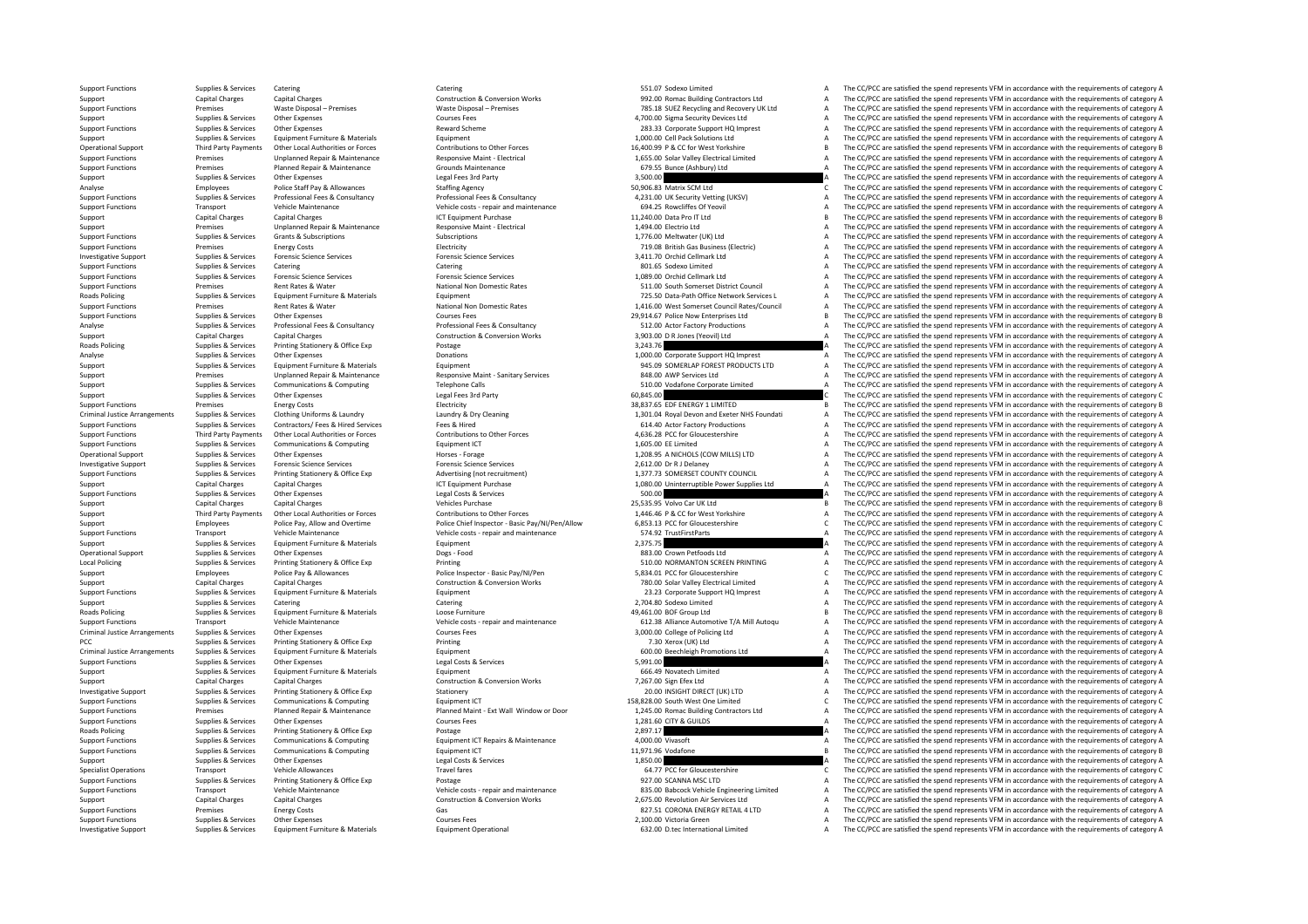Roads Policing **Roads Policing** Criminal Justice**Local Policing Roads Policing** Criminal JusticeCriminal JusticeRoads Policing

Operational Support Supplies & Services Other Expenses Horses Horses - Forage Horses - Forage 1,208.95 A NICHOLS (COW Support Functions Supplies & Services Other Expenses Courses Courses Fees Courses Courses Courses Courses Courses Courses Courses Courses Courses Courses and a The CC/PCC are satisfied the spend represents VFM in accordanc Investigative Support outcomes Supplies & Services Equipment Furniture & Materials Equipment Operational Equipment Operational Equipment Operational 632.00 D.tec International Limited A The CC/PCC are satisfied the spend r

Support Functions Supplies & Services Catering Catering Catering Catering Catering Catering Catering Support Functions A The CC/PCC are satisfied the spend represents VFM in accordance with the requirements of category A Support Capital Charges Capital Charges Capital Charges Construction & Conversion Works 992.00 Romac Building Contractors Ltd A The CC/PCC are satisfied the spend represents VFM in accordance with the requirements of categ Support Functions Premises Waste Disposal – Premises Waste Disposal – Premises 785.18 SUEZ Recycling and Recovery UK Ltd A The CC/PCC are satisfied the spend represents VFM in accordance with the requirements of category A Support Supplies & Services Other Expenses Courses Fees Courses Fees Courses Fees 4,700.00 Sigma Security Devices Ltd A The CC/PCC are satisfied the spend represents VFM in accordance with the requirements of category A Su Support Functions Supplies & Services Other Expenses New and Scheme Reward Scheme 283.33 Corporate Support HQ Imprest A The CC/PCC are satisfied the spend represents VFM in accordance with the requirements of category A Support Supplies & Services Equipment Furniture & Materials Equipment Equipment Equipment and the Cultument of Category A The CC/PCC are satisfied the spend represents VFM in accordance with the requirements of category B<br> Operational Support Third Party Payments Other Local Authorities or Forces Contributions to Other Forces School and the COPCC are satisfied the spend represents VFM in accordance with the requirements of category B<br>Support Support Functions and the criterial properties and the criterial properties and the criterical properties are the criterical impact that the criterical control of the criterical control of the criterical control of the cri Support Functions Premises Planned Repair & Maintenance Grounds Maintenance Grounds Maintenance Grounds Maintenance Grounds Maintenance Grounds Maintenance 679.55 Bunce (Ashbury) Ltd A The CC/PCC are satisfied the spend re Support Supplies & Services Other Expenses Legal Fees 3rd Party Legal Fees 3rd Party 3,500.00 A The CC/PCC are satisfied the spend represents VFM in accordance with the requirements of category A Category A Category A Cate Analyse Employees Police Staff Pay & Allowances Staffing Agency Staffing Agency Staffing Agency 50,906.83 Matrix SCM Ltd C The CC/PCC are satisfied the spend represents VFM in accordance with the requirements of category C Supplies & Services Professional Free Aconsultancy Professional Fies & Consultancy Professional Fies & Consultancy Professional Fies & Consultancy Professional Fies & Consultancy Professional Fies & Consultance and Aconsul Transport Vehicle Maintenance Vehicle costs - repair and maintenance 694.25 Rowcliffes Of Yeovil A The CC/PCC are satisfied the spend represents VFM in accordance with the requirements of category A Support Capital Charges Capital Charges ICT Equipment Purchase 11,240.00 Data Pro IT Ltd B The CC/PCC are satisfied the spend represents VFM in accordance with the requirements of category B<br>Support Premises Innlanned Bena Unplanned Repair & Maintenance Mesponsive Maint - Electrical 1,494.00 Electrio Ltd A The CC/PCC are satisfied the spend represents VFM in accordance with the requirements of category A Grants & Conserved Category A Cramic Support Functions Supplies & Services Grants & Subscriptions Subscriptions Subscriptions Subscriptions Subscriptions Subscriptions Subscriptions Subscriptions Subscriptions Subscriptions Subscriptions Subscriptions Subscri examines Energy Costs Contrast Electricity Costs Electricity Costs Electricity Costs Electricity 719.08 British Gas Business (Electricity A The CC/PCC are satisfied the spend represents VFM in accordance with the requireme Investigative Support Support Services Forensic Science Services Forensic Science Services Forensic Science Services Forensic Science Services 7,411.70 Orchid Cellmark Ltd A The CC/PCC are satisfied the spend represents VF Support Functions Supplies & Services Catering Catering Catering Catering Catering Catering Catering Catering Catering Catering Catering and a Support Functions A The CC/PCC are satisfied the spend represents VFM in accord Support Functions Supplies & Services Forensic Science Services Forensic Science Services Forensic Science Services Forensic Science Services and the Support Punctic Rates and the CC/PC are satisfied the spend represents V Support Functions Premises Actions Premises Rent Rates Mational Non Domestic Rates Support Scheen Scheen Scheen Scheen A The CC/PCC are satisfied the spend represents VFM in accordance with the requirements of category A S Policing Supplies Equipment Equipment Equipment Furniture & Materials Equipment Equipment Equipment America County County of the Supplies Path Office Network Services L A The CC/PCC are satisfied the spend represents VFM i Support Functions Premises Rent Rates & Water National Non Domestic Rates 1,416.00 West Somerset Council Rates/Council A The CC/PCC are satisfied the spend represents VFM in accordance with the requirements of category A Support Functions Supplies & Services Other Expenses 20,000 Courses Fees 20,000 Courses Professional Fees & Consultancy 29,914.67 Police Now Enterprises Ltd B The CC/PCC are satisfied the spend represents VFM in accordance Sunniles & Services Professional Fees & Consultancy Professional Fees & Consultancy Professional Fees & Consultancy Professional Fees & Consultancy 512.00 Actor Factory Productions 6 The CC/PCC are satisfied the spend repr Support Capital Charges Capital Charges Capital Charges Construction & Conversion Works 3,903.00 D R Jones (Yeovil) Ltd A The CC/PCC are satisfied the spend represents VFM in accordance with the requirements of category A Policy Supplies & Services Printing Stationery & Office Exp Postage 3,243.76 A The CC/PCC are satisfied the spend represents VFM in accordance with the requirements of category A The Criminal and the spend represents VFM i Analyse Supplies & Services Other Expenses Donations Donations Donations 1,000.00 Corporate Support HQ Imprest A The CC/PCC are satisfied the spend represents VFM in accordance with the requirements of category A Support Supplies & Services Equipment Furniture & Materials Equipment Equipment Equipment Pure Equipment Pure Equipment Support 945.09 SOMERLAP FOREST PRODUCTS LTD A The CC/PCC are satisfied the spend represents VFM in acc Support Premises Unplanned Repair & Maintenance Responsive Maint ‐ Sanitary Services 848.00 AWP Services Ltd A The CC/PCC are satisfied the spend represents VFM in accordance with the requirements of category A Support Supplies & Services Communications & Computing Telephone Calls 510.00 Vodafone Corporate Limited A The CC/PCC are satisfied the spend represents VFM in accordance with the requirements of category A Support Support Support Supplies & Services Other Expenses Legal Fees 3rd Party 60,845.00 C The CC/PCC are satisfied the spend represents VFM in accordance with the requirements of category C Support Functions Premises Energy Costs Electricity Functions Electricity and the spend of the spend represents VFM in accordance with the requirements of category B and the spend represents VFM in accordance with the requ Supplies & Services Clothing Uniforms & Laundry and the capacy of Cleaning and the company of the COPCC are stisfied the spend represents VFM in accordance with the requirements of category A<br>Supplies & Services Contractor Support Functions Supplies & Services Contractors/ Fees A Hired Services Fees & Hired Services Fees & Hired Services Fees & Hired Fees & Hired Fees & Hired Fees & Hired Services Fees & Hired 614.40 Actor Forces A Support F Third Party Payments Other Local Authorities or Forces Contributions to Other Forces Contributions to Other Forces Contributions to Other Forces and the Support Functions AGS CODIC are stated the spend represents VFM in ac Supplies & Services Communications & Computing Equipment ICT 1,605.00 EE Limited A The CC/PCC are satisfied the spend represents VFM in accordance with the requirements of category A 1.208.95 A NICHOLS (COW MILLS) LTD A The CC/PCC are satisfied the spend represents VFM in accordance with the requirements of category A Investigative Support Supplies & Services Forensic Science Services Forensic Science Services Forensic Science Services Forensic Science Services Protestic Science Services Protestic Science Services Protestic Science Serv Supplies & Services Printing Stationery & Office Exp Advertising (not recruitment) 1,377.73 SOMERSET COUNTY COUNCIL A The CC/PCC are satisfied the spend represents VFM in accordance with the requirements of category A Support Capital Charges Capital Charges Capital Charges ICT Equipment Purchase 1,080.00 Uninterruptible Power Supplies Ltd A The CC/PCC are satisfied the spend represents VFM in accordance with the requirements of category Support Functions Supplies & Services Other Expenses Legal Costs & Services Category A The CC/PC are satisfied the spend represents VFM in accordance with the requirements of category A Support Capital Charges Capital Charges Vehicles Purchase 25,535.95 Volvo Car UK Ltd B The CC/PCC are satisfied the spend represents VFM in accordance with the requirements of category B Third Party Payments Other Local Authorities or Forces Contributions to Other Forces Contributions to Other Forces 1,446.46 P & CC for West Yorkshire May a The CC/PCC are satisfied the spend represents VFM in accordance wi Employees Police Pay, Allow and Overtime Police Chief Inspector - Basic Pay/NI/Pen/Allow 6,853.13 PCC for Gloucestershire C/PCC are satisfied the spend represents VFM in accordance with the requirements of category C<br>Suppo Support Functions Transport Vehicle Maintenance Vehicle costs - repair and maintenance 574.92 TrustFirstParts A The CC/PCC are satisfied the spend represents VFM in accordance with the requirements of category A Support Supplies & Services Equipment Furniture & Materials Equipment Equipment Equipment Equipment Equipment Equipment 2,375.75 A The CC/PCC are satisfied the spend represents VFM in accordance with the requirements of ca Operational Support Support Other Expenses Other Expenses Orges Food Crown Support Support Support Crown Petfoods Ltd A The CC/PCC are satisfied the spend represents VFM in accordance with the requirements of category A Su Local Policing Supplies & Services Printing Stationery & Office Exp Printing Printing Printing Printing Printing States Printing States States States and States Stationer States and Department of category A Station Categor Employees Police Pay & Allowances Police Inspector - Basic Pay/NI/Pen 5,834.01 PCC for Gloucestershire C The CC/PCC are satisfied the spend represents VFM in accordance with the requirements of category C Capital Changes C Support Capital Charges Capital Charges Capital Charges Construction & Conversion Works 780.00 Solar Valley Electrical Limited A The CC/PCC are satisfied the spend represents VFM in accordance with the requirements of cate Supplies & Services Equipment Furniture & Materials Equipment Equipment 23.23 Corporate Support HQ Imprest A The CC/PCC are satisfied the spend represents VFM in accordance with the requirements of category A Support Supplies & Services Catering Catering Catering Catering Catering Catering Catering Catering Catering Catering Catering Catering and the Support of the CC/PCC are satisfied the spend represents VFM in accordance wit The CC/PCC are satisfied the spend represents VFM in accordance with the requirements of category B Transport Vehicle Maintenance Vehicle Courses Feesing and maintenance (Subalism and the CC/PCC are satisfied the spend represents VFM in accordance with the requirements of category A Criminal Justice Arrangements Supplies The CC/PCC are satisfied the spend represents VFM in accordance with the requirements of category A PCC Supplies & Services Printing Stationery & Office Exp Printing Printing Printing Printing Printing Printing and the spend Represents VFM in accordance with the requirements of category A The CC/PCC are satisfied the spe Supplies & Services Equipment Europeiant Supplies Equipment Fund and Supplies COM Beechleigh Promotions Ltd A The CC/PCC are esticiant the spend represents VFM in accordance with the requirements of category A Support Functions Supplies & Services Other Expenses Legal Costs Category A Legal Costs & Services Legal Costs & Services Services Category A The CC/PCC are satisfied the spend represents VFM in accordance with the require Support Support Turniture A Support Support Support Support Turniture A The CC/PCC are satisfied the spend represents VFM in accordance with the requirements of category A The CC/PCC are satisfied the spend represents VFM Support Capital Charges Capital Charges Capital Charges Conversion Conversion Works Conversion Works 7,267.00 Sign Efex Ltd A The CC/PCC are satisfied the spend represents VFM in accordance with the requirements of categor Stationery **Expression Support Support Supplier Stationery** 20.00 INSIGHT DIRECT (UK) LTD A The CC/PCC are satisfied the spend represents VFM in accordance with the requirements of category A Support Functions Supplies & Services Communications & Computing Equipment ICT Equipment ICT Equipment ICT ESS, 28.00 South West One Limited C The CC/PCC are satisfied the spend represents VFM in accordance with the requir Planned Repair & Maintenance 2012 Planned Maint - Ext Wall Window or Door 1,245.00 Romac Building Contractors Ltd A The CC/PCC are satisfied the spend represents VFM in accordance with the requirements of category A Support Functions Supplies & Services Other Expenses Courses Fees Courses Fees Courses Courses Courses Courses Courses Courses Courses Courses and the CO/PC are satisfied the spend represents VFM in accordance with the req Policing Supplies & Services Printing Stationery & Office Exp Postage Printing Stationery and Postage Printing Stationery and Postage Printing Stationery and Policing Printing Stationery and Principal Principal and A The C Support Functions Supplies & Services Communications & Computing Equipment ICT Repairs & Maintenance 4,000.00 Vivasoft 4,000.00 Vivasoft A The CC/PCC are satisfied the spend represents VFM in accordance with the requiremen Support Functions Supplies & Services Communications & Computing Equipment ICT Equipment ICT Equipment CT 11,971.96 Vodafone 11,971.96 Vodafone B The CC/PCC are satisfied the spend represents VFM in accordance with the req Support Supplies & Services Other Expenses Legal Costs & Services Legal Costs & Services Legal Costs & Services 1,850.00 A The CC/PCC are satisfied the spend represents VFM in accordance with the requirements of category A Specialist Operations Transport Vehicle Allowances Travel fares Travel fares Travel fares Travel fares and the content of category C The CC/PCC are satisfied the spend represents VFM in accordance with the requirements of Support Functions Support Functions Support Printing Stationery & Office Exp Postage 927.00 SCANNA MSC LTD A The CC/PCC are satisfied the spend represents VFM in accordance with the requirements of category A Transport Vehicle Maintenance Vehicle Construction & Conversion Working Construction & Conversion Working Construction & Conversion Working and maintenance and a minitenance and a sample of the CC/PCC are satisfied the spe Support Capital Charges Capital Charges Capital Charges Construction & Conversion Works 2,675.00 Revolution Air Services Ltd A The CC/PCC are satisfied the spend represents VFM in accordance with the requirements of catego Support Functions Premises Premises Energy Costs Support Functions Courses Fees Courses Fees Courses Fees Courses Courses Courses Fees Courses Courses Premier Premier Premier Premier Premier Premier Premier Premier Premier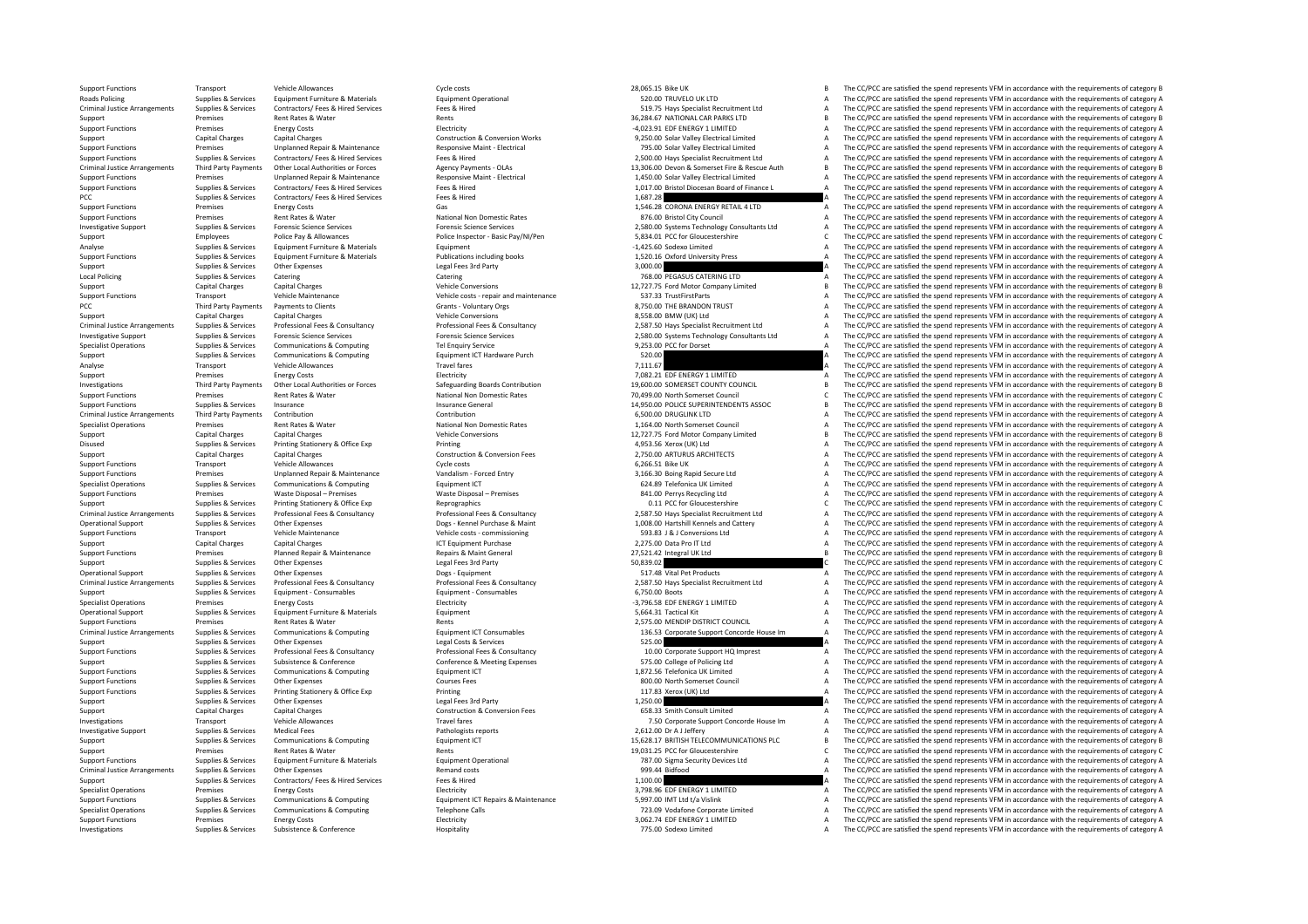Roads Policing Criminal JusticeCriminal Justice**Local Policing** PCC Third Party Payments Criminal JusticeCriminal JusticeCriminal JusticeCriminal JusticeCriminal JusticeCriminal Justice

Support capital Charges Capital Charges Capital Charges And Charges Capital Charges Vehicle Conversions Capital Charges And Charges Capital Charges And Charges Vehicle Conversions Capital Charges And Charges Conversions Ca

Investigations Supplies & Services Subsistence & Conference Hospitality Hospitality 775.00 Sodexo Limited A The CC/PCC are satisfied the spend represents VFM in accordance with the requirements of category A

Support Functions Transport Vehicle Allowances Webicle Allowances Cycle costs 2006 Cycle costs 28,065.15 Bike UK 28,065.15 Bike UK B The CC/PCC are satisfied the spend represents VFM in accordance with the requirements of Policing Supplies & Services Equipment Furniture & Materials Equipment Operational Equipment Operational Equipment Operational Supplies and the CC/PCC are satisfied the spend represents VFM in accordance with the requireme Arrangements Supplies Supplies Track Arrangements of category A The CC/PC arrangement Contractors of the requirements of category A The CC/PCC are satisfied the spend represents VFM in accordance with the requirements of c Support Premises Rent Rates & Water Rents 36,284.67 NATIONAL CAR PARKS LTD B The CC/PCC are satisfied the spend represents VFM in accordance with the requirements of category B Support Functions Premises Energy Costs Energy Costs Electricity Electricity Electricity Electricity Electricity Construction & Conversion Works -4,023.91 EDF ENERGY 1 LIMITED A The CC/PCC are satisfied the spend represent Support Capital Charges Capital Charges Capital Charges Construction & Conversion Works 9,250.00 Solar Valley Electrical Limited A The CC/PCC are satisfied the spend represents VFM in accordance with the requirements of ca opport Functions and The CO/PCC are attached the predictions of the comparison of the comparison of the CO/PCC are controlled the spend represents VFM in accordance with the requirements of category A and the comparison of Suppliers & Services Contractors/ Fees & Hired Services Fees & Hired Fees & Hired Services (Services Fees & Hired Services Fees & Hired 2500.00 Havs Specialist Recruitment Itd A The CC/PCC are satisfied the spend represent Criminal Justice Arrangements Third Party Payments Other Local Authorities or Forces Agency Payments - OLAS 13,306.00 Devon & Somerset Fire & Rescue Auth B The CC/PCC are satisfied the spend represents VFM in accordance wi 1.450.00 Solar Valley Electrical Language and the CC/PCC are assisted the spend represents VFM in accordance with the requirements of category A Responsive Maint - Electrical Maint - Electrical Maint - Electrical 1.450.00 Supplies & Services Contractors/ Fees Nired Services Fees & Hired Fees & Hired Fees & Hired Fees & Hired Fees & Hired Contractors/ Fees & Hired Fees & Hired Fees & Hired Contractors Fees & Hired Contractors Read The CO/PCC PCC Supplies & Services Contractors/ Fees & Hired Services Fees & Hired Fees & Hired The Services Fees & Hired The Services Fees & Hired The Services Fees & Hired The Services Fees & Hired The Services Fees & Hired The Ser Premises Energy Costs Costs Gas Gas 1,546.28 CORONA ENERGY RETAIL 4 LTD A The CC/PCC are satisfied the spend represents VFM in accordance with the requirements of category A Support Functions Premises Rent Rates Rent Rates Rent Rates Rent Rates National Non Domestic Rates 876.00 Bristol City Council A The CC/PCC are satisfied the spend represents VFM in accordance with the requirements of cate Forensic Science Services<br>
Forensic Science Services<br>
Police Inspector - Basic Pay/NI/Pen Manus (2534.01 PCC for Gloucestershire CALL The CC/PCC are satisfied the spend represents VFM in accordance with the requirements of Support Employees Police Pay & Allowances Police Inspector - Basic Pay/NI/Pen 5,834.01 PCC for Gloucestershire C The CC/PCC are satisfied the spend represents VFM in accordance with the requirements of category C Employees -1,425.60 Sodexo Limited<br>A The CC/PCC are satisfied the spend represents VFM in accordance with the requirements of category A<br>1.520.16 Oxford University Press Support Exercise Supplies & Services Content Experiment Fundation Publications and Publications and the content of the experiment of the content of the experiment of the content of the content of the content of the content Support Support Support Other Expenses Control Control Control of the Services Control Control of the Services Control of the Services Control of the Services Control of the Services Control of the Services Control of the  $\small \textbf{Local Policy} \begin{minipage}{0.5cm} \begin{minipage}{0.5cm} \begin{minipage}{0.5cm} \begin{minipage}{0.5cm} \begin{minipage}{0.5cm} \begin{minipage}{0.5cm} \begin{minipage}{0.5cm} \begin{minipage}{0.5cm} \begin{minipage}{0.5cm} \begin{minipage}{0.5cm} \begin{minipage}{0.5cm} \begin{minipage}{0.5cm} \begin{minipage}{0.5cm} \begin{minipage}{0.5cm} \begin{minipage}{0.5cm} \begin{minipage}{0.5cm} \begin{minipage}{0.5cm} \begin{minipage}{0$ Capital Charges Capital Charges Vehicle Conversions Charges Capital Charges 12,727.75 Ford Motor Company Limited B The CC/PCC are satisfied the spend represents VFM in accordance with the requirements of category B Vehicle Support Functions Transport Transport Vehicle Maintenance Vehicle costs - repair and maintenance S37.33 TrustFirstParts A The CC/PCC are satisfied the spend represents VFM in accordance with the requirements of category A The CC/PCC are satisfied the spend represents VFM in accordance with the requirements of category A (UK) Ltd A The CC/PCC are satisfied the spend represents VFM in accordance with the requirements of category A<br>2.587.50 Havs Specialist Recruitment Itd A The CC/PCC are satisfied the spend represents VFM in accordance with Suppliers & Services Professional Fees & Consultancy Professional Fees & Consultancy Professional Fees & Consultancy Professional Fees & Consultancy 2.587.50 Havs Specialist Recruitment Itd A The CC/PCC are satisfied the s Investigative Support Support Suppolies & Services Forensic Science Services Forensic Science Services Forensic Science Services Forensic Science Services and Decayles 2,580.00 Systems Technology Consultants Ltd A The CC/P Specialist Operations Supplies & Services Communications & Computing Tel Enquiry Service Tel Enquiry Service 9,253.00 PCC for Dorset A The CC/PCC are satisfied the spend represents VFM in accordance with the requirements o Support Support Support Communications & Computing Equipment ICT Hardware Purch 520.00 520.00 A The CC/PCC are satisfied the spend represents VFM in accordance with the requirements of category A Analyse Transport Vehicle Allowances Travel fares Travel fares Travel fares Travel fares Travel fares Travel fares Travel fares 7,111.67 A The CC/PCC are satisfied the spend represents VFM in accordance with the requiremen Support Premises Energy Costs Energy Costs Electricity Electricity Electricity Electricity Electricity and the ENERGY 1 LIMITED A The CC/PCC are satisfied the spend represents VFM in accordance with the requirements of cat Third Party Payments Other Local Authorities or Forces Safeguarding Boards Contribution 19,600.00 SOMERSET COUNTY COUNCIL BE The CC/PCC are satisfied the spend represents VFM in accordance with the requirements of category Support Functions Premises Rent Rates & Water National Non Domestic Rates 70,499.00 North Somerset Council C The CC/PCC are satisfied the spend represents VFM in accordance with the requirements of category C Support Funct Support Functions Supplies & Services Insurance Insurance Insurance General 14,950.00 POLICE SUPERINTENDENTS ASSOC B The CC/PCC are satisfied the spend represents VFM in accordance with the requirements of category B Third Party Payments Contribution Contribution Contribution Contribution Contribution Contribution Contribution Contribution Contribution 6,500.00 DRUGLINK LTD A The CC/PCC are satisfied the spend represents VFM in accorda Specialist Operations Premises Rent Rates Rent Rates Rent Rates National Non Domestic Rates 1,164.00 North Somerset Council A The CC/PCC are satisfied the spend represents VFM in accordance with the requirements of categor Support Capital Charges Capital Charges Capital Charges Vehicle Conversions Vehicle Conversions 12,727.75 Ford Motor Company Limited B The CC/PCC are satisfied the spend represents VFM in accordance with the requirements o Disused Supplies & Services Printing Stationery & Office Exp Printing Printing A The CC/PCC are satisfied the spend represents VFM in accordance with the requirements of category A Support Capital Charges Capital Charges Construction & Construction & Conversion Fees 2,750.00 ARTURUS ARCHITECTS A The CC/PCC are satisfied the spend represents VFM in accordance with the requirements of category A Support Functions Transport Vehicle Allowances Cycle costs 6,266.51 Bike UK A The CC/PCC are satisfied the spend represents VFM in accordance with the requirements of category A Support Functions and the requirements of ca Support Functions Premises Unplanned Repair & Maintenance Vandalism ‐ Forced Entry 3,166.30 Boing Rapid Secure Ltd A The CC/PCC are satisfied the spend represents VFM in accordance with the requirements of category A Specialist Operations Supplies & Services Communications & Computing Equipment ICT Equipment ICT 624.89 Telefonica UK Limited A The CC/PCC are satisfied the spend represents VFM in accordance with the requirements of categ Support Functions and the premises Waste Disposal – Premises Waste Disposal – Premises Waste Disposal – Premises 841.00 Perrys Recycling Ltd A The CC/PC are satisfied the spend represents VFM in accordance with the require Support Supplies & Services Printing Stationery & Office Exp Reprographics 0.11 PCC for Gloucestershire C The CC/PCC are satisfied the spend reprographic C The CC/PCC are satisfied the spend reprogramments of category C Supplies & Services Professional Fees & Consultancy Consultancy Professional Fees & Consultancy Professional Fees & Consultancy Professional Fees & Consultancy Consultancy Casa and D.587.50 Hays Specialist Recruitment Ltd Operational Support Supplies & Services Other Expenses Process and Dogs - Kennel Purchase & Maint 1,008.00 Hartshill Kennels and Cattery and The CC/PCC are satisfied the spend represents VFM in accordance with the requirem Support Functions Transport Vehicle Maintenance Vehicle costs – commissioning 593.83 J Conversions Ltd A The CC/PCC are satisfied the spend represents VFM in accordance with the requirements of category A Support Capital Charges Capital Charges 2,275.00 Data Pro IT Ltd A The CC/PCC are satisfied the spend represents VFM in accordance with the requirements of category A Support Functions Premises Planned Repair & Maintenance Repairs & Maint General Repairs & Maint General 27,521.42 Integral UK Ltd B The CC/PCC are satisfied the spend represents VFM in accordance with the requirements of c Support Supplies & Services Other Expenses Legal Fees 3rd Party 1999 Fees 3rd Party Support Support Support Support The CC/PCC are satisfied the spend represents VFM in accordance with the requirements of category C Operat Operational From Expenses Other Expenses Dogs - Equipment Dogs • Equipment Dogs • Equipment 50 Dogs • Equipment 50 Dogs • Equipment Support Support Support Support Support Support Support Support Support Support Support A Professional Fees & Consultancy Professional Fees & Consultancy 2,587.50 Hays Specialist Recruitment Ltd A The CC/PCC are satisfied the spend represents VFM in accordance with the requirements of category A Professional Fe Supplies & Services Equipment - Consumables Equipment - Consumables Equipment - Consumables Equipment - Consumables 6,750.00 Boots A The CC/PCC are satisfied the spend represents VFM in accordance with the requirements of Specialist Operations Premises Energy Costs Energy Costs Energy Costs Electricity Electricity Electricity Electricity Electricity and the Specialist A The CC/PCC are satisfied the spend represents VFM in accordance with th Operational Support Support Support Support Support Support The CC/PCC are satisfied the spend represents VFM in accordance with the requirements of category A The CC/PCC are satisfied the spend represents VFM in accordan Support Functions Premises Rent Rates & Water Rent Rates Rent Rates Rent Rates Rent Rates Rent Rates Rent Rates Rent Rates Rent Rent Rates Rent Rent Rates Rent Rates Rent Rates Rent Rents Rents Rents Rents Rent Rates Rent The CC/PCC are satisfied the spend represents VFM in accordance with the requirements of category A Support Support Support of the COST of the Services Other Expenses Legal Costs & Services Legal Costs & Services Legal Costs & Services Concert Support Support of the Service of Category A The CC/PCC are satisfied the spen Support Functions Cupplies & Sanicas Drefessional Feas & Consultancy Drefessional Feas & Consultancy Drefessional Feas & Consultancy 10.00 Corporate Support HO Impress Support HO Impress The OCIDCC are asticfied the spendy Support Supplies & Services Subsistence & Conference Conference & Meeting Expenses 575.00 College of Policing Ltd A The CC/PCC are satisfied the spend represents VFM in accordance with the requirements of category A Suppor Support Functions Supplies A The CC/PCC are satisfied the spend represents VFM in accordance with the requirements of category A The CC/PCC are satisfied the spend represents VFM in accordance with the requirements of cate Support Functions Supplies & Services Other Expenses Courses Fees Courses Fees and Support Functions and the CC/PCC are satisfied the spend represents VFM in accordance with the requirements of category A Support Functions Support Functions Supplies & Services Printing Stationery & Office Exp Printing Printing Printing 117.83 Xerox (UK) Ltd A The CC/PCC are satisfied the spend represents VFM in accordance with the requirements of category A Supplies & Services Other Expenses Legal Fees 3rd Party Party 1,250.00 A The CC/PCC are satisfied the spend represents VFM in accordance with the requirements of category A Support Category A Support Category A Support of Support Capital Charges Capital Charges Capital Charges Construction & Conversion Fees 658.33 Smith Consult Limited A The CC/PCC are satisfied the spend represents VFM in accordance with the requirements of category A Investigations Transport Vehicle Allowances Travel fares Travel fares Travel fares Travel fares Travel fares Travel fares Travel fares Travel fares Travel fares Travel fares Travel fares Travel fares and the corporate Supp Investigative Support Supplies & Services Medical Fees Pathologists reports Pathologists reports 2,612.00 Dr A J Jeffery A The CC/PCC are satisfied the spend represents VFM in accordance with the requirements of category A Support Support Support Services Communications & Computing Equipment ICT 15,628.17 BRITISH TELECOMMUNICATIONS PLC B The CC/PCC are satisfied the spend represents VFM in accordance with the requirements of category B Support Premises Rent Rates & Water Rents Rents Rents Rents Rents Rents Rents Rents Rents Rents Rents Rents Rents Rents Rents Rents Rents Rents Rents Rents Rents Rents Rents Rents Rents Rents Rents Rents Rents Rents Rents Supplies & Services Equipment Furniture & Materials Equipment Operational Equipment Operational 787.00 Sigma Security Devices Ltd A The CC/PCC are satisfied the spend represents VFM in accordance with the requirements of c Arrangements Supplies & Services Other Expenses Contractors Remand costs Remand costs Remand costs Remand costs Remand costs a The CC/PC are satisfied the spend represents VFM in accordance with the requirements of categor Support Support Support Support Support Support Support Support Support Support Support Support Support Support Support Support Support Support Support Support Support Support Support Support Support Support Support Suppor Specialist Operations Premises Energy Costs Energy Costs Energy Electricity Electricity Electricity Electricity and the Energy A The CC/PCC are satisfied the spend represents VFM in accordance with the requirements of cate Supplies & Services Communications & Computing Equipment ICT Repairs & Maintenance 5,997.00 IMT Ltd t/a Vislink and the CC/PCC are satisfied the spend represents VFM in accordance with the requirements of category A specia Specialist Operations Supplies & Services Communications & Computing Telephone Calls Telephone Calls 723.09 Vodafone Corporate Limited A The CC/PCC are satisfied the spend represents VFM in accordance with the requirements Support Functions Premises Energy Costs Energy Costs Electricity Electricity Electricity and the spend represents VFM in accordance with the requirements of category A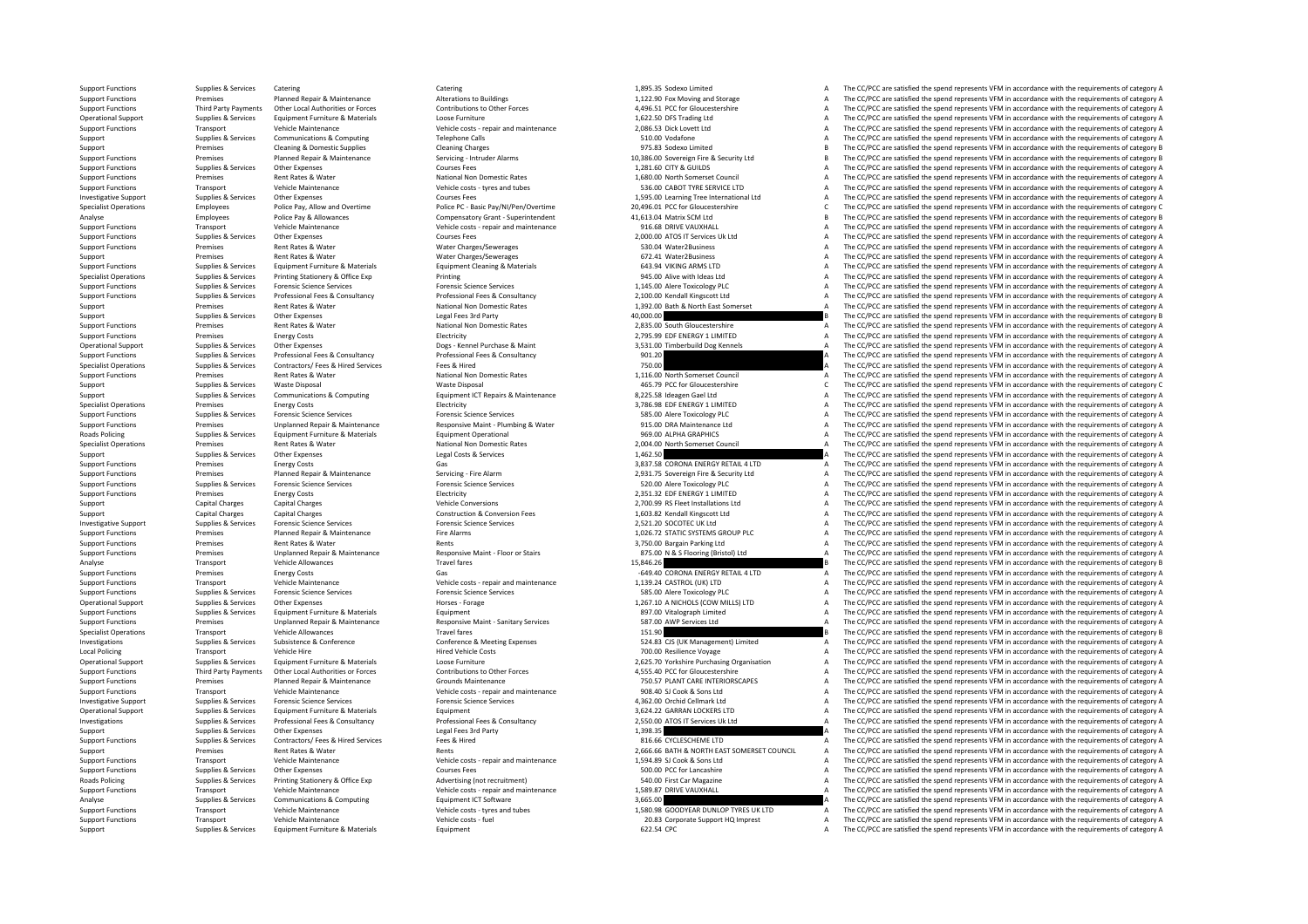Roads Policing Local Policing **Roads Policing** 

Operational Support Supplies & Services Other Expenses Companies and Support Forage Horses - Forage 1,267.10 A NICHOLS (COW MILLS) LTD<br>Support Functions Supplies & Services Equipment Furniture & Materials Equipment Cumpani

Supplies & Services Equipment Furniture & Materials Equipment Equipment Counter and the Services Equipment of Cerce A The CC/PCC are satisfied the spend represents VFM in accordance with the requirements of category A

Support Functions Supplies & Services Catering Catering Catering Catering Catering Catering Catering Catering Catering Catering Catering Catering 1,895.35 Sodexo Limited A The CC/PCC are satisfied the spend represents VFM Support Functions Premises Planned Repair & Maintenance Alterations to Buildings and the present of the support Functions and Storage A The CC/PCC are satisfied the spend represents VFM in accordance with the requirements Third Party Payments Other Incident Philips of Detroit of The Contributions to the Forces of the Contributions of the Contributions to the Forces and the Contributions of the COST PC for Gloucedership and the contributions Operational Support Supplies & Services Equipment Furniture & Materials Loose Furniture Loose Furniture 1,622.50 DFS Trading Ltd A The CC/PCC are satisfied the spend represents VFM in accordance with the requirements of ca Support Functions Transport Vehicle Maintenance Vehicle costs - repair and maintenance 2,086.53 Dick Lovett Ltd A The CC/PCC are satisfied the spend represents VFM in accordance with the requirements of category A Support Support Supplies & Services Communications & Computing Telephone Calls Telephone Calls Telephone Calls 510.00 Vodafone A The CC/PCC are satisfied the spend represents VFM in accordance with the requirements of category B<br>A Support Premises Cleaning & Domestic Supplies Cleaning Charges Cleaning Charges Cleaning Charges Cleaning Charges Cleaning Charges Cleaning Charges Cleaning Charges Cleaning Charges Cleaning Charges 975.83 Sodexo Limited B of the contract of the contract of the contract of the contract of the contract of the contract of the contract of the contract of the contract of the contract of the contract of the contract of the contract of the contrac Support Functions Supplies & Services Other Expenses Courses Fees Courses Fees Courses Fees 1,281.60 CITY & GUILDS A The CC/PCC are satisfied the spend represents VFM in accordance with the requirements of category A Suppo Support Functions Premises Rent Rates & Water National Non Domestic Rates 1,680.00 North Somerset Council A The CC/PCC are satisfied the spend represents VFM in accordance with the requirements of category A The Criminal C Transport Vehicle Maintenance Vehicle costs - tyres and tubes 536.00 CABOT TYRE SERVICE LTD A The CC/PCC are satisfied the spend represents VFM in accordance with the requirements of category A Investigative Support Supplies & Services Other Expenses Courses Fees Courses Fees Courses Fees 1,595.00 Learning Tree International Ltd A The CC/PCC are satisfied the spend represents VFM in accordance with the requiremen Employees Police Pay, Allow and Overtime Police PC - Basic Pay/NI/Pen/Overtime 20.496.01 PCC for Gloucestershire C. The CC/PCC are satisfied the spend represents VFM in accordance with the requirements of category C Analyse Police Pay Analyse Police Pay Analyse Compensatory Grant – Superintendent 41,513.04 Matrix SCM Ltd B The CC/PCC are satisfied the spend represents VFM in accordance with the requirements of category B The CC/PC are SUPPORT TRANSPORT FUNCTIONS TRANSPORT TRANSPORT TRANSPORT VEHICLE MAINTENANCE MAINTENANCE MAINTENANCE MAINTENA<br>2.000.00 ATOS IT Services Uk Ltd **A** The CC/PCC are satisfied the spend represents VFM in accordance with the r Support Functions Supplies & Services Other Expenses Courses Fees Courses Fees 2,000.00 ATOS IT Services Uk Ltd A The CC/PCC are satisfied the spend represents VFM in accordance with the requirements of category A The CC/P .<br>Support Functions Rent Rates & Water Charges Mater Charges Counter Charges A The CC/PC are satisfied the spend represents VFM in accordance with the requirements of category A Support Premises Rent Rates Rent Rates Rent Rates Rent Rates Rent Rates A The COPC are satisfied the spend represents VFM in accordance with the requirements of category A The CC/PC are satisfied the spend represents VFM i Sumplies & Services Environment Europeants (Alterials Environment Classical Environment Classical Environment Classical Environment Classical Control Cases (ENVING ADMS LTD COMERCIAL The CC/DCC are estistied the senator co Specialist Operations Supplies & Services Printing Stationery & Office Exp Printing Printing Printing Printing Printing Printing Printing Printing 945.00 Alive with Ideas Ltd A The CC/PCC are satisfied the spend represents Support Functions Supplies & Services Forensic Science Services Forensic Science Services Forensic Science Services Forensic Science Services and the material and the company and the CC/PCC are satisfied the spend represen Supplies & Services Professional Fees & Consultancy Professional Fees & Consultancy Professional Fees & Consultancy<br>Professional Professional Professional Fees & Consultancy Professional Fees & Consultancy Professional Rea Support Premises Rent Rates & Water National Non Domestic Rates 1,392.00 Bath & North East Somerset A The CC/PCC are satisfied the spend represents VFM in accordance with the requirements of category A Supplies & Services Other Expenses Legal Fees 3rd Party and the state of the CONSTANT CONSTANT CONSTANT CONSTANT THE CONSTANT OF THE CONSTANT CONSTANT CONSTANT CONSTANT OF THE CONSTANT OF THE CONSTANT OF THE CONSTANT OF TH Premises Rent Rates & Water Mational Non Domestic Rates 2,835.00 South Gloucestershire A The CC/PCC are satisfied the spend represents VFM in accordance with the requirements of category A The CC/PCC are satisfied the spen Support Functions Premises Energy Costs Energy Costs Electricity Electricity Electricity Electricity Electricity 2,795.99 EDF ENERGY 1 LIMITED A The CC/PCC are satisfied the spend represents VFM in accordance with the requ Operational Support Supplies & Services Other Expenses Dogs - Kennel Purchase & Maint 3,531.00 Timberbuild Dog Kennels A The CC/PCC are satisfied the spend represents VFM in accordance with the requirements of category A Support Functions Supplies & Services Professional Fees & Consultancy Professional Fees & Consultancy Professional Fees & Consultancy 901.20 A The CC/PCC are satisfied the spend represents VFM in accordance with the requir Specialist Operations Supplies & Services Contractors/ Fees A Hired Services Fees & Hired Hired Tees & Hired Pees & Hired Pees & Hired Pees & Hired Pees & Hired Pees & Hired Pees & Hired Pees & Hired Pees & Hired Pees & Hi Support Functions Premises Rent Rates & Water Mational Non Domestic Rates National Non Domestic Rates 1,116.00 North Somerset Council A The CC/PCC are satisfied the spend represents VFM in accordance with the requirements Supplies & Services Waste Disposal Waste Disposal Waste Disposal Waste Disposal 465.79 PCC for Gloucestershire C The CC/PCC are satisfied the spend represents VFM in accordance with the requirements of category C Support Support Support Support Communications & Computing Equipment ICT Repairs & Maintenance 8,225.58 Ideagen Gael Ltd A The CC/PCC are satisfied the spend represents VFM in accordance with the requirements of category A Specialist Operations Premises Energy Costs Energy Costs Energy Costs Electricity Electricity Electricity and Electricity and a Specialist Operations A The CC/PCC are satisfied the spend represents VFM in accordance with t Support Functions Supplies & Services Forensic Science Services Forensic Science Services Forensic Science Services Forensic Science Services Support Forensic Science Services SES.00 Alere Toxicology PLC A The CC/PCC are s Support Functions Premises Unplanned Repair & Maintenance Mesponsive Maint - Plumbing & Water 915.00 DRA Maintenance Ltd A The CC/PCC are satisfied the spend represents VFM in accordance with the requirements of category A Supplies & Services Equipment Furniture & Materials equipment Operational equipment Operational equipment Operational and the services and the CC/PCC are satisfied the spend represents VFM in accordance with the requiremen Specialist Operations Premises Rent Rates Rent Rates Rent Rates Rent Rates National Non Domestic Rates 2,004.00 North Somerset Council A The CC/PCC are satisfied the spend represents VFM in accordance with the requirements Support Support Support Other Expenses Category A Legal Costs & Services 1,462.50 A The CC/PCC are satisfied the spend represents VFM in accordance with the requirements of category A Support Functions Premises Energy Costs Gas Gas Gas Support Functions and the CC/PCC are satisfied the spend represents VFM in accordance with the requirements of category A Support Functions Premises Planned Repair & Maintenance Servicing - Fire Alarm 2,931.75 Sovereign Fire & Security Ltd A The CC/PCC are satisfied the spend represents VFM in accordance with the requirements of category A Support Functions Supplies & Services Forensic Science Services Forensic Science Services Forensic Science Services Forensic Science Services Support Forensic Science Services Science Services 520.00 Alere Toxicology PLC A support Functions Premises Energy Costs Electricity Electricity 2,351.32 EDE ENERGY 1 LIMITED A The CC/PCC are satisfied the spend represents VFM in accordance with the requirements of category A Support Capital Charges Capital Charges Capital Charges Vehicle Conversions 2,700.99 RS Fleet Installations Ltd A The CC/PCC are satisfied the spend represents VFM in accordance with the requirements of category A Support Capital Charges Capital Charges Capital Charges Construction & Construction & Construction A The CC/PCC are satisfied the spend represents VFM in accordance with the requirements of category A The CC/PCC are satisf Investigative Support Support Support Support Support Support Support Support Support Support Support Support Support Support Support Support Support Support Support Support Support Support Support Development Science Serv Support Functions Premises Planned Repair & Maintenance Fire Alarms Fire Alarms 1,026.72 STATIC SYSTEMS GROUP PLC A The CC/PCC are satisfied the spend represents VFM in accordance with the requirements of category A Support Functions Premises Rent Rates & Water Rents Rents Rents Rents Rents Rents A The CC/PCC are satisfied the spend represents VFM in accordance with the requirements of category A Support Functions Premises Unplanned Repair & Maintenance Nesponsive Maint - Floor or Stairs 875.00 N & S Flooring (Bristol) Ltd A The CC/PCC are satisfied the spend represents VFM in accordance with the requirements of ca Analyse Transport Vehicle Allowances Travel fares Travel fares Travel fares 15,846.26 B The CC/PCC are satisfied the spend represents VFM in accordance with the requirements of category B<br>Sunnort Functions and the represen Support Functions Premises Energy Costs Energy Costs Casts Gas Casts Gas Costs Casts Gas Costs Costs Casts Gas<br>
Support Functions Transport Vehicle Maintenance Wehicle costs repair and maintenance 1.139.24 CASTROL (UK) LTD Support Functions Transport Vehicle Maintenance Vehicle costs - repair and maintenance Vehicle costs - repair and maintenance 1,139.24 CASTROL (UK) LTD A The CC/PCC are satisfied the spend represents VFM in accordance with The CC/PCC are satisfied the spend represents VFM in accordance with the requirements of category A The CC/PCC are satisfied the spend represents VFM in accordance with the requirements of category A Support Functions A Support Functions Supplies A The CC/PCC are satisfied the spend represents VFM in accordance with the requirements of category A Services A The CC/PCC are satisfied the spend represents VFM in accordanc Support Functions Premises Unplanned Repair & Maintenance Responsive Maint ‐ Sanitary Services 587.00 AWP Services Ltd A The CC/PCC are satisfied the spend represents VFM in accordance with the requirements of category A S Specialist Operations Transport Operations Transport Operations Transport Operations Transport Vehicle Allowances Travel fare 151.90 B The CC/PCC are satisfied the spend represents VFM in accordance with the requirements o Conference & Conference Conference Conference Conference Conference Conference Conference Conference Conference Conference Conference States and the CONCERT START CONFERENCE Initiated The CC/PC are satisfied the spend repr Proport Vehicle Hire Sample Costs 700 Resilience Voyage A The CC/PCC are satisfied the spend represents VFM in accordance with the requirements of category A The CC/PCC are satisfied the spend represents VFM in accordance Operational Support Supplies & Services Equipment Furniture & Materials Materials Loose Furniture and Lose Furniture Content Materials Content Materials 2,625.70 Yorkshire Purchasing Organisation A The CC/PCC are satisfied Ontributions to ther Forces and the CONTENT CONTENT ACCORDING A SECURIC CONFIDENT ARE INTERNATIONAL THE COLOR CONTENT A The COPCC are satisfied the spend represents VFM in accordance with the requirements of category A and Support Functions Premises Planned Repair & Maintenance Grounds Maintenance Grounds Maintenance 750.57 PLANT CARE INTERIORSCAPES A The CC/PCC are satisfied the spend represents VFM in accordance with the requirements of ca Support Functions Transport Vehicle Maintenance Vehicle costs repair and maintenance 908.40 SLCook & Sons Ltd A The CC/PCC are satisfied the spend represents VFM in accordance with the requirements of category A Investigative Support Supplies & Services Forensic Science Services Forensic Science Services Forensic Science Services Forensic Science Services and a A SEX.00 Orchid Cellmark Ltd A The CC/PCC are satisfied the spend repr Operational Support Supplies & Services Equipment Furniture & Materials Equipment Equipment and Equipment and Equipment Equipment Equipment Equipment A The CC/PCC are satisfied the spend represents VFM in accordance with t Supplies & Services Professional Fees & Consultancy Consultance Professional Fees & Consultancy Professional Fees & Consultancy Professional Fees & Consultancy Consultancy 2,550.00 ATOS IT Services Uk Ltd The CC/PCC are sa Support Supplies & Services Other Expenses Legal Fees 3rd Party and The CONCLESCHEME LED A The CC/PCC are satisfied the spend represents VFM in accordance with the requirements of category A Supplies & Services Contractors Support Functions Supplies & Services Contractors/ Fees & Hired Services Fees & Hired Fees & Hired 816.66 CYCLESCHEME LTD A The CC/PCC are satisfied the spend represents VFM in accordance with the requirements of category Support Premises Support Premises Rent Rates & Water Rents Rents Rents Rents Rents Rents Rents 2,666.66 BATH & NORTH EAST SOMERSET COUNCIL A The CC/PCC are satisfied the spend represents VFM in accordance with the requirem Support Functions Transport Vehicle Maintenance Vehicle costs - repair and maintenance 1,594.89 SJ Cook & Sons Ltd A The CC/PCC are satisfied the spend represents VFM in accordance with the requirements of category A Support Functions Supplies & Services Other Expenses Courses Fees Courses Fees Support Functions and The CC/PCC are satisfied the spend represents VFM in accordance with the requirements of category A Radic Defenses of cat Policing Supplies A The CC/PC are satisfied the spend of the requirement of category A The CC/PC are satisfied the spend represents VFM in accordance with the requirements of category A dvertising (not recruitment) 540.00 Support Functions Transport Vehicle Maintenance Vehicle costs repair and maintenance 1,589.87 DRIVE VAUXHALL A The CC/PCC are satisfied the spend represents VFM in accordance with the requirements of category A Analyse Supplies & Services Communications & Computing Equipment ICT Software Equipment ICT Software 3,665.00 A The CC/PCC are satisfied the spend represents VFM in accordance with the requirements of category A Support Functions Transport Vehicle Maintenance Vehicle costs - tyres and tubes 1,580.98 GOODYEAR DUNLOP TYRES UK LTD A The CC/PCC are satisfied the spend represents VFM in accordance with the requirements of category A Su Transport Vehicle Maintenance Vehicle costs - fuel 20.83 Corporate Support HQ Imprest A The CC/PCC are satisfied the spend represents VFM in accordance with the requirements of category A